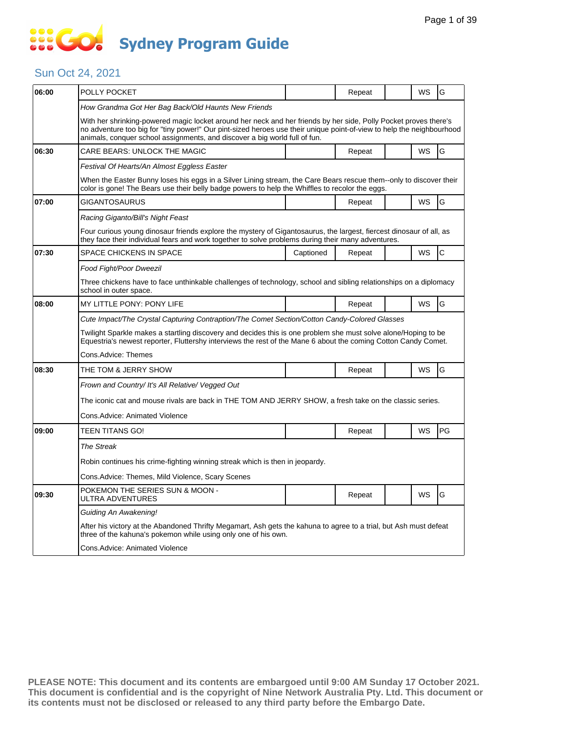# SSE GO **Sydney Program Guide**

### Sun Oct 24, 2021

| 06:00 | POLLY POCKET                                                                                                                                                                                                                                                                                                            |           | Repeat |  | WS        | G  |  |  |  |
|-------|-------------------------------------------------------------------------------------------------------------------------------------------------------------------------------------------------------------------------------------------------------------------------------------------------------------------------|-----------|--------|--|-----------|----|--|--|--|
|       | How Grandma Got Her Bag Back/Old Haunts New Friends                                                                                                                                                                                                                                                                     |           |        |  |           |    |  |  |  |
|       | With her shrinking-powered magic locket around her neck and her friends by her side, Polly Pocket proves there's<br>no adventure too big for "tiny power!" Our pint-sized heroes use their unique point-of-view to help the neighbourhood<br>animals, conquer school assignments, and discover a big world full of fun. |           |        |  |           |    |  |  |  |
| 06:30 | CARE BEARS: UNLOCK THE MAGIC                                                                                                                                                                                                                                                                                            |           | Repeat |  | WS        | G  |  |  |  |
|       | Festival Of Hearts/An Almost Eggless Easter                                                                                                                                                                                                                                                                             |           |        |  |           |    |  |  |  |
|       | When the Easter Bunny loses his eggs in a Silver Lining stream, the Care Bears rescue them--only to discover their<br>color is gone! The Bears use their belly badge powers to help the Whiffles to recolor the eggs.                                                                                                   |           |        |  |           |    |  |  |  |
| 07:00 | GIGANTOSAURUS                                                                                                                                                                                                                                                                                                           |           | Repeat |  | WS        | G  |  |  |  |
|       | Racing Giganto/Bill's Night Feast                                                                                                                                                                                                                                                                                       |           |        |  |           |    |  |  |  |
|       | Four curious young dinosaur friends explore the mystery of Gigantosaurus, the largest, fiercest dinosaur of all, as<br>they face their individual fears and work together to solve problems during their many adventures.                                                                                               |           |        |  |           |    |  |  |  |
| 07:30 | SPACE CHICKENS IN SPACE                                                                                                                                                                                                                                                                                                 | Captioned | Repeat |  | WS        | C  |  |  |  |
|       | Food Fight/Poor Dweezil                                                                                                                                                                                                                                                                                                 |           |        |  |           |    |  |  |  |
|       | Three chickens have to face unthinkable challenges of technology, school and sibling relationships on a diplomacy<br>school in outer space.                                                                                                                                                                             |           |        |  |           |    |  |  |  |
| 08:00 | MY LITTLE PONY: PONY LIFE                                                                                                                                                                                                                                                                                               |           | Repeat |  | <b>WS</b> | G  |  |  |  |
|       | Cute Impact/The Crystal Capturing Contraption/The Comet Section/Cotton Candy-Colored Glasses                                                                                                                                                                                                                            |           |        |  |           |    |  |  |  |
|       | Twilight Sparkle makes a startling discovery and decides this is one problem she must solve alone/Hoping to be<br>Equestria's newest reporter, Fluttershy interviews the rest of the Mane 6 about the coming Cotton Candy Comet.                                                                                        |           |        |  |           |    |  |  |  |
|       | Cons.Advice: Themes                                                                                                                                                                                                                                                                                                     |           |        |  |           |    |  |  |  |
| 08:30 | THE TOM & JERRY SHOW                                                                                                                                                                                                                                                                                                    |           | Repeat |  | WS        | G  |  |  |  |
|       | Frown and Country/ It's All Relative/ Vegged Out                                                                                                                                                                                                                                                                        |           |        |  |           |    |  |  |  |
|       | The iconic cat and mouse rivals are back in THE TOM AND JERRY SHOW, a fresh take on the classic series.                                                                                                                                                                                                                 |           |        |  |           |    |  |  |  |
|       | <b>Cons.Advice: Animated Violence</b>                                                                                                                                                                                                                                                                                   |           |        |  |           |    |  |  |  |
| 09:00 | TEEN TITANS GO!                                                                                                                                                                                                                                                                                                         |           | Repeat |  | WS        | PG |  |  |  |
|       | <b>The Streak</b>                                                                                                                                                                                                                                                                                                       |           |        |  |           |    |  |  |  |
|       | Robin continues his crime-fighting winning streak which is then in jeopardy.                                                                                                                                                                                                                                            |           |        |  |           |    |  |  |  |
|       | Cons.Advice: Themes, Mild Violence, Scary Scenes                                                                                                                                                                                                                                                                        |           |        |  |           |    |  |  |  |
| 09:30 | POKEMON THE SERIES SUN & MOON -<br>ULTRA ADVENTURES                                                                                                                                                                                                                                                                     |           | Repeat |  | WS        | G  |  |  |  |
|       | Guiding An Awakening!                                                                                                                                                                                                                                                                                                   |           |        |  |           |    |  |  |  |
|       | After his victory at the Abandoned Thrifty Megamart, Ash gets the kahuna to agree to a trial, but Ash must defeat<br>three of the kahuna's pokemon while using only one of his own.                                                                                                                                     |           |        |  |           |    |  |  |  |
|       | Cons. Advice: Animated Violence                                                                                                                                                                                                                                                                                         |           |        |  |           |    |  |  |  |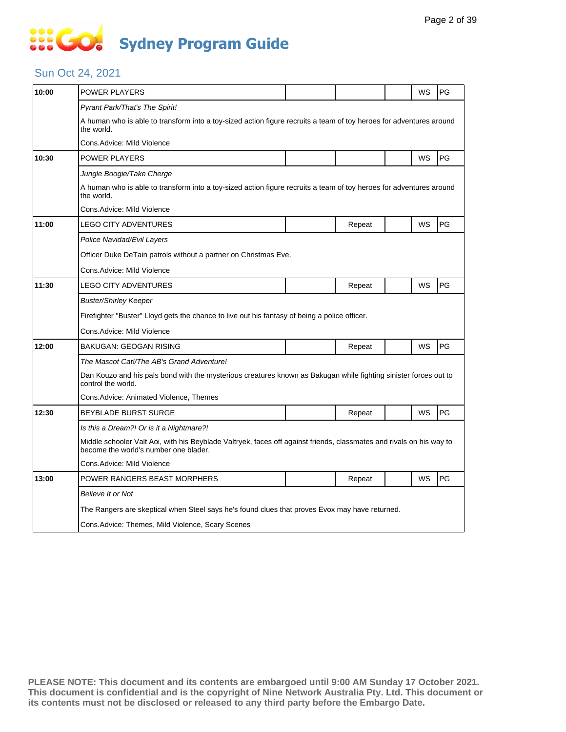# **SECT Sydney Program Guide**

### Sun Oct 24, 2021

| 10:00 | POWER PLAYERS                                                                                                                                                 |                                                                                                |        |  | WS | PG |  |  |  |
|-------|---------------------------------------------------------------------------------------------------------------------------------------------------------------|------------------------------------------------------------------------------------------------|--------|--|----|----|--|--|--|
|       | Pyrant Park/That's The Spirit!                                                                                                                                |                                                                                                |        |  |    |    |  |  |  |
|       | A human who is able to transform into a toy-sized action figure recruits a team of toy heroes for adventures around<br>the world.                             |                                                                                                |        |  |    |    |  |  |  |
|       | Cons.Advice: Mild Violence                                                                                                                                    |                                                                                                |        |  |    |    |  |  |  |
| 10:30 | <b>POWER PLAYERS</b>                                                                                                                                          |                                                                                                |        |  | WS | PG |  |  |  |
|       | Jungle Boogie/Take Cherge                                                                                                                                     |                                                                                                |        |  |    |    |  |  |  |
|       | A human who is able to transform into a toy-sized action figure recruits a team of toy heroes for adventures around<br>the world.                             |                                                                                                |        |  |    |    |  |  |  |
|       | Cons. Advice: Mild Violence                                                                                                                                   |                                                                                                |        |  |    |    |  |  |  |
| 11:00 | LEGO CITY ADVENTURES                                                                                                                                          |                                                                                                | Repeat |  | WS | PG |  |  |  |
|       | Police Navidad/Evil Layers                                                                                                                                    |                                                                                                |        |  |    |    |  |  |  |
|       | Officer Duke DeTain patrols without a partner on Christmas Eve.                                                                                               |                                                                                                |        |  |    |    |  |  |  |
|       | Cons.Advice: Mild Violence                                                                                                                                    |                                                                                                |        |  |    |    |  |  |  |
| 11:30 | LEGO CITY ADVENTURES                                                                                                                                          |                                                                                                | Repeat |  | WS | PG |  |  |  |
|       | <b>Buster/Shirley Keeper</b>                                                                                                                                  |                                                                                                |        |  |    |    |  |  |  |
|       | Firefighter "Buster" Lloyd gets the chance to live out his fantasy of being a police officer.                                                                 |                                                                                                |        |  |    |    |  |  |  |
|       | Cons.Advice: Mild Violence                                                                                                                                    |                                                                                                |        |  |    |    |  |  |  |
| 12:00 | <b>BAKUGAN: GEOGAN RISING</b>                                                                                                                                 |                                                                                                | Repeat |  | WS | PG |  |  |  |
|       | The Mascot Cat!/The AB's Grand Adventure!                                                                                                                     |                                                                                                |        |  |    |    |  |  |  |
|       | Dan Kouzo and his pals bond with the mysterious creatures known as Bakugan while fighting sinister forces out to<br>control the world.                        |                                                                                                |        |  |    |    |  |  |  |
|       | Cons. Advice: Animated Violence, Themes                                                                                                                       |                                                                                                |        |  |    |    |  |  |  |
| 12:30 | <b>BEYBLADE BURST SURGE</b>                                                                                                                                   |                                                                                                | Repeat |  | WS | PG |  |  |  |
|       | Is this a Dream?! Or is it a Nightmare?!                                                                                                                      |                                                                                                |        |  |    |    |  |  |  |
|       | Middle schooler Valt Aoi, with his Beyblade Valtryek, faces off against friends, classmates and rivals on his way to<br>become the world's number one blader. |                                                                                                |        |  |    |    |  |  |  |
|       | Cons.Advice: Mild Violence                                                                                                                                    |                                                                                                |        |  |    |    |  |  |  |
| 13:00 | POWER RANGERS BEAST MORPHERS                                                                                                                                  |                                                                                                | Repeat |  | WS | PG |  |  |  |
|       | Believe It or Not                                                                                                                                             |                                                                                                |        |  |    |    |  |  |  |
|       |                                                                                                                                                               | The Rangers are skeptical when Steel says he's found clues that proves Evox may have returned. |        |  |    |    |  |  |  |
|       | Cons. Advice: Themes, Mild Violence, Scary Scenes                                                                                                             |                                                                                                |        |  |    |    |  |  |  |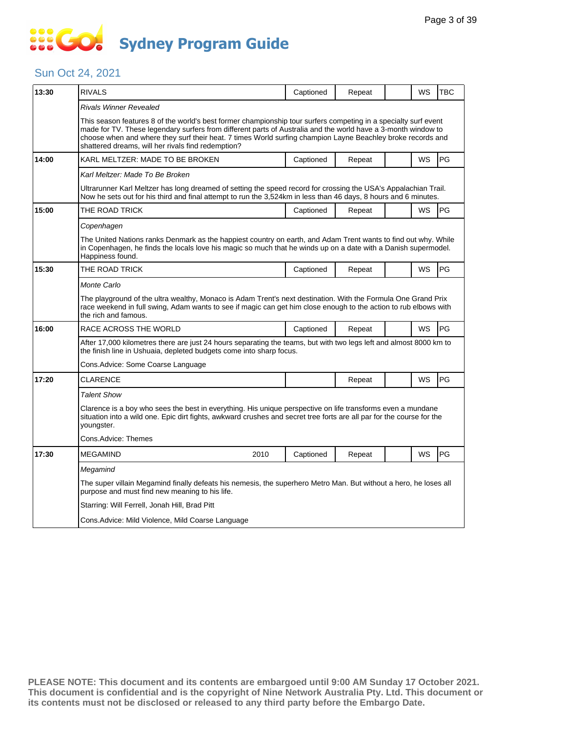# SSEG **Sydney Program Guide**

### Sun Oct 24, 2021

| 13:30 | <b>RIVALS</b>                                                                                                                                                                                                                                                                                                                                                                                         | Captioned                                                                                                         | Repeat |  | WS        | <b>TBC</b> |  |  |  |
|-------|-------------------------------------------------------------------------------------------------------------------------------------------------------------------------------------------------------------------------------------------------------------------------------------------------------------------------------------------------------------------------------------------------------|-------------------------------------------------------------------------------------------------------------------|--------|--|-----------|------------|--|--|--|
|       | Rivals Winner Revealed                                                                                                                                                                                                                                                                                                                                                                                |                                                                                                                   |        |  |           |            |  |  |  |
|       | This season features 8 of the world's best former championship tour surfers competing in a specialty surf event<br>made for TV. These legendary surfers from different parts of Australia and the world have a 3-month window to<br>choose when and where they surf their heat. 7 times World surfing champion Layne Beachley broke records and<br>shattered dreams, will her rivals find redemption? |                                                                                                                   |        |  |           |            |  |  |  |
| 14:00 | KARL MELTZER: MADE TO BE BROKEN                                                                                                                                                                                                                                                                                                                                                                       | Captioned                                                                                                         | Repeat |  | WS        | PG         |  |  |  |
|       | Karl Meltzer: Made To Be Broken                                                                                                                                                                                                                                                                                                                                                                       |                                                                                                                   |        |  |           |            |  |  |  |
|       | Ultrarunner Karl Meltzer has long dreamed of setting the speed record for crossing the USA's Appalachian Trail.<br>Now he sets out for his third and final attempt to run the 3,524km in less than 46 days, 8 hours and 6 minutes.                                                                                                                                                                    |                                                                                                                   |        |  |           |            |  |  |  |
| 15:00 | THE ROAD TRICK                                                                                                                                                                                                                                                                                                                                                                                        | Captioned                                                                                                         | Repeat |  | <b>WS</b> | PG         |  |  |  |
|       | Copenhagen                                                                                                                                                                                                                                                                                                                                                                                            |                                                                                                                   |        |  |           |            |  |  |  |
|       | The United Nations ranks Denmark as the happiest country on earth, and Adam Trent wants to find out why. While<br>in Copenhagen, he finds the locals love his magic so much that he winds up on a date with a Danish supermodel.<br>Happiness found.                                                                                                                                                  |                                                                                                                   |        |  |           |            |  |  |  |
| 15:30 | THE ROAD TRICK                                                                                                                                                                                                                                                                                                                                                                                        | Captioned                                                                                                         | Repeat |  | <b>WS</b> | <b>PG</b>  |  |  |  |
|       | Monte Carlo                                                                                                                                                                                                                                                                                                                                                                                           |                                                                                                                   |        |  |           |            |  |  |  |
|       | The playground of the ultra wealthy, Monaco is Adam Trent's next destination. With the Formula One Grand Prix<br>race weekend in full swing, Adam wants to see if magic can get him close enough to the action to rub elbows with<br>the rich and famous.                                                                                                                                             |                                                                                                                   |        |  |           |            |  |  |  |
| 16:00 | RACE ACROSS THE WORLD                                                                                                                                                                                                                                                                                                                                                                                 | Captioned                                                                                                         | Repeat |  | <b>WS</b> | <b>PG</b>  |  |  |  |
|       | After 17,000 kilometres there are just 24 hours separating the teams, but with two legs left and almost 8000 km to<br>the finish line in Ushuaia, depleted budgets come into sharp focus.                                                                                                                                                                                                             |                                                                                                                   |        |  |           |            |  |  |  |
|       | Cons.Advice: Some Coarse Language                                                                                                                                                                                                                                                                                                                                                                     |                                                                                                                   |        |  |           |            |  |  |  |
| 17:20 | CLARENCE                                                                                                                                                                                                                                                                                                                                                                                              |                                                                                                                   | Repeat |  | <b>WS</b> | PG         |  |  |  |
|       | <b>Talent Show</b>                                                                                                                                                                                                                                                                                                                                                                                    |                                                                                                                   |        |  |           |            |  |  |  |
|       | Clarence is a boy who sees the best in everything. His unique perspective on life transforms even a mundane<br>situation into a wild one. Epic dirt fights, awkward crushes and secret tree forts are all par for the course for the<br>youngster.                                                                                                                                                    |                                                                                                                   |        |  |           |            |  |  |  |
|       | Cons.Advice: Themes                                                                                                                                                                                                                                                                                                                                                                                   |                                                                                                                   |        |  |           |            |  |  |  |
| 17:30 | <b>MEGAMIND</b><br>2010                                                                                                                                                                                                                                                                                                                                                                               | Captioned                                                                                                         | Repeat |  | <b>WS</b> | PG         |  |  |  |
|       | Megamind                                                                                                                                                                                                                                                                                                                                                                                              |                                                                                                                   |        |  |           |            |  |  |  |
|       | purpose and must find new meaning to his life.                                                                                                                                                                                                                                                                                                                                                        | The super villain Megamind finally defeats his nemesis, the superhero Metro Man. But without a hero, he loses all |        |  |           |            |  |  |  |
|       | Starring: Will Ferrell, Jonah Hill, Brad Pitt                                                                                                                                                                                                                                                                                                                                                         |                                                                                                                   |        |  |           |            |  |  |  |
|       | Cons.Advice: Mild Violence, Mild Coarse Language                                                                                                                                                                                                                                                                                                                                                      |                                                                                                                   |        |  |           |            |  |  |  |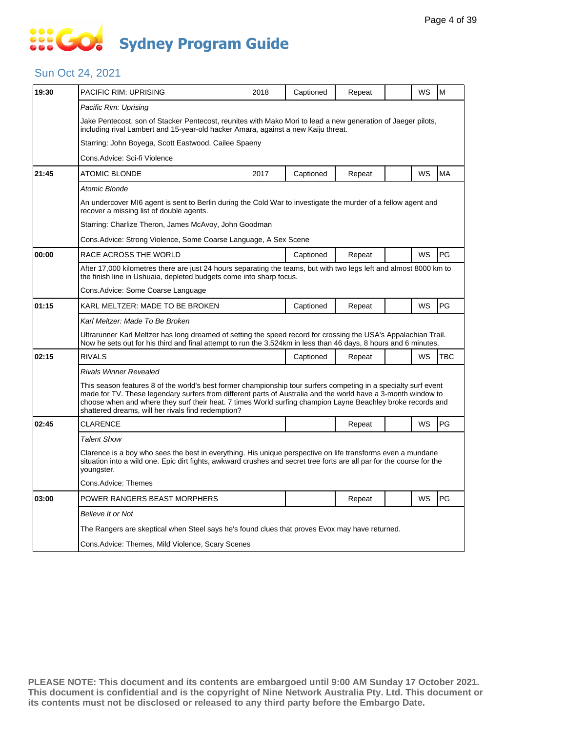# **SOCO Sydney Program Guide**

#### Sun Oct 24, 2021

| 19:30 | PACIFIC RIM: UPRISING                                                                                                                                                                                                                                                                                                                                                                                 | 2018 | Captioned | Repeat |  | WS        | M          |  |  |
|-------|-------------------------------------------------------------------------------------------------------------------------------------------------------------------------------------------------------------------------------------------------------------------------------------------------------------------------------------------------------------------------------------------------------|------|-----------|--------|--|-----------|------------|--|--|
|       | Pacific Rim: Uprising                                                                                                                                                                                                                                                                                                                                                                                 |      |           |        |  |           |            |  |  |
|       | Jake Pentecost, son of Stacker Pentecost, reunites with Mako Mori to lead a new generation of Jaeger pilots,<br>including rival Lambert and 15-year-old hacker Amara, against a new Kaiju threat.                                                                                                                                                                                                     |      |           |        |  |           |            |  |  |
|       | Starring: John Boyega, Scott Eastwood, Cailee Spaeny                                                                                                                                                                                                                                                                                                                                                  |      |           |        |  |           |            |  |  |
|       | Cons.Advice: Sci-fi Violence                                                                                                                                                                                                                                                                                                                                                                          |      |           |        |  |           |            |  |  |
| 21:45 | ATOMIC BLONDE                                                                                                                                                                                                                                                                                                                                                                                         | 2017 | Captioned | Repeat |  | WS        | <b>MA</b>  |  |  |
|       | Atomic Blonde                                                                                                                                                                                                                                                                                                                                                                                         |      |           |        |  |           |            |  |  |
|       | An undercover MI6 agent is sent to Berlin during the Cold War to investigate the murder of a fellow agent and<br>recover a missing list of double agents.                                                                                                                                                                                                                                             |      |           |        |  |           |            |  |  |
|       | Starring: Charlize Theron, James McAvoy, John Goodman                                                                                                                                                                                                                                                                                                                                                 |      |           |        |  |           |            |  |  |
|       | Cons.Advice: Strong Violence, Some Coarse Language, A Sex Scene                                                                                                                                                                                                                                                                                                                                       |      |           |        |  |           |            |  |  |
| 00:00 | RACE ACROSS THE WORLD                                                                                                                                                                                                                                                                                                                                                                                 |      | Captioned | Repeat |  | <b>WS</b> | PG         |  |  |
|       | After 17,000 kilometres there are just 24 hours separating the teams, but with two legs left and almost 8000 km to<br>the finish line in Ushuaia, depleted budgets come into sharp focus.                                                                                                                                                                                                             |      |           |        |  |           |            |  |  |
|       | Cons.Advice: Some Coarse Language                                                                                                                                                                                                                                                                                                                                                                     |      |           |        |  |           |            |  |  |
| 01:15 | KARL MELTZER: MADE TO BE BROKEN                                                                                                                                                                                                                                                                                                                                                                       |      | Captioned | Repeat |  | WS        | PG         |  |  |
|       | Karl Meltzer: Made To Be Broken                                                                                                                                                                                                                                                                                                                                                                       |      |           |        |  |           |            |  |  |
|       | Ultrarunner Karl Meltzer has long dreamed of setting the speed record for crossing the USA's Appalachian Trail.<br>Now he sets out for his third and final attempt to run the 3,524km in less than 46 days, 8 hours and 6 minutes.                                                                                                                                                                    |      |           |        |  |           |            |  |  |
| 02:15 | <b>RIVALS</b>                                                                                                                                                                                                                                                                                                                                                                                         |      | Captioned | Repeat |  | WS        | <b>TBC</b> |  |  |
|       | Rivals Winner Revealed                                                                                                                                                                                                                                                                                                                                                                                |      |           |        |  |           |            |  |  |
|       | This season features 8 of the world's best former championship tour surfers competing in a specialty surf event<br>made for TV. These legendary surfers from different parts of Australia and the world have a 3-month window to<br>choose when and where they surf their heat. 7 times World surfing champion Layne Beachley broke records and<br>shattered dreams, will her rivals find redemption? |      |           |        |  |           |            |  |  |
| 02:45 | <b>CLARENCE</b>                                                                                                                                                                                                                                                                                                                                                                                       |      |           | Repeat |  | <b>WS</b> | PG         |  |  |
|       | <b>Talent Show</b>                                                                                                                                                                                                                                                                                                                                                                                    |      |           |        |  |           |            |  |  |
|       | Clarence is a boy who sees the best in everything. His unique perspective on life transforms even a mundane<br>situation into a wild one. Epic dirt fights, awkward crushes and secret tree forts are all par for the course for the<br>youngster.                                                                                                                                                    |      |           |        |  |           |            |  |  |
|       | Cons.Advice: Themes                                                                                                                                                                                                                                                                                                                                                                                   |      |           |        |  |           |            |  |  |
| 03:00 | POWER RANGERS BEAST MORPHERS                                                                                                                                                                                                                                                                                                                                                                          |      |           | Repeat |  | WS        | PG         |  |  |
|       | Believe It or Not                                                                                                                                                                                                                                                                                                                                                                                     |      |           |        |  |           |            |  |  |
|       | The Rangers are skeptical when Steel says he's found clues that proves Evox may have returned.                                                                                                                                                                                                                                                                                                        |      |           |        |  |           |            |  |  |
|       | Cons. Advice: Themes, Mild Violence, Scary Scenes                                                                                                                                                                                                                                                                                                                                                     |      |           |        |  |           |            |  |  |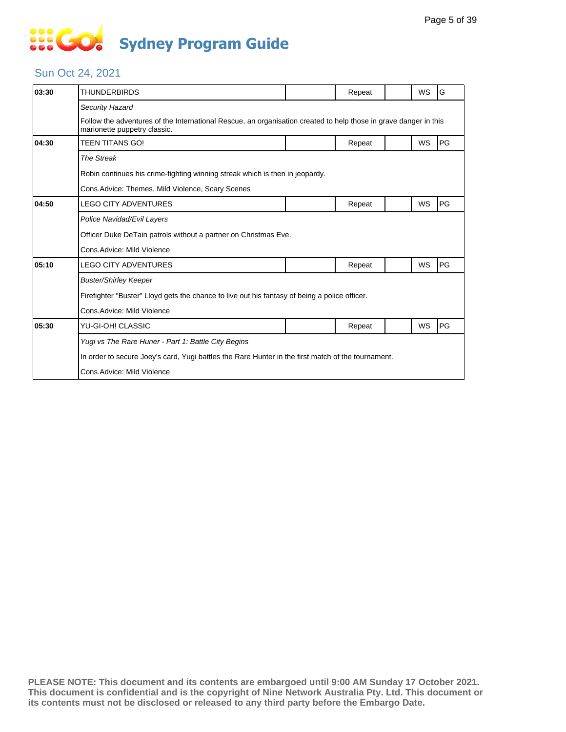# **... Go Sydney Program Guide**

### Sun Oct 24, 2021

| <b>THUNDERBIRDS</b>                                                                                                                              |  | Repeat |  | <b>WS</b> | G  |  |  |  |
|--------------------------------------------------------------------------------------------------------------------------------------------------|--|--------|--|-----------|----|--|--|--|
| Security Hazard                                                                                                                                  |  |        |  |           |    |  |  |  |
| Follow the adventures of the International Rescue, an organisation created to help those in grave danger in this<br>marionette puppetry classic. |  |        |  |           |    |  |  |  |
| <b>TEEN TITANS GO!</b>                                                                                                                           |  | Repeat |  | WS        | PG |  |  |  |
| The Streak                                                                                                                                       |  |        |  |           |    |  |  |  |
| Robin continues his crime-fighting winning streak which is then in jeopardy.                                                                     |  |        |  |           |    |  |  |  |
| Cons.Advice: Themes, Mild Violence, Scary Scenes                                                                                                 |  |        |  |           |    |  |  |  |
| <b>LEGO CITY ADVENTURES</b>                                                                                                                      |  | Repeat |  | WS        | PG |  |  |  |
| Police Navidad/Evil Layers                                                                                                                       |  |        |  |           |    |  |  |  |
| Officer Duke DeTain patrols without a partner on Christmas Eve.                                                                                  |  |        |  |           |    |  |  |  |
| Cons.Advice: Mild Violence                                                                                                                       |  |        |  |           |    |  |  |  |
| <b>LEGO CITY ADVENTURES</b>                                                                                                                      |  | Repeat |  | WS        | PG |  |  |  |
| <b>Buster/Shirley Keeper</b>                                                                                                                     |  |        |  |           |    |  |  |  |
| Firefighter "Buster" Lloyd gets the chance to live out his fantasy of being a police officer.                                                    |  |        |  |           |    |  |  |  |
| Cons.Advice: Mild Violence                                                                                                                       |  |        |  |           |    |  |  |  |
| YU-GI-OH! CLASSIC                                                                                                                                |  | Repeat |  | <b>WS</b> | PG |  |  |  |
| Yugi vs The Rare Huner - Part 1: Battle City Begins                                                                                              |  |        |  |           |    |  |  |  |
| In order to secure Joey's card, Yugi battles the Rare Hunter in the first match of the tournament.                                               |  |        |  |           |    |  |  |  |
| Cons.Advice: Mild Violence                                                                                                                       |  |        |  |           |    |  |  |  |
|                                                                                                                                                  |  |        |  |           |    |  |  |  |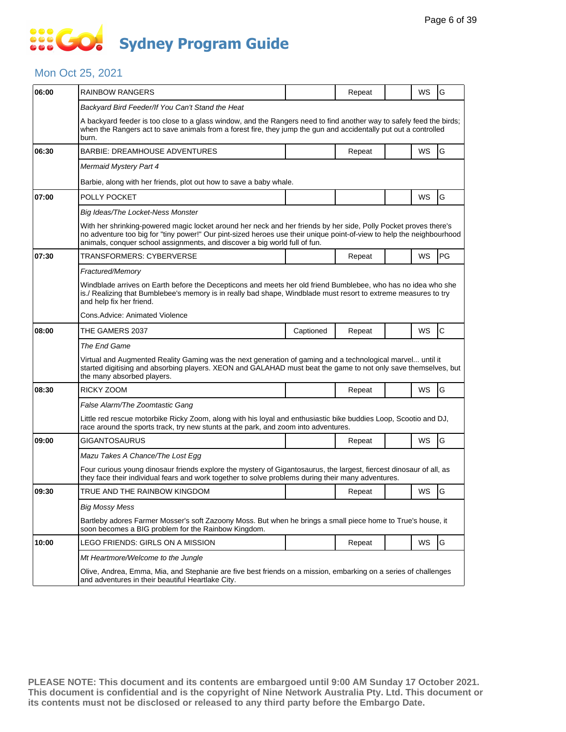### **SOCOCO Sydney Program Guide**

#### Mon Oct 25, 2021

| 06:00 | <b>RAINBOW RANGERS</b>                                                                                                                                                                                                                                                                                                  |           | Repeat |  | WS | G            |  |  |  |
|-------|-------------------------------------------------------------------------------------------------------------------------------------------------------------------------------------------------------------------------------------------------------------------------------------------------------------------------|-----------|--------|--|----|--------------|--|--|--|
|       | Backyard Bird Feeder/If You Can't Stand the Heat                                                                                                                                                                                                                                                                        |           |        |  |    |              |  |  |  |
|       | A backyard feeder is too close to a glass window, and the Rangers need to find another way to safely feed the birds;<br>when the Rangers act to save animals from a forest fire, they jump the gun and accidentally put out a controlled<br>burn.                                                                       |           |        |  |    |              |  |  |  |
| 06:30 | <b>BARBIE: DREAMHOUSE ADVENTURES</b>                                                                                                                                                                                                                                                                                    |           | Repeat |  | WS | G            |  |  |  |
|       | Mermaid Mystery Part 4                                                                                                                                                                                                                                                                                                  |           |        |  |    |              |  |  |  |
|       | Barbie, along with her friends, plot out how to save a baby whale.                                                                                                                                                                                                                                                      |           |        |  |    |              |  |  |  |
| 07:00 | POLLY POCKET                                                                                                                                                                                                                                                                                                            |           |        |  | WS | G            |  |  |  |
|       | Big Ideas/The Locket-Ness Monster                                                                                                                                                                                                                                                                                       |           |        |  |    |              |  |  |  |
|       | With her shrinking-powered magic locket around her neck and her friends by her side, Polly Pocket proves there's<br>no adventure too big for "tiny power!" Our pint-sized heroes use their unique point-of-view to help the neighbourhood<br>animals, conquer school assignments, and discover a big world full of fun. |           |        |  |    |              |  |  |  |
| 07:30 | TRANSFORMERS: CYBERVERSE                                                                                                                                                                                                                                                                                                |           | Repeat |  | WS | PG           |  |  |  |
|       | Fractured/Memory                                                                                                                                                                                                                                                                                                        |           |        |  |    |              |  |  |  |
|       | Windblade arrives on Earth before the Decepticons and meets her old friend Bumblebee, who has no idea who she<br>is./ Realizing that Bumblebee's memory is in really bad shape, Windblade must resort to extreme measures to try<br>and help fix her friend.                                                            |           |        |  |    |              |  |  |  |
|       | Cons. Advice: Animated Violence                                                                                                                                                                                                                                                                                         |           |        |  |    |              |  |  |  |
| 08:00 | THE GAMERS 2037                                                                                                                                                                                                                                                                                                         | Captioned | Repeat |  | WS | $\mathsf{C}$ |  |  |  |
|       | The End Game                                                                                                                                                                                                                                                                                                            |           |        |  |    |              |  |  |  |
|       | Virtual and Augmented Reality Gaming was the next generation of gaming and a technological marvel until it<br>started digitising and absorbing players. XEON and GALAHAD must beat the game to not only save themselves, but<br>the many absorbed players.                                                              |           |        |  |    |              |  |  |  |
| 08:30 | RICKY ZOOM                                                                                                                                                                                                                                                                                                              |           | Repeat |  | WS | G            |  |  |  |
|       | False Alarm/The Zoomtastic Gang                                                                                                                                                                                                                                                                                         |           |        |  |    |              |  |  |  |
|       | Little red rescue motorbike Ricky Zoom, along with his loyal and enthusiastic bike buddies Loop, Scootio and DJ,<br>race around the sports track, try new stunts at the park, and zoom into adventures.                                                                                                                 |           |        |  |    |              |  |  |  |
| 09:00 | <b>GIGANTOSAURUS</b>                                                                                                                                                                                                                                                                                                    |           | Repeat |  | WS | G            |  |  |  |
|       | Mazu Takes A Chance/The Lost Egg                                                                                                                                                                                                                                                                                        |           |        |  |    |              |  |  |  |
|       | Four curious young dinosaur friends explore the mystery of Gigantosaurus, the largest, fiercest dinosaur of all, as<br>they face their individual fears and work together to solve problems during their many adventures.                                                                                               |           |        |  |    |              |  |  |  |
| 09:30 | TRUE AND THE RAINBOW KINGDOM                                                                                                                                                                                                                                                                                            |           | Repeat |  | WS | G            |  |  |  |
|       | <b>Big Mossy Mess</b>                                                                                                                                                                                                                                                                                                   |           |        |  |    |              |  |  |  |
|       | Bartleby adores Farmer Mosser's soft Zazoony Moss. But when he brings a small piece home to True's house, it<br>soon becomes a BIG problem for the Rainbow Kingdom.                                                                                                                                                     |           |        |  |    |              |  |  |  |
| 10:00 | LEGO FRIENDS: GIRLS ON A MISSION                                                                                                                                                                                                                                                                                        |           | Repeat |  | WS | G            |  |  |  |
|       | Mt Heartmore/Welcome to the Jungle                                                                                                                                                                                                                                                                                      |           |        |  |    |              |  |  |  |
|       | Olive, Andrea, Emma, Mia, and Stephanie are five best friends on a mission, embarking on a series of challenges<br>and adventures in their beautiful Heartlake City.                                                                                                                                                    |           |        |  |    |              |  |  |  |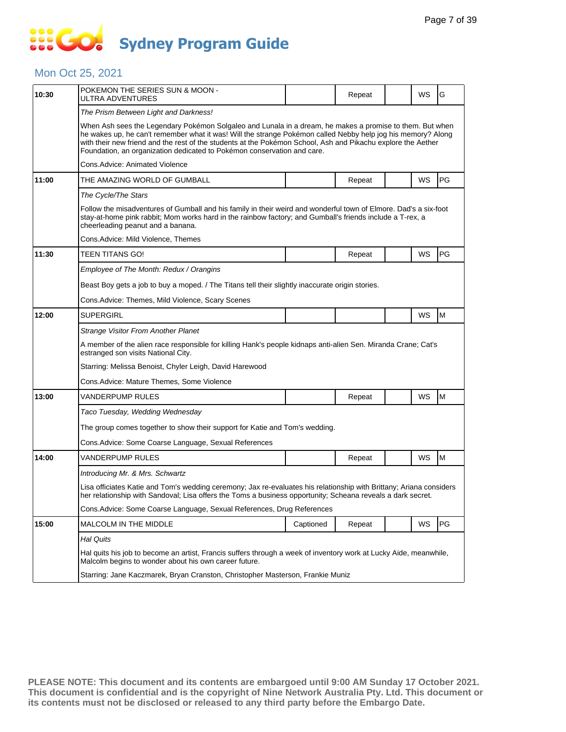### **SOCO Sydney Program Guide**

### Mon Oct 25, 2021

| 10:30 | POKEMON THE SERIES SUN & MOON -<br>ULTRA ADVENTURES                                                                                                                                                                                                                                                                                                                                                                 |           | Repeat |  | <b>WS</b> | G         |  |  |  |
|-------|---------------------------------------------------------------------------------------------------------------------------------------------------------------------------------------------------------------------------------------------------------------------------------------------------------------------------------------------------------------------------------------------------------------------|-----------|--------|--|-----------|-----------|--|--|--|
|       | The Prism Between Light and Darkness!                                                                                                                                                                                                                                                                                                                                                                               |           |        |  |           |           |  |  |  |
|       | When Ash sees the Legendary Pokémon Solgaleo and Lunala in a dream, he makes a promise to them. But when<br>he wakes up, he can't remember what it was! Will the strange Pokémon called Nebby help jog his memory? Along<br>with their new friend and the rest of the students at the Pokémon School, Ash and Pikachu explore the Aether<br>Foundation, an organization dedicated to Pokémon conservation and care. |           |        |  |           |           |  |  |  |
|       | Cons.Advice: Animated Violence                                                                                                                                                                                                                                                                                                                                                                                      |           |        |  |           |           |  |  |  |
| 11:00 | THE AMAZING WORLD OF GUMBALL                                                                                                                                                                                                                                                                                                                                                                                        |           | Repeat |  | WS        | <b>PG</b> |  |  |  |
|       | The Cycle/The Stars                                                                                                                                                                                                                                                                                                                                                                                                 |           |        |  |           |           |  |  |  |
|       | Follow the misadventures of Gumball and his family in their weird and wonderful town of Elmore. Dad's a six-foot<br>stay-at-home pink rabbit; Mom works hard in the rainbow factory; and Gumball's friends include a T-rex, a<br>cheerleading peanut and a banana.                                                                                                                                                  |           |        |  |           |           |  |  |  |
|       | Cons.Advice: Mild Violence, Themes                                                                                                                                                                                                                                                                                                                                                                                  |           |        |  |           |           |  |  |  |
| 11:30 | TEEN TITANS GO!                                                                                                                                                                                                                                                                                                                                                                                                     |           | Repeat |  | WS        | <b>PG</b> |  |  |  |
|       | Employee of The Month: Redux / Orangins                                                                                                                                                                                                                                                                                                                                                                             |           |        |  |           |           |  |  |  |
|       | Beast Boy gets a job to buy a moped. / The Titans tell their slightly inaccurate origin stories.                                                                                                                                                                                                                                                                                                                    |           |        |  |           |           |  |  |  |
|       | Cons.Advice: Themes, Mild Violence, Scary Scenes                                                                                                                                                                                                                                                                                                                                                                    |           |        |  |           |           |  |  |  |
| 12:00 | SUPERGIRL                                                                                                                                                                                                                                                                                                                                                                                                           |           |        |  | WS        | M         |  |  |  |
|       | Strange Visitor From Another Planet                                                                                                                                                                                                                                                                                                                                                                                 |           |        |  |           |           |  |  |  |
|       | A member of the alien race responsible for killing Hank's people kidnaps anti-alien Sen. Miranda Crane; Cat's<br>estranged son visits National City.                                                                                                                                                                                                                                                                |           |        |  |           |           |  |  |  |
|       | Starring: Melissa Benoist, Chyler Leigh, David Harewood                                                                                                                                                                                                                                                                                                                                                             |           |        |  |           |           |  |  |  |
|       | Cons.Advice: Mature Themes, Some Violence                                                                                                                                                                                                                                                                                                                                                                           |           |        |  |           |           |  |  |  |
| 13:00 | VANDERPUMP RULES                                                                                                                                                                                                                                                                                                                                                                                                    |           | Repeat |  | <b>WS</b> | M         |  |  |  |
|       | Taco Tuesday, Wedding Wednesday                                                                                                                                                                                                                                                                                                                                                                                     |           |        |  |           |           |  |  |  |
|       | The group comes together to show their support for Katie and Tom's wedding.                                                                                                                                                                                                                                                                                                                                         |           |        |  |           |           |  |  |  |
|       | Cons.Advice: Some Coarse Language, Sexual References                                                                                                                                                                                                                                                                                                                                                                |           |        |  |           |           |  |  |  |
| 14:00 | VANDERPUMP RULES                                                                                                                                                                                                                                                                                                                                                                                                    |           | Repeat |  | WS        | M         |  |  |  |
|       | Introducing Mr. & Mrs. Schwartz                                                                                                                                                                                                                                                                                                                                                                                     |           |        |  |           |           |  |  |  |
|       | Lisa officiates Katie and Tom's wedding ceremony; Jax re-evaluates his relationship with Brittany; Ariana considers<br>her relationship with Sandoval; Lisa offers the Toms a business opportunity; Scheana reveals a dark secret.                                                                                                                                                                                  |           |        |  |           |           |  |  |  |
|       | Cons.Advice: Some Coarse Language, Sexual References, Drug References                                                                                                                                                                                                                                                                                                                                               |           |        |  |           |           |  |  |  |
| 15:00 | <b>MALCOLM IN THE MIDDLE</b>                                                                                                                                                                                                                                                                                                                                                                                        | Captioned | Repeat |  | WS        | PG        |  |  |  |
|       | Hal Quits                                                                                                                                                                                                                                                                                                                                                                                                           |           |        |  |           |           |  |  |  |
|       | Hal quits his job to become an artist, Francis suffers through a week of inventory work at Lucky Aide, meanwhile,<br>Malcolm begins to wonder about his own career future.                                                                                                                                                                                                                                          |           |        |  |           |           |  |  |  |
|       | Starring: Jane Kaczmarek, Bryan Cranston, Christopher Masterson, Frankie Muniz                                                                                                                                                                                                                                                                                                                                      |           |        |  |           |           |  |  |  |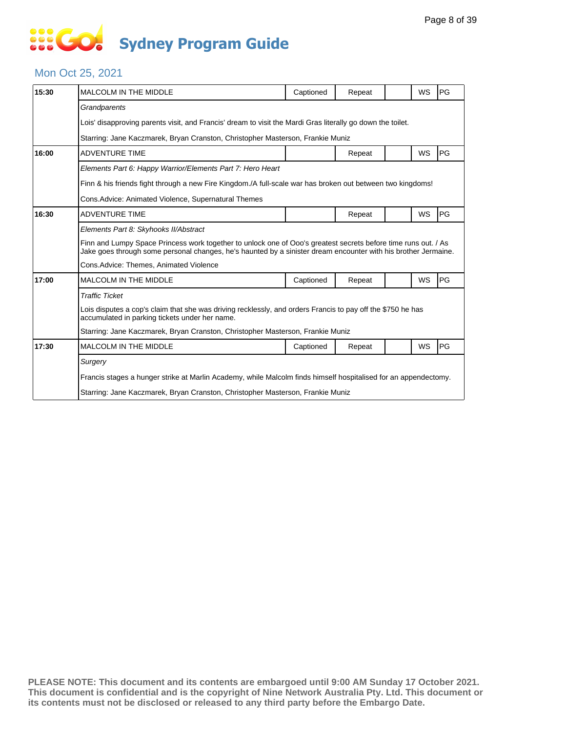## **... Go Sydney Program Guide**

#### Mon Oct 25, 2021

| 15:30 | <b>MALCOLM IN THE MIDDLE</b>                                                                                                                                                                                                     | Captioned | Repeat |  | <b>WS</b> | PG |  |  |
|-------|----------------------------------------------------------------------------------------------------------------------------------------------------------------------------------------------------------------------------------|-----------|--------|--|-----------|----|--|--|
|       | Grandparents                                                                                                                                                                                                                     |           |        |  |           |    |  |  |
|       | Lois' disapproving parents visit, and Francis' dream to visit the Mardi Gras literally go down the toilet.                                                                                                                       |           |        |  |           |    |  |  |
|       | Starring: Jane Kaczmarek, Bryan Cranston, Christopher Masterson, Frankie Muniz                                                                                                                                                   |           |        |  |           |    |  |  |
| 16:00 | <b>ADVENTURE TIME</b>                                                                                                                                                                                                            |           | Repeat |  | WS        | PG |  |  |
|       | Elements Part 6: Happy Warrior/Elements Part 7: Hero Heart                                                                                                                                                                       |           |        |  |           |    |  |  |
|       | Finn & his friends fight through a new Fire Kingdom./A full-scale war has broken out between two kingdoms!                                                                                                                       |           |        |  |           |    |  |  |
|       | Cons. Advice: Animated Violence, Supernatural Themes                                                                                                                                                                             |           |        |  |           |    |  |  |
| 16:30 | <b>ADVENTURE TIME</b>                                                                                                                                                                                                            |           | Repeat |  | WS        | PG |  |  |
|       | Elements Part 8: Skyhooks II/Abstract                                                                                                                                                                                            |           |        |  |           |    |  |  |
|       | Finn and Lumpy Space Princess work together to unlock one of Ooo's greatest secrets before time runs out. / As<br>Jake goes through some personal changes, he's haunted by a sinister dream encounter with his brother Jermaine. |           |        |  |           |    |  |  |
|       | Cons.Advice: Themes, Animated Violence                                                                                                                                                                                           |           |        |  |           |    |  |  |
| 17:00 | <b>MALCOLM IN THE MIDDLE</b>                                                                                                                                                                                                     | Captioned | Repeat |  | WS        | PG |  |  |
|       | <b>Traffic Ticket</b>                                                                                                                                                                                                            |           |        |  |           |    |  |  |
|       | Lois disputes a cop's claim that she was driving recklessly, and orders Francis to pay off the \$750 he has<br>accumulated in parking tickets under her name.                                                                    |           |        |  |           |    |  |  |
|       | Starring: Jane Kaczmarek, Bryan Cranston, Christopher Masterson, Frankie Muniz                                                                                                                                                   |           |        |  |           |    |  |  |
| 17:30 | MALCOLM IN THE MIDDLE                                                                                                                                                                                                            | Captioned | Repeat |  | WS        | PG |  |  |
|       | Surgery                                                                                                                                                                                                                          |           |        |  |           |    |  |  |
|       | Francis stages a hunger strike at Marlin Academy, while Malcolm finds himself hospitalised for an appendectomy.                                                                                                                  |           |        |  |           |    |  |  |
|       | Starring: Jane Kaczmarek, Bryan Cranston, Christopher Masterson, Frankie Muniz                                                                                                                                                   |           |        |  |           |    |  |  |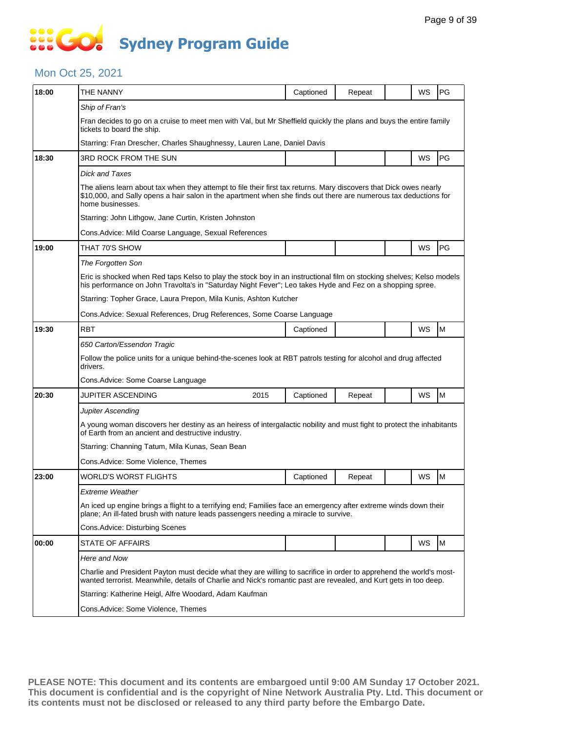### **SIS GO Sydney Program Guide**

#### Mon Oct 25, 2021

| 18:00 | THE NANNY                                                                                                                                                                                                                                                  | Captioned                                                                                                                                                                                                | Repeat |  | WS | PG |  |  |  |
|-------|------------------------------------------------------------------------------------------------------------------------------------------------------------------------------------------------------------------------------------------------------------|----------------------------------------------------------------------------------------------------------------------------------------------------------------------------------------------------------|--------|--|----|----|--|--|--|
|       | Ship of Fran's                                                                                                                                                                                                                                             |                                                                                                                                                                                                          |        |  |    |    |  |  |  |
|       | Fran decides to go on a cruise to meet men with Val, but Mr Sheffield quickly the plans and buys the entire family<br>tickets to board the ship.                                                                                                           |                                                                                                                                                                                                          |        |  |    |    |  |  |  |
|       | Starring: Fran Drescher, Charles Shaughnessy, Lauren Lane, Daniel Davis                                                                                                                                                                                    |                                                                                                                                                                                                          |        |  |    |    |  |  |  |
| 18:30 | 3RD ROCK FROM THE SUN                                                                                                                                                                                                                                      |                                                                                                                                                                                                          |        |  | WS | PG |  |  |  |
|       | Dick and Taxes                                                                                                                                                                                                                                             |                                                                                                                                                                                                          |        |  |    |    |  |  |  |
|       | The aliens learn about tax when they attempt to file their first tax returns. Mary discovers that Dick owes nearly<br>\$10,000, and Sally opens a hair salon in the apartment when she finds out there are numerous tax deductions for<br>home businesses. |                                                                                                                                                                                                          |        |  |    |    |  |  |  |
|       | Starring: John Lithgow, Jane Curtin, Kristen Johnston                                                                                                                                                                                                      |                                                                                                                                                                                                          |        |  |    |    |  |  |  |
|       | Cons. Advice: Mild Coarse Language, Sexual References                                                                                                                                                                                                      |                                                                                                                                                                                                          |        |  |    |    |  |  |  |
| 19:00 | THAT 70'S SHOW                                                                                                                                                                                                                                             |                                                                                                                                                                                                          |        |  | WS | PG |  |  |  |
|       | The Forgotten Son                                                                                                                                                                                                                                          |                                                                                                                                                                                                          |        |  |    |    |  |  |  |
|       | Eric is shocked when Red taps Kelso to play the stock boy in an instructional film on stocking shelves; Kelso models<br>his performance on John Travolta's in "Saturday Night Fever"; Leo takes Hyde and Fez on a shopping spree.                          |                                                                                                                                                                                                          |        |  |    |    |  |  |  |
|       | Starring: Topher Grace, Laura Prepon, Mila Kunis, Ashton Kutcher                                                                                                                                                                                           |                                                                                                                                                                                                          |        |  |    |    |  |  |  |
|       | Cons. Advice: Sexual References, Drug References, Some Coarse Language                                                                                                                                                                                     |                                                                                                                                                                                                          |        |  |    |    |  |  |  |
| 19:30 | <b>RBT</b>                                                                                                                                                                                                                                                 | Captioned                                                                                                                                                                                                |        |  | WS | M  |  |  |  |
|       | 650 Carton/Essendon Tragic                                                                                                                                                                                                                                 |                                                                                                                                                                                                          |        |  |    |    |  |  |  |
|       | Follow the police units for a unique behind-the-scenes look at RBT patrols testing for alcohol and drug affected<br>drivers.                                                                                                                               |                                                                                                                                                                                                          |        |  |    |    |  |  |  |
|       | Cons.Advice: Some Coarse Language                                                                                                                                                                                                                          |                                                                                                                                                                                                          |        |  |    |    |  |  |  |
| 20:30 | JUPITER ASCENDING<br>2015                                                                                                                                                                                                                                  | Captioned                                                                                                                                                                                                | Repeat |  | WS | M  |  |  |  |
|       | <b>Jupiter Ascending</b>                                                                                                                                                                                                                                   |                                                                                                                                                                                                          |        |  |    |    |  |  |  |
|       | A young woman discovers her destiny as an heiress of intergalactic nobility and must fight to protect the inhabitants<br>of Earth from an ancient and destructive industry.                                                                                |                                                                                                                                                                                                          |        |  |    |    |  |  |  |
|       | Starring: Channing Tatum, Mila Kunas, Sean Bean                                                                                                                                                                                                            |                                                                                                                                                                                                          |        |  |    |    |  |  |  |
|       | Cons.Advice: Some Violence, Themes                                                                                                                                                                                                                         |                                                                                                                                                                                                          |        |  |    |    |  |  |  |
| 23:00 | WORLD'S WORST FLIGHTS                                                                                                                                                                                                                                      | Captioned                                                                                                                                                                                                | Repeat |  | WS | M  |  |  |  |
|       | Extreme Weather                                                                                                                                                                                                                                            |                                                                                                                                                                                                          |        |  |    |    |  |  |  |
|       |                                                                                                                                                                                                                                                            | An iced up engine brings a flight to a terrifying end; Families face an emergency after extreme winds down their<br>plane; An ill-fated brush with nature leads passengers needing a miracle to survive. |        |  |    |    |  |  |  |
|       | Cons.Advice: Disturbing Scenes                                                                                                                                                                                                                             |                                                                                                                                                                                                          |        |  |    |    |  |  |  |
| 00:00 | <b>STATE OF AFFAIRS</b>                                                                                                                                                                                                                                    |                                                                                                                                                                                                          |        |  | WS | M  |  |  |  |
|       | Here and Now                                                                                                                                                                                                                                               |                                                                                                                                                                                                          |        |  |    |    |  |  |  |
|       | Charlie and President Payton must decide what they are willing to sacrifice in order to apprehend the world's most-<br>wanted terrorist. Meanwhile, details of Charlie and Nick's romantic past are revealed, and Kurt gets in too deep.                   |                                                                                                                                                                                                          |        |  |    |    |  |  |  |
|       | Starring: Katherine Heigl, Alfre Woodard, Adam Kaufman                                                                                                                                                                                                     |                                                                                                                                                                                                          |        |  |    |    |  |  |  |
|       | Cons.Advice: Some Violence, Themes                                                                                                                                                                                                                         |                                                                                                                                                                                                          |        |  |    |    |  |  |  |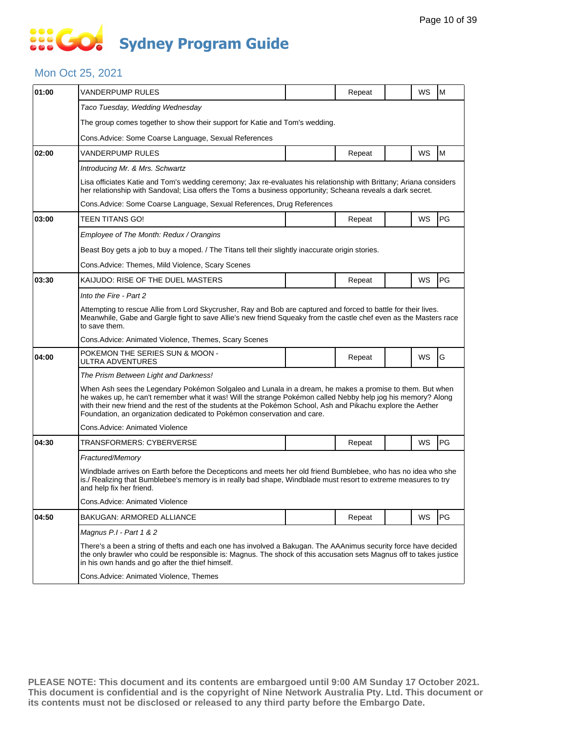# SSEGC **Sydney Program Guide**

#### Mon Oct 25, 2021

| 01:00 | VANDERPUMP RULES                                                                                                                                                                                                                                                                                                                                                                                                    |  | Repeat |  | WS        | M         |  |  |  |  |
|-------|---------------------------------------------------------------------------------------------------------------------------------------------------------------------------------------------------------------------------------------------------------------------------------------------------------------------------------------------------------------------------------------------------------------------|--|--------|--|-----------|-----------|--|--|--|--|
|       | Taco Tuesday, Wedding Wednesday                                                                                                                                                                                                                                                                                                                                                                                     |  |        |  |           |           |  |  |  |  |
|       | The group comes together to show their support for Katie and Tom's wedding.                                                                                                                                                                                                                                                                                                                                         |  |        |  |           |           |  |  |  |  |
|       | Cons. Advice: Some Coarse Language, Sexual References                                                                                                                                                                                                                                                                                                                                                               |  |        |  |           |           |  |  |  |  |
| 02:00 | VANDERPUMP RULES                                                                                                                                                                                                                                                                                                                                                                                                    |  | Repeat |  | WS        | M         |  |  |  |  |
|       | Introducing Mr. & Mrs. Schwartz                                                                                                                                                                                                                                                                                                                                                                                     |  |        |  |           |           |  |  |  |  |
|       | Lisa officiates Katie and Tom's wedding ceremony; Jax re-evaluates his relationship with Brittany; Ariana considers<br>her relationship with Sandoval; Lisa offers the Toms a business opportunity; Scheana reveals a dark secret.                                                                                                                                                                                  |  |        |  |           |           |  |  |  |  |
|       | Cons. Advice: Some Coarse Language, Sexual References, Drug References                                                                                                                                                                                                                                                                                                                                              |  |        |  |           |           |  |  |  |  |
| 03:00 | TEEN TITANS GO!                                                                                                                                                                                                                                                                                                                                                                                                     |  | Repeat |  | WS        | PG        |  |  |  |  |
|       | Employee of The Month: Redux / Orangins                                                                                                                                                                                                                                                                                                                                                                             |  |        |  |           |           |  |  |  |  |
|       | Beast Boy gets a job to buy a moped. / The Titans tell their slightly inaccurate origin stories.                                                                                                                                                                                                                                                                                                                    |  |        |  |           |           |  |  |  |  |
|       | Cons.Advice: Themes, Mild Violence, Scary Scenes                                                                                                                                                                                                                                                                                                                                                                    |  |        |  |           |           |  |  |  |  |
| 03:30 | KAIJUDO: RISE OF THE DUEL MASTERS                                                                                                                                                                                                                                                                                                                                                                                   |  | Repeat |  | WS        | PG        |  |  |  |  |
|       | Into the Fire - Part 2                                                                                                                                                                                                                                                                                                                                                                                              |  |        |  |           |           |  |  |  |  |
|       | Attempting to rescue Allie from Lord Skycrusher, Ray and Bob are captured and forced to battle for their lives.<br>Meanwhile, Gabe and Gargle fight to save Allie's new friend Squeaky from the castle chef even as the Masters race<br>to save them.                                                                                                                                                               |  |        |  |           |           |  |  |  |  |
|       | Cons.Advice: Animated Violence, Themes, Scary Scenes                                                                                                                                                                                                                                                                                                                                                                |  |        |  |           |           |  |  |  |  |
| 04:00 | POKEMON THE SERIES SUN & MOON -<br>ULTRA ADVENTURES                                                                                                                                                                                                                                                                                                                                                                 |  | Repeat |  | <b>WS</b> | G         |  |  |  |  |
|       | The Prism Between Light and Darkness!                                                                                                                                                                                                                                                                                                                                                                               |  |        |  |           |           |  |  |  |  |
|       | When Ash sees the Legendary Pokémon Solgaleo and Lunala in a dream, he makes a promise to them. But when<br>he wakes up, he can't remember what it was! Will the strange Pokémon called Nebby help jog his memory? Along<br>with their new friend and the rest of the students at the Pokémon School, Ash and Pikachu explore the Aether<br>Foundation, an organization dedicated to Pokémon conservation and care. |  |        |  |           |           |  |  |  |  |
|       | Cons.Advice: Animated Violence                                                                                                                                                                                                                                                                                                                                                                                      |  |        |  |           |           |  |  |  |  |
| 04:30 | TRANSFORMERS: CYBERVERSE                                                                                                                                                                                                                                                                                                                                                                                            |  | Repeat |  | WS        | <b>PG</b> |  |  |  |  |
|       | Fractured/Memory                                                                                                                                                                                                                                                                                                                                                                                                    |  |        |  |           |           |  |  |  |  |
|       | Windblade arrives on Earth before the Decepticons and meets her old friend Bumblebee, who has no idea who she<br>is./ Realizing that Bumblebee's memory is in really bad shape, Windblade must resort to extreme measures to try<br>and help fix her friend.                                                                                                                                                        |  |        |  |           |           |  |  |  |  |
|       | Cons.Advice: Animated Violence                                                                                                                                                                                                                                                                                                                                                                                      |  |        |  |           |           |  |  |  |  |
| 04:50 | <b>BAKUGAN: ARMORED ALLIANCE</b>                                                                                                                                                                                                                                                                                                                                                                                    |  | Repeat |  | WS        | PG        |  |  |  |  |
|       | Magnus P.I - Part 1 & 2                                                                                                                                                                                                                                                                                                                                                                                             |  |        |  |           |           |  |  |  |  |
|       | There's a been a string of thefts and each one has involved a Bakugan. The AAAnimus security force have decided<br>the only brawler who could be responsible is: Magnus. The shock of this accusation sets Magnus off to takes justice<br>in his own hands and go after the thief himself.                                                                                                                          |  |        |  |           |           |  |  |  |  |
|       | Cons.Advice: Animated Violence, Themes                                                                                                                                                                                                                                                                                                                                                                              |  |        |  |           |           |  |  |  |  |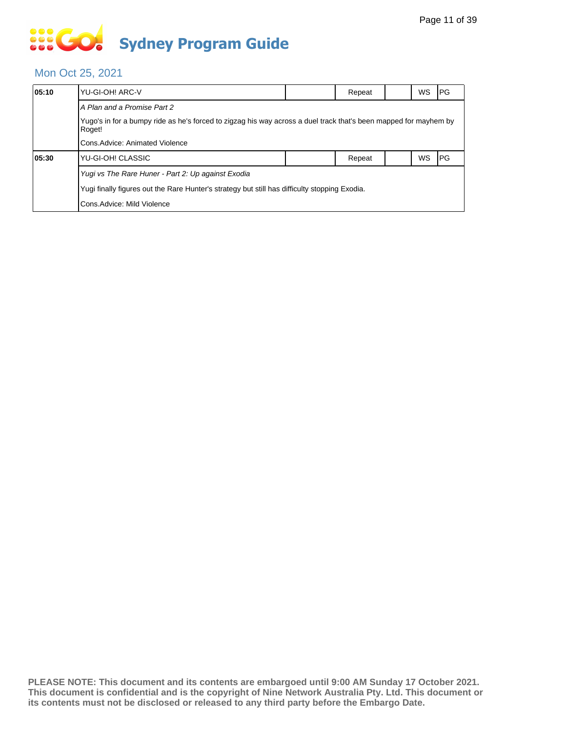## **SOS GO Sydney Program Guide**

### Mon Oct 25, 2021

| 05:10 | YU-GI-OH! ARC-V                                                                                                            |  | Repeat |  | <b>WS</b> | I PG |  |  |  |
|-------|----------------------------------------------------------------------------------------------------------------------------|--|--------|--|-----------|------|--|--|--|
|       | A Plan and a Promise Part 2                                                                                                |  |        |  |           |      |  |  |  |
|       | Yugo's in for a bumpy ride as he's forced to zigzag his way across a duel track that's been mapped for mayhem by<br>Roget! |  |        |  |           |      |  |  |  |
|       | Cons. Advice: Animated Violence                                                                                            |  |        |  |           |      |  |  |  |
| 05:30 | YU-GI-OH! CLASSIC                                                                                                          |  | Repeat |  | WS        | I PG |  |  |  |
|       | Yugi vs The Rare Huner - Part 2: Up against Exodia                                                                         |  |        |  |           |      |  |  |  |
|       | Yugi finally figures out the Rare Hunter's strategy but still has difficulty stopping Exodia.                              |  |        |  |           |      |  |  |  |
|       | Cons. Advice: Mild Violence                                                                                                |  |        |  |           |      |  |  |  |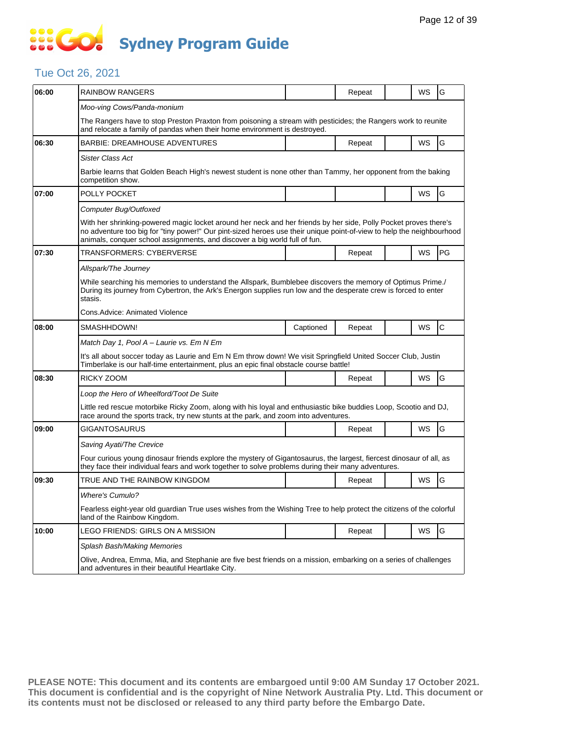# SSEGC **Sydney Program Guide**

### Tue Oct 26, 2021

| 06:00 | <b>RAINBOW RANGERS</b>                                                                                                                                                                                                                                                                                                  |           | Repeat |  | WS | G            |  |  |  |
|-------|-------------------------------------------------------------------------------------------------------------------------------------------------------------------------------------------------------------------------------------------------------------------------------------------------------------------------|-----------|--------|--|----|--------------|--|--|--|
|       | Moo-ving Cows/Panda-monium                                                                                                                                                                                                                                                                                              |           |        |  |    |              |  |  |  |
|       | The Rangers have to stop Preston Praxton from poisoning a stream with pesticides; the Rangers work to reunite<br>and relocate a family of pandas when their home environment is destroyed.                                                                                                                              |           |        |  |    |              |  |  |  |
| 06:30 | <b>BARBIE: DREAMHOUSE ADVENTURES</b>                                                                                                                                                                                                                                                                                    |           | Repeat |  | WS | G            |  |  |  |
|       | <b>Sister Class Act</b>                                                                                                                                                                                                                                                                                                 |           |        |  |    |              |  |  |  |
|       | Barbie learns that Golden Beach High's newest student is none other than Tammy, her opponent from the baking<br>competition show.                                                                                                                                                                                       |           |        |  |    |              |  |  |  |
| 07:00 | POLLY POCKET                                                                                                                                                                                                                                                                                                            |           |        |  | WS | G            |  |  |  |
|       | Computer Bug/Outfoxed                                                                                                                                                                                                                                                                                                   |           |        |  |    |              |  |  |  |
|       | With her shrinking-powered magic locket around her neck and her friends by her side, Polly Pocket proves there's<br>no adventure too big for "tiny power!" Our pint-sized heroes use their unique point-of-view to help the neighbourhood<br>animals, conquer school assignments, and discover a big world full of fun. |           |        |  |    |              |  |  |  |
| 07:30 | TRANSFORMERS: CYBERVERSE                                                                                                                                                                                                                                                                                                |           | Repeat |  | WS | PG           |  |  |  |
|       | Allspark/The Journey                                                                                                                                                                                                                                                                                                    |           |        |  |    |              |  |  |  |
|       | While searching his memories to understand the Allspark, Bumblebee discovers the memory of Optimus Prime./<br>During its journey from Cybertron, the Ark's Energon supplies run low and the desperate crew is forced to enter<br>stasis.                                                                                |           |        |  |    |              |  |  |  |
|       | Cons.Advice: Animated Violence                                                                                                                                                                                                                                                                                          |           |        |  |    |              |  |  |  |
| 08:00 | SMASHHDOWN!                                                                                                                                                                                                                                                                                                             | Captioned | Repeat |  | WS | $\mathsf{C}$ |  |  |  |
|       | Match Day 1, Pool A - Laurie vs. Em N Em                                                                                                                                                                                                                                                                                |           |        |  |    |              |  |  |  |
|       | It's all about soccer today as Laurie and Em N Em throw down! We visit Springfield United Soccer Club, Justin<br>Timberlake is our half-time entertainment, plus an epic final obstacle course battle!                                                                                                                  |           |        |  |    |              |  |  |  |
| 08:30 | RICKY ZOOM                                                                                                                                                                                                                                                                                                              |           | Repeat |  | WS | G            |  |  |  |
|       | Loop the Hero of Wheelford/Toot De Suite                                                                                                                                                                                                                                                                                |           |        |  |    |              |  |  |  |
|       | Little red rescue motorbike Ricky Zoom, along with his loyal and enthusiastic bike buddies Loop, Scootio and DJ,<br>race around the sports track, try new stunts at the park, and zoom into adventures.                                                                                                                 |           |        |  |    |              |  |  |  |
| 09:00 | GIGANTOSAURUS                                                                                                                                                                                                                                                                                                           |           | Repeat |  | WS | G            |  |  |  |
|       | Saving Ayati/The Crevice                                                                                                                                                                                                                                                                                                |           |        |  |    |              |  |  |  |
|       | Four curious young dinosaur friends explore the mystery of Gigantosaurus, the largest, fiercest dinosaur of all, as<br>they face their individual fears and work together to solve problems during their many adventures.                                                                                               |           |        |  |    |              |  |  |  |
| 09:30 | TRUE AND THE RAINBOW KINGDOM                                                                                                                                                                                                                                                                                            |           | Repeat |  | WS | G            |  |  |  |
|       | <b>Where's Cumulo?</b>                                                                                                                                                                                                                                                                                                  |           |        |  |    |              |  |  |  |
|       | Fearless eight-year old guardian True uses wishes from the Wishing Tree to help protect the citizens of the colorful<br>land of the Rainbow Kingdom.                                                                                                                                                                    |           |        |  |    |              |  |  |  |
| 10:00 | LEGO FRIENDS: GIRLS ON A MISSION                                                                                                                                                                                                                                                                                        |           | Repeat |  | WS | G            |  |  |  |
|       | Splash Bash/Making Memories<br>Olive, Andrea, Emma, Mia, and Stephanie are five best friends on a mission, embarking on a series of challenges<br>and adventures in their beautiful Heartlake City.                                                                                                                     |           |        |  |    |              |  |  |  |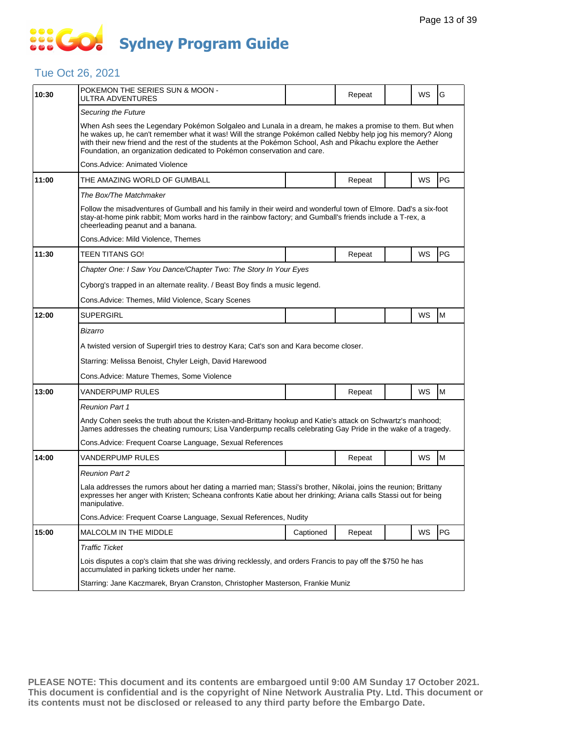### **SOCOL Sydney Program Guide**

### Tue Oct 26, 2021

| 10:30 | POKEMON THE SERIES SUN & MOON -<br>ULTRA ADVENTURES                                                                                                                                                                                                                                                                                                                                                                 |           | Repeat |  | <b>WS</b> | G  |  |  |  |
|-------|---------------------------------------------------------------------------------------------------------------------------------------------------------------------------------------------------------------------------------------------------------------------------------------------------------------------------------------------------------------------------------------------------------------------|-----------|--------|--|-----------|----|--|--|--|
|       | Securing the Future                                                                                                                                                                                                                                                                                                                                                                                                 |           |        |  |           |    |  |  |  |
|       | When Ash sees the Legendary Pokémon Solgaleo and Lunala in a dream, he makes a promise to them. But when<br>he wakes up, he can't remember what it was! Will the strange Pokémon called Nebby help jog his memory? Along<br>with their new friend and the rest of the students at the Pokémon School, Ash and Pikachu explore the Aether<br>Foundation, an organization dedicated to Pokémon conservation and care. |           |        |  |           |    |  |  |  |
|       | Cons.Advice: Animated Violence                                                                                                                                                                                                                                                                                                                                                                                      |           |        |  |           |    |  |  |  |
| 11:00 | THE AMAZING WORLD OF GUMBALL                                                                                                                                                                                                                                                                                                                                                                                        |           | Repeat |  | WS        | PG |  |  |  |
|       | The Box/The Matchmaker                                                                                                                                                                                                                                                                                                                                                                                              |           |        |  |           |    |  |  |  |
|       | Follow the misadventures of Gumball and his family in their weird and wonderful town of Elmore. Dad's a six-foot<br>stay-at-home pink rabbit; Mom works hard in the rainbow factory; and Gumball's friends include a T-rex, a<br>cheerleading peanut and a banana.                                                                                                                                                  |           |        |  |           |    |  |  |  |
|       | Cons.Advice: Mild Violence, Themes                                                                                                                                                                                                                                                                                                                                                                                  |           |        |  |           |    |  |  |  |
| 11:30 | TEEN TITANS GO!                                                                                                                                                                                                                                                                                                                                                                                                     |           | Repeat |  | WS        | PG |  |  |  |
|       | Chapter One: I Saw You Dance/Chapter Two: The Story In Your Eyes                                                                                                                                                                                                                                                                                                                                                    |           |        |  |           |    |  |  |  |
|       | Cyborg's trapped in an alternate reality. / Beast Boy finds a music legend.                                                                                                                                                                                                                                                                                                                                         |           |        |  |           |    |  |  |  |
|       | Cons. Advice: Themes, Mild Violence, Scary Scenes                                                                                                                                                                                                                                                                                                                                                                   |           |        |  |           |    |  |  |  |
| 12:00 | <b>SUPERGIRL</b>                                                                                                                                                                                                                                                                                                                                                                                                    |           |        |  | WS        | M  |  |  |  |
|       | Bizarro                                                                                                                                                                                                                                                                                                                                                                                                             |           |        |  |           |    |  |  |  |
|       | A twisted version of Supergirl tries to destroy Kara; Cat's son and Kara become closer.                                                                                                                                                                                                                                                                                                                             |           |        |  |           |    |  |  |  |
|       | Starring: Melissa Benoist, Chyler Leigh, David Harewood                                                                                                                                                                                                                                                                                                                                                             |           |        |  |           |    |  |  |  |
|       | Cons.Advice: Mature Themes, Some Violence                                                                                                                                                                                                                                                                                                                                                                           |           |        |  |           |    |  |  |  |
| 13:00 | <b>VANDERPUMP RULES</b>                                                                                                                                                                                                                                                                                                                                                                                             |           | Repeat |  | <b>WS</b> | M  |  |  |  |
|       | <b>Reunion Part 1</b>                                                                                                                                                                                                                                                                                                                                                                                               |           |        |  |           |    |  |  |  |
|       | Andy Cohen seeks the truth about the Kristen-and-Brittany hookup and Katie's attack on Schwartz's manhood;<br>James addresses the cheating rumours; Lisa Vanderpump recalls celebrating Gay Pride in the wake of a tragedy.                                                                                                                                                                                         |           |        |  |           |    |  |  |  |
|       | Cons.Advice: Frequent Coarse Language, Sexual References                                                                                                                                                                                                                                                                                                                                                            |           |        |  |           |    |  |  |  |
| 14:00 | VANDERPUMP RULES                                                                                                                                                                                                                                                                                                                                                                                                    |           | Repeat |  | <b>WS</b> | M  |  |  |  |
|       | <b>Reunion Part 2</b>                                                                                                                                                                                                                                                                                                                                                                                               |           |        |  |           |    |  |  |  |
|       | Lala addresses the rumors about her dating a married man; Stassi's brother, Nikolai, joins the reunion; Brittany<br>expresses her anger with Kristen; Scheana confronts Katie about her drinking; Ariana calls Stassi out for being<br>manipulative.                                                                                                                                                                |           |        |  |           |    |  |  |  |
|       | Cons. Advice: Frequent Coarse Language, Sexual References, Nudity                                                                                                                                                                                                                                                                                                                                                   |           |        |  |           |    |  |  |  |
| 15:00 | MALCOLM IN THE MIDDLE                                                                                                                                                                                                                                                                                                                                                                                               | Captioned | Repeat |  | WS        | PG |  |  |  |
|       | <b>Traffic Ticket</b>                                                                                                                                                                                                                                                                                                                                                                                               |           |        |  |           |    |  |  |  |
|       | Lois disputes a cop's claim that she was driving recklessly, and orders Francis to pay off the \$750 he has<br>accumulated in parking tickets under her name.                                                                                                                                                                                                                                                       |           |        |  |           |    |  |  |  |
|       | Starring: Jane Kaczmarek, Bryan Cranston, Christopher Masterson, Frankie Muniz                                                                                                                                                                                                                                                                                                                                      |           |        |  |           |    |  |  |  |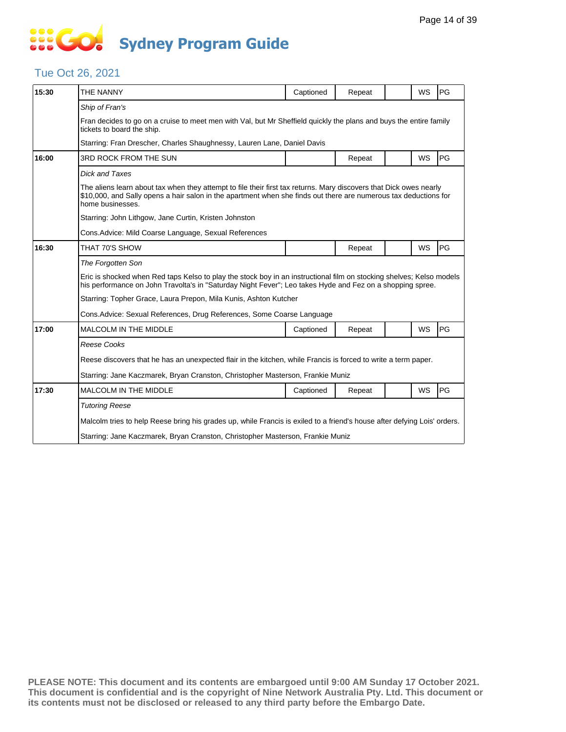## **SO GO Sydney Program Guide**

### Tue Oct 26, 2021

| 15:30 | THE NANNY                                                                                                                                                                                                                                                  | Captioned | Repeat |  | WS        | PG |  |  |  |
|-------|------------------------------------------------------------------------------------------------------------------------------------------------------------------------------------------------------------------------------------------------------------|-----------|--------|--|-----------|----|--|--|--|
|       | Ship of Fran's                                                                                                                                                                                                                                             |           |        |  |           |    |  |  |  |
|       | Fran decides to go on a cruise to meet men with Val, but Mr Sheffield quickly the plans and buys the entire family<br>tickets to board the ship.                                                                                                           |           |        |  |           |    |  |  |  |
|       | Starring: Fran Drescher, Charles Shaughnessy, Lauren Lane, Daniel Davis                                                                                                                                                                                    |           |        |  |           |    |  |  |  |
| 16:00 | <b>3RD ROCK FROM THE SUN</b>                                                                                                                                                                                                                               |           | Repeat |  | <b>WS</b> | PG |  |  |  |
|       | <b>Dick and Taxes</b>                                                                                                                                                                                                                                      |           |        |  |           |    |  |  |  |
|       | The aliens learn about tax when they attempt to file their first tax returns. Mary discovers that Dick owes nearly<br>\$10,000, and Sally opens a hair salon in the apartment when she finds out there are numerous tax deductions for<br>home businesses. |           |        |  |           |    |  |  |  |
|       | Starring: John Lithgow, Jane Curtin, Kristen Johnston                                                                                                                                                                                                      |           |        |  |           |    |  |  |  |
|       | Cons. Advice: Mild Coarse Language, Sexual References                                                                                                                                                                                                      |           |        |  |           |    |  |  |  |
| 16:30 | THAT 70'S SHOW                                                                                                                                                                                                                                             |           | Repeat |  | WS        | PG |  |  |  |
|       | The Forgotten Son                                                                                                                                                                                                                                          |           |        |  |           |    |  |  |  |
|       | Eric is shocked when Red taps Kelso to play the stock boy in an instructional film on stocking shelves; Kelso models<br>his performance on John Travolta's in "Saturday Night Fever"; Leo takes Hyde and Fez on a shopping spree.                          |           |        |  |           |    |  |  |  |
|       | Starring: Topher Grace, Laura Prepon, Mila Kunis, Ashton Kutcher                                                                                                                                                                                           |           |        |  |           |    |  |  |  |
|       | Cons. Advice: Sexual References, Drug References, Some Coarse Language                                                                                                                                                                                     |           |        |  |           |    |  |  |  |
| 17:00 | <b>MALCOLM IN THE MIDDLE</b>                                                                                                                                                                                                                               | Captioned | Repeat |  | WS        | PG |  |  |  |
|       | <b>Reese Cooks</b>                                                                                                                                                                                                                                         |           |        |  |           |    |  |  |  |
|       | Reese discovers that he has an unexpected flair in the kitchen, while Francis is forced to write a term paper.                                                                                                                                             |           |        |  |           |    |  |  |  |
|       | Starring: Jane Kaczmarek, Bryan Cranston, Christopher Masterson, Frankie Muniz                                                                                                                                                                             |           |        |  |           |    |  |  |  |
| 17:30 | MALCOLM IN THE MIDDLE                                                                                                                                                                                                                                      | Captioned | Repeat |  | WS        | PG |  |  |  |
|       | <b>Tutoring Reese</b>                                                                                                                                                                                                                                      |           |        |  |           |    |  |  |  |
|       | Malcolm tries to help Reese bring his grades up, while Francis is exiled to a friend's house after defying Lois' orders.                                                                                                                                   |           |        |  |           |    |  |  |  |
|       | Starring: Jane Kaczmarek, Bryan Cranston, Christopher Masterson, Frankie Muniz                                                                                                                                                                             |           |        |  |           |    |  |  |  |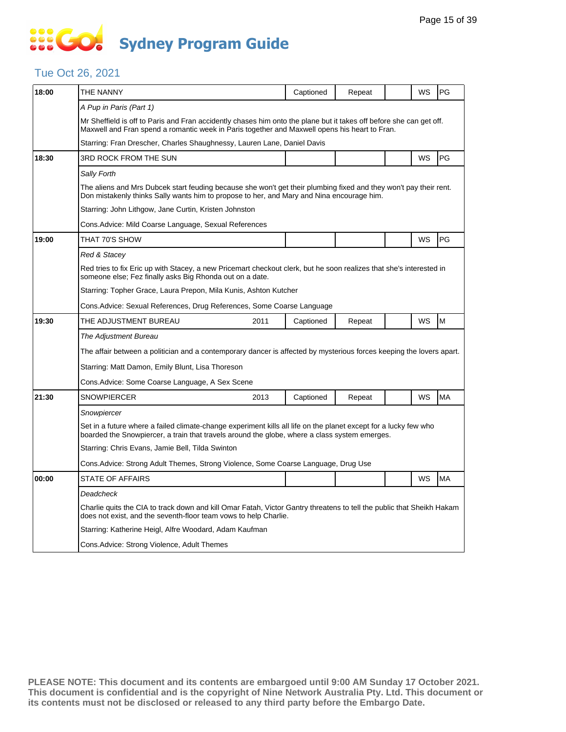### **SEC Sydney Program Guide**

### Tue Oct 26, 2021

| 18:00 | THE NANNY                                                                                                                                                                                                            |      | Captioned | Repeat |  | WS | PG        |  |  |
|-------|----------------------------------------------------------------------------------------------------------------------------------------------------------------------------------------------------------------------|------|-----------|--------|--|----|-----------|--|--|
|       | A Pup in Paris (Part 1)                                                                                                                                                                                              |      |           |        |  |    |           |  |  |
|       | Mr Sheffield is off to Paris and Fran accidently chases him onto the plane but it takes off before she can get off.<br>Maxwell and Fran spend a romantic week in Paris together and Maxwell opens his heart to Fran. |      |           |        |  |    |           |  |  |
|       | Starring: Fran Drescher, Charles Shaughnessy, Lauren Lane, Daniel Davis                                                                                                                                              |      |           |        |  |    |           |  |  |
| 18:30 | 3RD ROCK FROM THE SUN                                                                                                                                                                                                |      |           |        |  | WS | PG        |  |  |
|       | Sally Forth                                                                                                                                                                                                          |      |           |        |  |    |           |  |  |
|       | The aliens and Mrs Dubcek start feuding because she won't get their plumbing fixed and they won't pay their rent.<br>Don mistakenly thinks Sally wants him to propose to her, and Mary and Nina encourage him.       |      |           |        |  |    |           |  |  |
|       | Starring: John Lithgow, Jane Curtin, Kristen Johnston                                                                                                                                                                |      |           |        |  |    |           |  |  |
|       | Cons.Advice: Mild Coarse Language, Sexual References                                                                                                                                                                 |      |           |        |  |    |           |  |  |
| 19:00 | THAT 70'S SHOW                                                                                                                                                                                                       |      |           |        |  | WS | PG        |  |  |
|       | Red & Stacey                                                                                                                                                                                                         |      |           |        |  |    |           |  |  |
|       | Red tries to fix Eric up with Stacey, a new Pricemart checkout clerk, but he soon realizes that she's interested in<br>someone else; Fez finally asks Big Rhonda out on a date.                                      |      |           |        |  |    |           |  |  |
|       | Starring: Topher Grace, Laura Prepon, Mila Kunis, Ashton Kutcher                                                                                                                                                     |      |           |        |  |    |           |  |  |
|       | Cons.Advice: Sexual References, Drug References, Some Coarse Language                                                                                                                                                |      |           |        |  |    |           |  |  |
| 19:30 | THE ADJUSTMENT BUREAU                                                                                                                                                                                                | 2011 | Captioned | Repeat |  | WS | M         |  |  |
|       | The Adjustment Bureau                                                                                                                                                                                                |      |           |        |  |    |           |  |  |
|       | The affair between a politician and a contemporary dancer is affected by mysterious forces keeping the lovers apart.                                                                                                 |      |           |        |  |    |           |  |  |
|       | Starring: Matt Damon, Emily Blunt, Lisa Thoreson                                                                                                                                                                     |      |           |        |  |    |           |  |  |
|       | Cons. Advice: Some Coarse Language, A Sex Scene                                                                                                                                                                      |      |           |        |  |    |           |  |  |
| 21:30 | <b>SNOWPIERCER</b>                                                                                                                                                                                                   | 2013 | Captioned | Repeat |  | WS | <b>MA</b> |  |  |
|       | Snowpiercer                                                                                                                                                                                                          |      |           |        |  |    |           |  |  |
|       | Set in a future where a failed climate-change experiment kills all life on the planet except for a lucky few who<br>boarded the Snowpiercer, a train that travels around the globe, where a class system emerges.    |      |           |        |  |    |           |  |  |
|       | Starring: Chris Evans, Jamie Bell, Tilda Swinton                                                                                                                                                                     |      |           |        |  |    |           |  |  |
|       | Cons. Advice: Strong Adult Themes, Strong Violence, Some Coarse Language, Drug Use                                                                                                                                   |      |           |        |  |    |           |  |  |
| 00:00 | <b>STATE OF AFFAIRS</b>                                                                                                                                                                                              |      |           |        |  | WS | <b>MA</b> |  |  |
|       | Deadcheck                                                                                                                                                                                                            |      |           |        |  |    |           |  |  |
|       | Charlie quits the CIA to track down and kill Omar Fatah, Victor Gantry threatens to tell the public that Sheikh Hakam<br>does not exist, and the seventh-floor team vows to help Charlie.                            |      |           |        |  |    |           |  |  |
|       | Starring: Katherine Heigl, Alfre Woodard, Adam Kaufman                                                                                                                                                               |      |           |        |  |    |           |  |  |
|       | Cons. Advice: Strong Violence, Adult Themes                                                                                                                                                                          |      |           |        |  |    |           |  |  |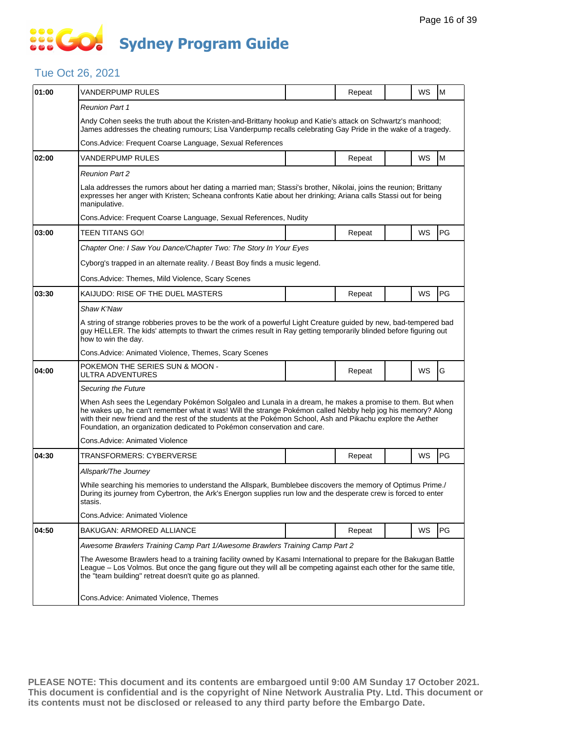# SSE GO **Sydney Program Guide**

#### Tue Oct 26, 2021

| 01:00 | VANDERPUMP RULES                                                                                                                                                                                                                                                                                                                                                                                                    |  | Repeat |  | <b>WS</b> | l M        |  |  |  |
|-------|---------------------------------------------------------------------------------------------------------------------------------------------------------------------------------------------------------------------------------------------------------------------------------------------------------------------------------------------------------------------------------------------------------------------|--|--------|--|-----------|------------|--|--|--|
|       | <b>Reunion Part 1</b>                                                                                                                                                                                                                                                                                                                                                                                               |  |        |  |           |            |  |  |  |
|       | Andy Cohen seeks the truth about the Kristen-and-Brittany hookup and Katie's attack on Schwartz's manhood;<br>James addresses the cheating rumours; Lisa Vanderpump recalls celebrating Gay Pride in the wake of a tragedy.                                                                                                                                                                                         |  |        |  |           |            |  |  |  |
|       | Cons. Advice: Frequent Coarse Language, Sexual References                                                                                                                                                                                                                                                                                                                                                           |  |        |  |           |            |  |  |  |
| 02:00 | VANDERPUMP RULES                                                                                                                                                                                                                                                                                                                                                                                                    |  | Repeat |  | WS        | M          |  |  |  |
|       | <b>Reunion Part 2</b>                                                                                                                                                                                                                                                                                                                                                                                               |  |        |  |           |            |  |  |  |
|       | Lala addresses the rumors about her dating a married man; Stassi's brother, Nikolai, joins the reunion; Brittany<br>expresses her anger with Kristen; Scheana confronts Katie about her drinking; Ariana calls Stassi out for being<br>manipulative.                                                                                                                                                                |  |        |  |           |            |  |  |  |
|       | Cons. Advice: Frequent Coarse Language, Sexual References, Nudity                                                                                                                                                                                                                                                                                                                                                   |  |        |  |           |            |  |  |  |
| 03:00 | <b>TEEN TITANS GO!</b>                                                                                                                                                                                                                                                                                                                                                                                              |  | Repeat |  | WS        | <b>PG</b>  |  |  |  |
|       | Chapter One: I Saw You Dance/Chapter Two: The Story In Your Eyes                                                                                                                                                                                                                                                                                                                                                    |  |        |  |           |            |  |  |  |
|       | Cyborg's trapped in an alternate reality. / Beast Boy finds a music legend.                                                                                                                                                                                                                                                                                                                                         |  |        |  |           |            |  |  |  |
|       | Cons. Advice: Themes, Mild Violence, Scary Scenes                                                                                                                                                                                                                                                                                                                                                                   |  |        |  |           |            |  |  |  |
| 03:30 | KAIJUDO: RISE OF THE DUEL MASTERS                                                                                                                                                                                                                                                                                                                                                                                   |  | Repeat |  | WS        | <b>PG</b>  |  |  |  |
|       | Shaw K'Naw                                                                                                                                                                                                                                                                                                                                                                                                          |  |        |  |           |            |  |  |  |
|       | A string of strange robberies proves to be the work of a powerful Light Creature guided by new, bad-tempered bad<br>guy HELLER. The kids' attempts to thwart the crimes result in Ray getting temporarily blinded before figuring out<br>how to win the day.                                                                                                                                                        |  |        |  |           |            |  |  |  |
|       | Cons. Advice: Animated Violence, Themes, Scary Scenes                                                                                                                                                                                                                                                                                                                                                               |  |        |  |           |            |  |  |  |
| 04:00 | POKEMON THE SERIES SUN & MOON -<br>ULTRA ADVENTURES                                                                                                                                                                                                                                                                                                                                                                 |  | Repeat |  | <b>WS</b> | G          |  |  |  |
|       | Securing the Future                                                                                                                                                                                                                                                                                                                                                                                                 |  |        |  |           |            |  |  |  |
|       | When Ash sees the Legendary Pokémon Solgaleo and Lunala in a dream, he makes a promise to them. But when<br>he wakes up, he can't remember what it was! Will the strange Pokémon called Nebby help jog his memory? Along<br>with their new friend and the rest of the students at the Pokémon School, Ash and Pikachu explore the Aether<br>Foundation, an organization dedicated to Pokémon conservation and care. |  |        |  |           |            |  |  |  |
|       | Cons.Advice: Animated Violence                                                                                                                                                                                                                                                                                                                                                                                      |  |        |  |           |            |  |  |  |
| 04:30 | TRANSFORMERS: CYBERVERSE                                                                                                                                                                                                                                                                                                                                                                                            |  | Repeat |  | WS        | PG         |  |  |  |
|       | Allspark/The Journey                                                                                                                                                                                                                                                                                                                                                                                                |  |        |  |           |            |  |  |  |
|       | While searching his memories to understand the Allspark, Bumblebee discovers the memory of Optimus Prime./<br>During its journey from Cybertron, the Ark's Energon supplies run low and the desperate crew is forced to enter<br>stasis.                                                                                                                                                                            |  |        |  |           |            |  |  |  |
|       | Cons.Advice: Animated Violence                                                                                                                                                                                                                                                                                                                                                                                      |  |        |  |           |            |  |  |  |
| 04:50 | <b>BAKUGAN: ARMORED ALLIANCE</b>                                                                                                                                                                                                                                                                                                                                                                                    |  | Repeat |  | WS        | <b>IPG</b> |  |  |  |
|       | Awesome Brawlers Training Camp Part 1/Awesome Brawlers Training Camp Part 2                                                                                                                                                                                                                                                                                                                                         |  |        |  |           |            |  |  |  |
|       | The Awesome Brawlers head to a training facility owned by Kasami International to prepare for the Bakugan Battle<br>League - Los Volmos. But once the gang figure out they will all be competing against each other for the same title,<br>the "team building" retreat doesn't quite go as planned.                                                                                                                 |  |        |  |           |            |  |  |  |
|       | Cons.Advice: Animated Violence, Themes                                                                                                                                                                                                                                                                                                                                                                              |  |        |  |           |            |  |  |  |
|       |                                                                                                                                                                                                                                                                                                                                                                                                                     |  |        |  |           |            |  |  |  |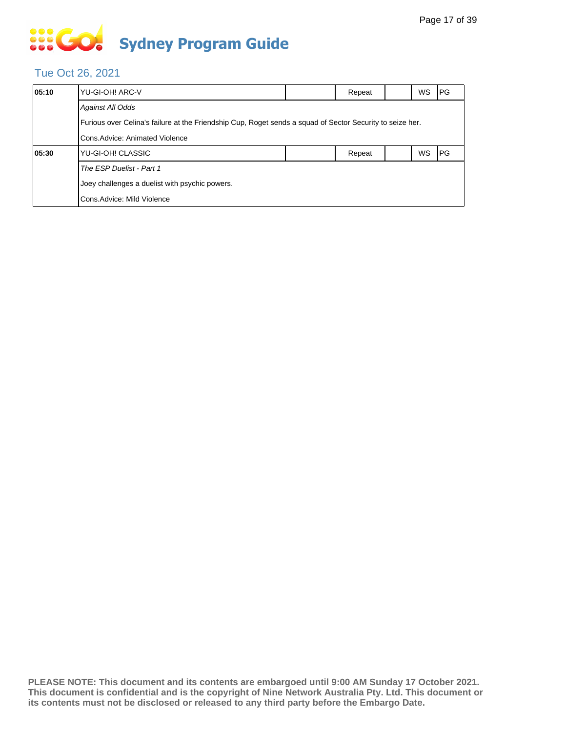# **SIS GO Sydney Program Guide**

### Tue Oct 26, 2021

| 05:10 | YU-GI-OH! ARC-V                                                                                                                              |  | Repeat |  | WS.       | IPG. |  |  |  |
|-------|----------------------------------------------------------------------------------------------------------------------------------------------|--|--------|--|-----------|------|--|--|--|
|       | <b>Against All Odds</b>                                                                                                                      |  |        |  |           |      |  |  |  |
|       | Furious over Celina's failure at the Friendship Cup, Roget sends a squad of Sector Security to seize her.<br>Cons. Advice: Animated Violence |  |        |  |           |      |  |  |  |
|       |                                                                                                                                              |  |        |  |           |      |  |  |  |
| 05:30 | YU-GI-OH! CLASSIC                                                                                                                            |  | Repeat |  | <b>WS</b> | IPG. |  |  |  |
|       | The ESP Duelist - Part 1                                                                                                                     |  |        |  |           |      |  |  |  |
|       | Joey challenges a duelist with psychic powers.                                                                                               |  |        |  |           |      |  |  |  |
|       | Cons. Advice: Mild Violence                                                                                                                  |  |        |  |           |      |  |  |  |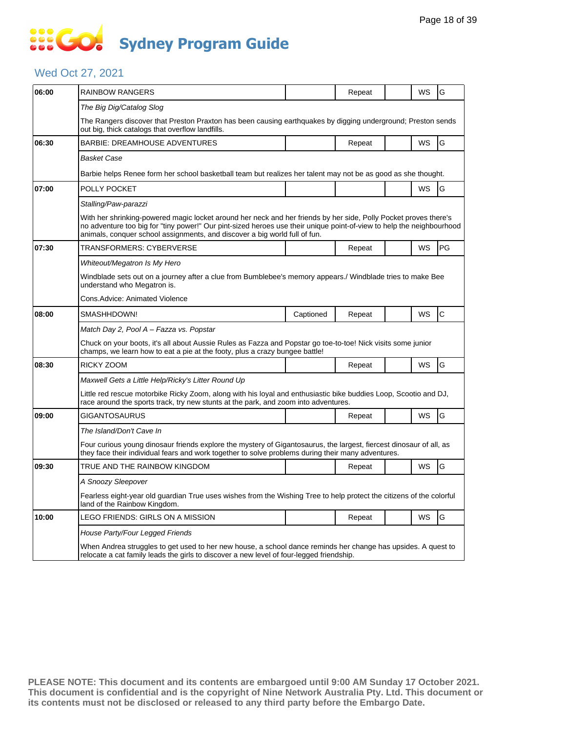### **SOS GO Sydney Program Guide**

### Wed Oct 27, 2021

| 06:00 | RAINBOW RANGERS                                                                                                                                                                                                                                                                                                         |           | Repeat |  | WS        | G  |  |  |  |
|-------|-------------------------------------------------------------------------------------------------------------------------------------------------------------------------------------------------------------------------------------------------------------------------------------------------------------------------|-----------|--------|--|-----------|----|--|--|--|
|       | The Big Dig/Catalog Slog                                                                                                                                                                                                                                                                                                |           |        |  |           |    |  |  |  |
|       | The Rangers discover that Preston Praxton has been causing earthquakes by digging underground; Preston sends<br>out big, thick catalogs that overflow landfills.                                                                                                                                                        |           |        |  |           |    |  |  |  |
| 06:30 | <b>BARBIE: DREAMHOUSE ADVENTURES</b>                                                                                                                                                                                                                                                                                    |           | Repeat |  | WS        | G  |  |  |  |
|       | Basket Case                                                                                                                                                                                                                                                                                                             |           |        |  |           |    |  |  |  |
|       | Barbie helps Renee form her school basketball team but realizes her talent may not be as good as she thought.                                                                                                                                                                                                           |           |        |  |           |    |  |  |  |
| 07:00 | POLLY POCKET                                                                                                                                                                                                                                                                                                            |           |        |  | WS        | G  |  |  |  |
|       | Stalling/Paw-parazzi                                                                                                                                                                                                                                                                                                    |           |        |  |           |    |  |  |  |
|       | With her shrinking-powered magic locket around her neck and her friends by her side, Polly Pocket proves there's<br>no adventure too big for "tiny power!" Our pint-sized heroes use their unique point-of-view to help the neighbourhood<br>animals, conquer school assignments, and discover a big world full of fun. |           |        |  |           |    |  |  |  |
| 07:30 | TRANSFORMERS: CYBERVERSE                                                                                                                                                                                                                                                                                                |           | Repeat |  | WS        | PG |  |  |  |
|       | Whiteout/Megatron Is My Hero                                                                                                                                                                                                                                                                                            |           |        |  |           |    |  |  |  |
|       | Windblade sets out on a journey after a clue from Bumblebee's memory appears./ Windblade tries to make Bee<br>understand who Megatron is.                                                                                                                                                                               |           |        |  |           |    |  |  |  |
|       | Cons.Advice: Animated Violence                                                                                                                                                                                                                                                                                          |           |        |  |           |    |  |  |  |
| 08:00 | SMASHHDOWN!                                                                                                                                                                                                                                                                                                             | Captioned | Repeat |  | WS        | C  |  |  |  |
|       | Match Day 2, Pool A - Fazza vs. Popstar                                                                                                                                                                                                                                                                                 |           |        |  |           |    |  |  |  |
|       | Chuck on your boots, it's all about Aussie Rules as Fazza and Popstar go toe-to-toe! Nick visits some junior<br>champs, we learn how to eat a pie at the footy, plus a crazy bungee battle!                                                                                                                             |           |        |  |           |    |  |  |  |
| 08:30 | RICKY ZOOM                                                                                                                                                                                                                                                                                                              |           | Repeat |  | WS        | G  |  |  |  |
|       | Maxwell Gets a Little Help/Ricky's Litter Round Up                                                                                                                                                                                                                                                                      |           |        |  |           |    |  |  |  |
|       | Little red rescue motorbike Ricky Zoom, along with his loyal and enthusiastic bike buddies Loop, Scootio and DJ,<br>race around the sports track, try new stunts at the park, and zoom into adventures.                                                                                                                 |           |        |  |           |    |  |  |  |
| 09:00 | GIGANTOSAURUS                                                                                                                                                                                                                                                                                                           |           | Repeat |  | WS        | G  |  |  |  |
|       | The Island/Don't Cave In                                                                                                                                                                                                                                                                                                |           |        |  |           |    |  |  |  |
|       | Four curious young dinosaur friends explore the mystery of Gigantosaurus, the largest, fiercest dinosaur of all, as<br>they face their individual fears and work together to solve problems during their many adventures.                                                                                               |           |        |  |           |    |  |  |  |
| 09:30 | TRUE AND THE RAINBOW KINGDOM                                                                                                                                                                                                                                                                                            |           | Repeat |  | <b>WS</b> | G  |  |  |  |
|       | A Snoozy Sleepover                                                                                                                                                                                                                                                                                                      |           |        |  |           |    |  |  |  |
|       | Fearless eight-year old guardian True uses wishes from the Wishing Tree to help protect the citizens of the colorful<br>land of the Rainbow Kingdom.                                                                                                                                                                    |           |        |  |           |    |  |  |  |
| 10:00 | LEGO FRIENDS: GIRLS ON A MISSION                                                                                                                                                                                                                                                                                        |           | Repeat |  | WS        | G  |  |  |  |
|       | House Party/Four Legged Friends                                                                                                                                                                                                                                                                                         |           |        |  |           |    |  |  |  |
|       | When Andrea struggles to get used to her new house, a school dance reminds her change has upsides. A quest to<br>relocate a cat family leads the girls to discover a new level of four-legged friendship.                                                                                                               |           |        |  |           |    |  |  |  |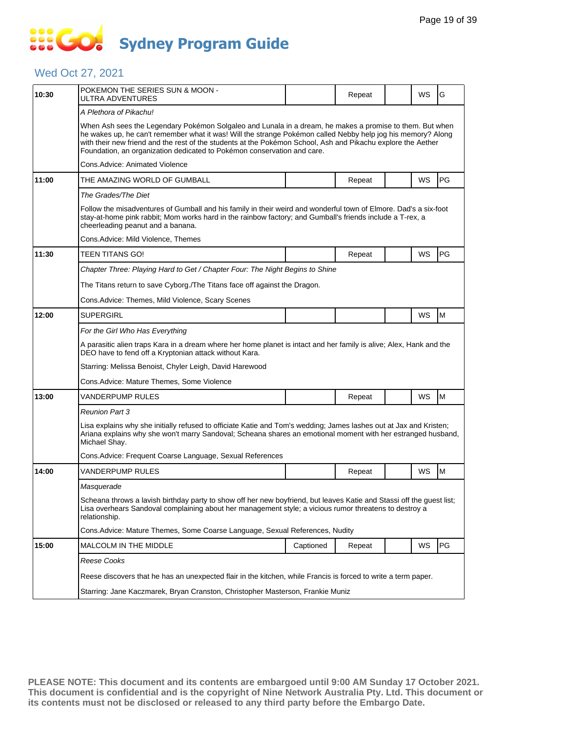## **SOCO Sydney Program Guide**

### Wed Oct 27, 2021

| 10:30 | POKEMON THE SERIES SUN & MOON -<br>ULTRA ADVENTURES                                                                                                                                                                                                                                                                                                                                                                 |           | Repeat |  | WS | G         |  |  |  |
|-------|---------------------------------------------------------------------------------------------------------------------------------------------------------------------------------------------------------------------------------------------------------------------------------------------------------------------------------------------------------------------------------------------------------------------|-----------|--------|--|----|-----------|--|--|--|
|       | A Plethora of Pikachu!                                                                                                                                                                                                                                                                                                                                                                                              |           |        |  |    |           |  |  |  |
|       | When Ash sees the Legendary Pokémon Solgaleo and Lunala in a dream, he makes a promise to them. But when<br>he wakes up, he can't remember what it was! Will the strange Pokémon called Nebby help jog his memory? Along<br>with their new friend and the rest of the students at the Pokémon School, Ash and Pikachu explore the Aether<br>Foundation, an organization dedicated to Pokémon conservation and care. |           |        |  |    |           |  |  |  |
|       | Cons.Advice: Animated Violence                                                                                                                                                                                                                                                                                                                                                                                      |           |        |  |    |           |  |  |  |
| 11:00 | THE AMAZING WORLD OF GUMBALL                                                                                                                                                                                                                                                                                                                                                                                        |           | Repeat |  | WS | <b>PG</b> |  |  |  |
|       | The Grades/The Diet                                                                                                                                                                                                                                                                                                                                                                                                 |           |        |  |    |           |  |  |  |
|       | Follow the misadventures of Gumball and his family in their weird and wonderful town of Elmore. Dad's a six-foot<br>stay-at-home pink rabbit; Mom works hard in the rainbow factory; and Gumball's friends include a T-rex, a<br>cheerleading peanut and a banana.                                                                                                                                                  |           |        |  |    |           |  |  |  |
|       | Cons.Advice: Mild Violence, Themes                                                                                                                                                                                                                                                                                                                                                                                  |           |        |  |    |           |  |  |  |
| 11:30 | TEEN TITANS GO!                                                                                                                                                                                                                                                                                                                                                                                                     |           | Repeat |  | WS | PG        |  |  |  |
|       | Chapter Three: Playing Hard to Get / Chapter Four: The Night Begins to Shine                                                                                                                                                                                                                                                                                                                                        |           |        |  |    |           |  |  |  |
|       | The Titans return to save Cyborg./The Titans face off against the Dragon.                                                                                                                                                                                                                                                                                                                                           |           |        |  |    |           |  |  |  |
|       | Cons.Advice: Themes, Mild Violence, Scary Scenes                                                                                                                                                                                                                                                                                                                                                                    |           |        |  |    |           |  |  |  |
| 12:00 | <b>SUPERGIRL</b>                                                                                                                                                                                                                                                                                                                                                                                                    |           |        |  | WS | M         |  |  |  |
|       | For the Girl Who Has Everything                                                                                                                                                                                                                                                                                                                                                                                     |           |        |  |    |           |  |  |  |
|       | A parasitic alien traps Kara in a dream where her home planet is intact and her family is alive; Alex, Hank and the<br>DEO have to fend off a Kryptonian attack without Kara.                                                                                                                                                                                                                                       |           |        |  |    |           |  |  |  |
|       | Starring: Melissa Benoist, Chyler Leigh, David Harewood                                                                                                                                                                                                                                                                                                                                                             |           |        |  |    |           |  |  |  |
|       | Cons.Advice: Mature Themes, Some Violence                                                                                                                                                                                                                                                                                                                                                                           |           |        |  |    |           |  |  |  |
| 13:00 | VANDERPUMP RULES                                                                                                                                                                                                                                                                                                                                                                                                    |           | Repeat |  | WS | M         |  |  |  |
|       | Reunion Part 3                                                                                                                                                                                                                                                                                                                                                                                                      |           |        |  |    |           |  |  |  |
|       | Lisa explains why she initially refused to officiate Katie and Tom's wedding; James lashes out at Jax and Kristen;<br>Ariana explains why she won't marry Sandoval; Scheana shares an emotional moment with her estranged husband,<br>Michael Shay.                                                                                                                                                                 |           |        |  |    |           |  |  |  |
|       | Cons. Advice: Frequent Coarse Language, Sexual References                                                                                                                                                                                                                                                                                                                                                           |           |        |  |    |           |  |  |  |
| 14:00 | VANDERPUMP RULES                                                                                                                                                                                                                                                                                                                                                                                                    |           | Repeat |  | WS | M         |  |  |  |
|       | Masquerade                                                                                                                                                                                                                                                                                                                                                                                                          |           |        |  |    |           |  |  |  |
|       | Scheana throws a lavish birthday party to show off her new boyfriend, but leaves Katie and Stassi off the guest list;<br>Lisa overhears Sandoval complaining about her management style; a vicious rumor threatens to destroy a<br>relationship.                                                                                                                                                                    |           |        |  |    |           |  |  |  |
|       | Cons.Advice: Mature Themes, Some Coarse Language, Sexual References, Nudity                                                                                                                                                                                                                                                                                                                                         |           |        |  |    |           |  |  |  |
| 15:00 | MALCOLM IN THE MIDDLE                                                                                                                                                                                                                                                                                                                                                                                               | Captioned | Repeat |  | WS | PG        |  |  |  |
|       | Reese Cooks                                                                                                                                                                                                                                                                                                                                                                                                         |           |        |  |    |           |  |  |  |
|       | Reese discovers that he has an unexpected flair in the kitchen, while Francis is forced to write a term paper.                                                                                                                                                                                                                                                                                                      |           |        |  |    |           |  |  |  |
|       | Starring: Jane Kaczmarek, Bryan Cranston, Christopher Masterson, Frankie Muniz                                                                                                                                                                                                                                                                                                                                      |           |        |  |    |           |  |  |  |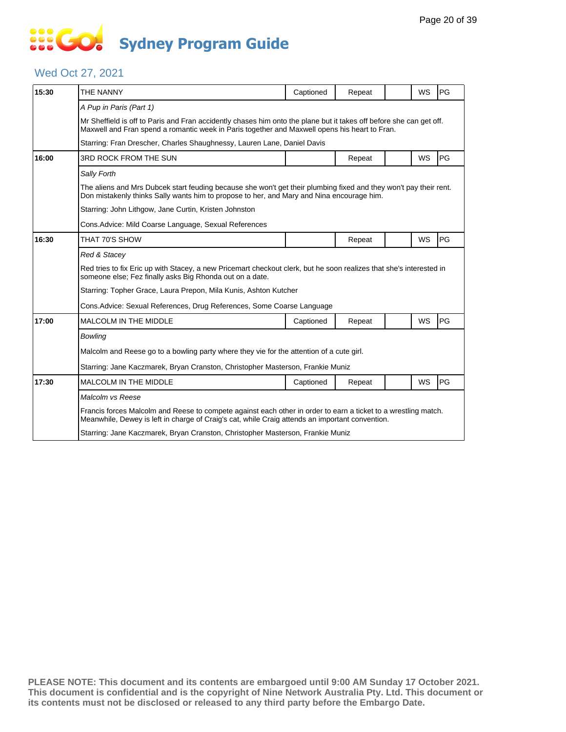## **SOS GO Sydney Program Guide**

#### Wed Oct 27, 2021

| 15:30 | THE NANNY                                                                                                                                                                                                            | Captioned | Repeat |  | <b>WS</b> | PG |  |  |
|-------|----------------------------------------------------------------------------------------------------------------------------------------------------------------------------------------------------------------------|-----------|--------|--|-----------|----|--|--|
|       | A Pup in Paris (Part 1)                                                                                                                                                                                              |           |        |  |           |    |  |  |
|       | Mr Sheffield is off to Paris and Fran accidently chases him onto the plane but it takes off before she can get off.<br>Maxwell and Fran spend a romantic week in Paris together and Maxwell opens his heart to Fran. |           |        |  |           |    |  |  |
|       | Starring: Fran Drescher, Charles Shaughnessy, Lauren Lane, Daniel Davis                                                                                                                                              |           |        |  |           |    |  |  |
| 16:00 | 3RD ROCK FROM THE SUN                                                                                                                                                                                                |           | Repeat |  | <b>WS</b> | PG |  |  |
|       | Sally Forth                                                                                                                                                                                                          |           |        |  |           |    |  |  |
|       | The aliens and Mrs Dubcek start feuding because she won't get their plumbing fixed and they won't pay their rent.<br>Don mistakenly thinks Sally wants him to propose to her, and Mary and Nina encourage him.       |           |        |  |           |    |  |  |
|       | Starring: John Lithgow, Jane Curtin, Kristen Johnston                                                                                                                                                                |           |        |  |           |    |  |  |
|       | Cons. Advice: Mild Coarse Language, Sexual References                                                                                                                                                                |           |        |  |           |    |  |  |
| 16:30 | THAT 70'S SHOW                                                                                                                                                                                                       |           | Repeat |  | <b>WS</b> | PG |  |  |
|       | Red & Stacey                                                                                                                                                                                                         |           |        |  |           |    |  |  |
|       | Red tries to fix Eric up with Stacey, a new Pricemart checkout clerk, but he soon realizes that she's interested in<br>someone else; Fez finally asks Big Rhonda out on a date.                                      |           |        |  |           |    |  |  |
|       | Starring: Topher Grace, Laura Prepon, Mila Kunis, Ashton Kutcher                                                                                                                                                     |           |        |  |           |    |  |  |
|       | Cons. Advice: Sexual References, Drug References, Some Coarse Language                                                                                                                                               |           |        |  |           |    |  |  |
| 17:00 | <b>MALCOLM IN THE MIDDLE</b>                                                                                                                                                                                         | Captioned | Repeat |  | WS        | PG |  |  |
|       | <b>Bowling</b>                                                                                                                                                                                                       |           |        |  |           |    |  |  |
|       | Malcolm and Reese go to a bowling party where they vie for the attention of a cute girl.                                                                                                                             |           |        |  |           |    |  |  |
|       | Starring: Jane Kaczmarek, Bryan Cranston, Christopher Masterson, Frankie Muniz                                                                                                                                       |           |        |  |           |    |  |  |
| 17:30 | <b>MALCOLM IN THE MIDDLE</b>                                                                                                                                                                                         | Captioned | Repeat |  | <b>WS</b> | PG |  |  |
|       | Malcolm vs Reese                                                                                                                                                                                                     |           |        |  |           |    |  |  |
|       | Francis forces Malcolm and Reese to compete against each other in order to earn a ticket to a wrestling match.<br>Meanwhile, Dewey is left in charge of Craig's cat, while Craig attends an important convention.    |           |        |  |           |    |  |  |
|       | Starring: Jane Kaczmarek, Bryan Cranston, Christopher Masterson, Frankie Muniz                                                                                                                                       |           |        |  |           |    |  |  |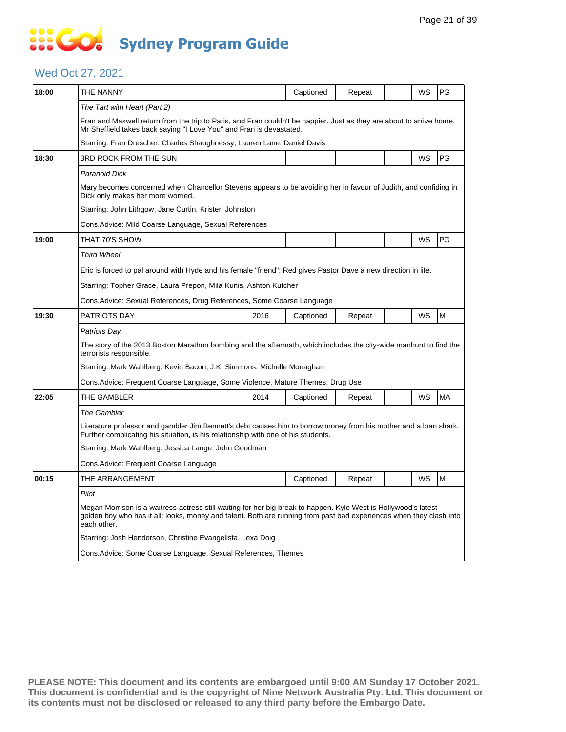## **SOS GO Sydney Program Guide**

#### Wed Oct 27, 2021

| 18:00 | THE NANNY                                                                                                                                                                                                                                             | Captioned | Repeat |  | WS | PG        |  |  |
|-------|-------------------------------------------------------------------------------------------------------------------------------------------------------------------------------------------------------------------------------------------------------|-----------|--------|--|----|-----------|--|--|
|       | The Tart with Heart (Part 2)                                                                                                                                                                                                                          |           |        |  |    |           |  |  |
|       | Fran and Maxwell return from the trip to Paris, and Fran couldn't be happier. Just as they are about to arrive home,<br>Mr Sheffield takes back saying "I Love You" and Fran is devastated.                                                           |           |        |  |    |           |  |  |
|       | Starring: Fran Drescher, Charles Shaughnessy, Lauren Lane, Daniel Davis                                                                                                                                                                               |           |        |  |    |           |  |  |
| 18:30 | 3RD ROCK FROM THE SUN                                                                                                                                                                                                                                 |           |        |  | WS | PG        |  |  |
|       | Paranoid Dick                                                                                                                                                                                                                                         |           |        |  |    |           |  |  |
|       | Mary becomes concerned when Chancellor Stevens appears to be avoiding her in favour of Judith, and confiding in<br>Dick only makes her more worried.                                                                                                  |           |        |  |    |           |  |  |
|       | Starring: John Lithgow, Jane Curtin, Kristen Johnston                                                                                                                                                                                                 |           |        |  |    |           |  |  |
|       | Cons.Advice: Mild Coarse Language, Sexual References                                                                                                                                                                                                  |           |        |  |    |           |  |  |
| 19:00 | THAT 70'S SHOW                                                                                                                                                                                                                                        |           |        |  | WS | PG        |  |  |
|       | <b>Third Wheel</b>                                                                                                                                                                                                                                    |           |        |  |    |           |  |  |
|       | Eric is forced to pal around with Hyde and his female "friend"; Red gives Pastor Dave a new direction in life.                                                                                                                                        |           |        |  |    |           |  |  |
|       | Starring: Topher Grace, Laura Prepon, Mila Kunis, Ashton Kutcher                                                                                                                                                                                      |           |        |  |    |           |  |  |
|       | Cons.Advice: Sexual References, Drug References, Some Coarse Language                                                                                                                                                                                 |           |        |  |    |           |  |  |
| 19:30 | <b>PATRIOTS DAY</b><br>2016                                                                                                                                                                                                                           | Captioned | Repeat |  | WS | M         |  |  |
|       | Patriots Dav                                                                                                                                                                                                                                          |           |        |  |    |           |  |  |
|       | The story of the 2013 Boston Marathon bombing and the aftermath, which includes the city-wide manhunt to find the<br>terrorists responsible.                                                                                                          |           |        |  |    |           |  |  |
|       | Starring: Mark Wahlberg, Kevin Bacon, J.K. Simmons, Michelle Monaghan                                                                                                                                                                                 |           |        |  |    |           |  |  |
|       | Cons.Advice: Frequent Coarse Language, Some Violence, Mature Themes, Drug Use                                                                                                                                                                         |           |        |  |    |           |  |  |
| 22:05 | THE GAMBLER<br>2014                                                                                                                                                                                                                                   | Captioned | Repeat |  | WS | <b>MA</b> |  |  |
|       | <b>The Gambler</b>                                                                                                                                                                                                                                    |           |        |  |    |           |  |  |
|       | Literature professor and gambler Jim Bennett's debt causes him to borrow money from his mother and a loan shark.<br>Further complicating his situation, is his relationship with one of his students.                                                 |           |        |  |    |           |  |  |
|       | Starring: Mark Wahlberg, Jessica Lange, John Goodman                                                                                                                                                                                                  |           |        |  |    |           |  |  |
|       | Cons.Advice: Frequent Coarse Language                                                                                                                                                                                                                 |           |        |  |    |           |  |  |
| 00:15 | THE ARRANGEMENT                                                                                                                                                                                                                                       | Captioned | Repeat |  | WS | M         |  |  |
|       | Pilot                                                                                                                                                                                                                                                 |           |        |  |    |           |  |  |
|       | Megan Morrison is a waitress-actress still waiting for her big break to happen. Kyle West is Hollywood's latest<br>golden boy who has it all: looks, money and talent. Both are running from past bad experiences when they clash into<br>each other. |           |        |  |    |           |  |  |
|       | Starring: Josh Henderson, Christine Evangelista, Lexa Doig                                                                                                                                                                                            |           |        |  |    |           |  |  |
|       | Cons.Advice: Some Coarse Language, Sexual References, Themes                                                                                                                                                                                          |           |        |  |    |           |  |  |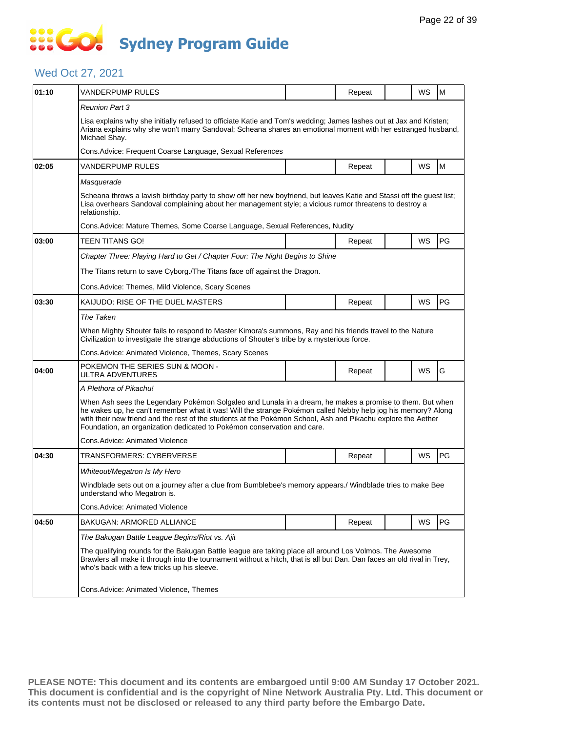### **SOCO Sydney Program Guide**

### Wed Oct 27, 2021

| 01:10 | VANDERPUMP RULES                                                                                                                                                                                                                                                                                                                                                                                                    |  | Repeat |  | WS | M         |  |  |  |
|-------|---------------------------------------------------------------------------------------------------------------------------------------------------------------------------------------------------------------------------------------------------------------------------------------------------------------------------------------------------------------------------------------------------------------------|--|--------|--|----|-----------|--|--|--|
|       | <b>Reunion Part 3</b>                                                                                                                                                                                                                                                                                                                                                                                               |  |        |  |    |           |  |  |  |
|       | Lisa explains why she initially refused to officiate Katie and Tom's wedding; James lashes out at Jax and Kristen;<br>Ariana explains why she won't marry Sandoval; Scheana shares an emotional moment with her estranged husband,<br>Michael Shay.                                                                                                                                                                 |  |        |  |    |           |  |  |  |
|       | Cons. Advice: Frequent Coarse Language, Sexual References                                                                                                                                                                                                                                                                                                                                                           |  |        |  |    |           |  |  |  |
| 02:05 | VANDERPUMP RULES                                                                                                                                                                                                                                                                                                                                                                                                    |  | Repeat |  | WS | M         |  |  |  |
|       | Masquerade                                                                                                                                                                                                                                                                                                                                                                                                          |  |        |  |    |           |  |  |  |
|       | Scheana throws a lavish birthday party to show off her new boyfriend, but leaves Katie and Stassi off the guest list;<br>Lisa overhears Sandoval complaining about her management style; a vicious rumor threatens to destroy a<br>relationship.                                                                                                                                                                    |  |        |  |    |           |  |  |  |
|       | Cons. Advice: Mature Themes, Some Coarse Language, Sexual References, Nudity                                                                                                                                                                                                                                                                                                                                        |  |        |  |    |           |  |  |  |
| 03:00 | TEEN TITANS GO!                                                                                                                                                                                                                                                                                                                                                                                                     |  | Repeat |  | WS | PG        |  |  |  |
|       | Chapter Three: Playing Hard to Get / Chapter Four: The Night Begins to Shine                                                                                                                                                                                                                                                                                                                                        |  |        |  |    |           |  |  |  |
|       | The Titans return to save Cyborg./The Titans face off against the Dragon.                                                                                                                                                                                                                                                                                                                                           |  |        |  |    |           |  |  |  |
|       | Cons. Advice: Themes, Mild Violence, Scary Scenes                                                                                                                                                                                                                                                                                                                                                                   |  |        |  |    |           |  |  |  |
| 03:30 | KAIJUDO: RISE OF THE DUEL MASTERS                                                                                                                                                                                                                                                                                                                                                                                   |  | Repeat |  | WS | PG        |  |  |  |
|       | The Taken                                                                                                                                                                                                                                                                                                                                                                                                           |  |        |  |    |           |  |  |  |
|       | When Mighty Shouter fails to respond to Master Kimora's summons, Ray and his friends travel to the Nature<br>Civilization to investigate the strange abductions of Shouter's tribe by a mysterious force.                                                                                                                                                                                                           |  |        |  |    |           |  |  |  |
|       | Cons.Advice: Animated Violence, Themes, Scary Scenes                                                                                                                                                                                                                                                                                                                                                                |  |        |  |    |           |  |  |  |
| 04:00 | POKEMON THE SERIES SUN & MOON -<br>ULTRA ADVENTURES                                                                                                                                                                                                                                                                                                                                                                 |  | Repeat |  | WS | G         |  |  |  |
|       | A Plethora of Pikachu!                                                                                                                                                                                                                                                                                                                                                                                              |  |        |  |    |           |  |  |  |
|       | When Ash sees the Legendary Pokémon Solgaleo and Lunala in a dream, he makes a promise to them. But when<br>he wakes up, he can't remember what it was! Will the strange Pokémon called Nebby help jog his memory? Along<br>with their new friend and the rest of the students at the Pokémon School, Ash and Pikachu explore the Aether<br>Foundation, an organization dedicated to Pokémon conservation and care. |  |        |  |    |           |  |  |  |
|       | Cons.Advice: Animated Violence                                                                                                                                                                                                                                                                                                                                                                                      |  |        |  |    |           |  |  |  |
| 04:30 | TRANSFORMERS: CYBERVERSE                                                                                                                                                                                                                                                                                                                                                                                            |  | Repeat |  | WS | <b>PG</b> |  |  |  |
|       | Whiteout/Megatron Is My Hero                                                                                                                                                                                                                                                                                                                                                                                        |  |        |  |    |           |  |  |  |
|       | Windblade sets out on a journey after a clue from Bumblebee's memory appears./ Windblade tries to make Bee<br>understand who Megatron is.                                                                                                                                                                                                                                                                           |  |        |  |    |           |  |  |  |
|       | Cons.Advice: Animated Violence                                                                                                                                                                                                                                                                                                                                                                                      |  |        |  |    |           |  |  |  |
| 04:50 | BAKUGAN: ARMORED ALLIANCE                                                                                                                                                                                                                                                                                                                                                                                           |  | Repeat |  | WS | PG        |  |  |  |
|       | The Bakugan Battle League Begins/Riot vs. Ajit                                                                                                                                                                                                                                                                                                                                                                      |  |        |  |    |           |  |  |  |
|       | The qualifying rounds for the Bakugan Battle league are taking place all around Los Volmos. The Awesome<br>Brawlers all make it through into the tournament without a hitch, that is all but Dan. Dan faces an old rival in Trey,<br>who's back with a few tricks up his sleeve.                                                                                                                                    |  |        |  |    |           |  |  |  |
|       | Cons.Advice: Animated Violence, Themes                                                                                                                                                                                                                                                                                                                                                                              |  |        |  |    |           |  |  |  |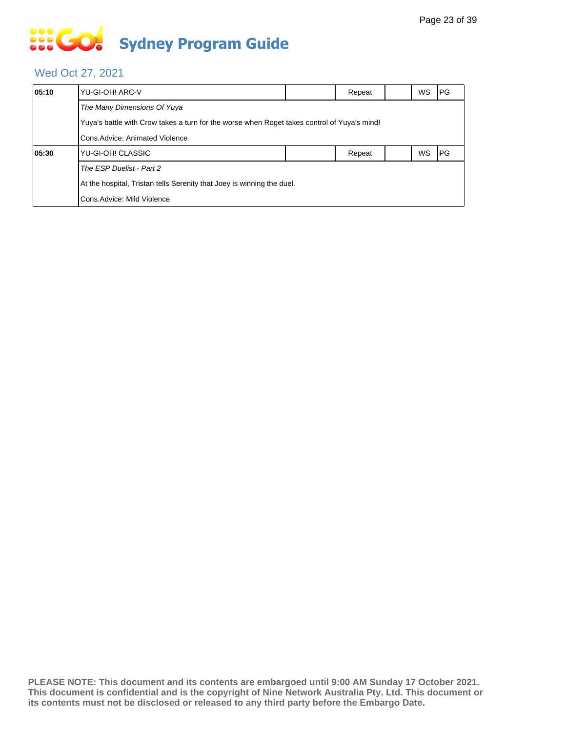# **... Go Sydney Program Guide**

### Wed Oct 27, 2021

| 05:10 | YU-GI-OH! ARC-V                                                                                                                |  | Repeat |  | <b>WS</b> | <b>IPG</b> |  |  |  |
|-------|--------------------------------------------------------------------------------------------------------------------------------|--|--------|--|-----------|------------|--|--|--|
|       | The Many Dimensions Of Yuya                                                                                                    |  |        |  |           |            |  |  |  |
|       | Yuya's battle with Crow takes a turn for the worse when Roget takes control of Yuya's mind!<br>Cons. Advice: Animated Violence |  |        |  |           |            |  |  |  |
|       |                                                                                                                                |  |        |  |           |            |  |  |  |
| 05:30 | YU-GI-OH! CLASSIC                                                                                                              |  | Repeat |  | <b>WS</b> | <b>IPG</b> |  |  |  |
|       | The ESP Duelist - Part 2                                                                                                       |  |        |  |           |            |  |  |  |
|       | At the hospital, Tristan tells Serenity that Joey is winning the duel.                                                         |  |        |  |           |            |  |  |  |
|       | Cons. Advice: Mild Violence                                                                                                    |  |        |  |           |            |  |  |  |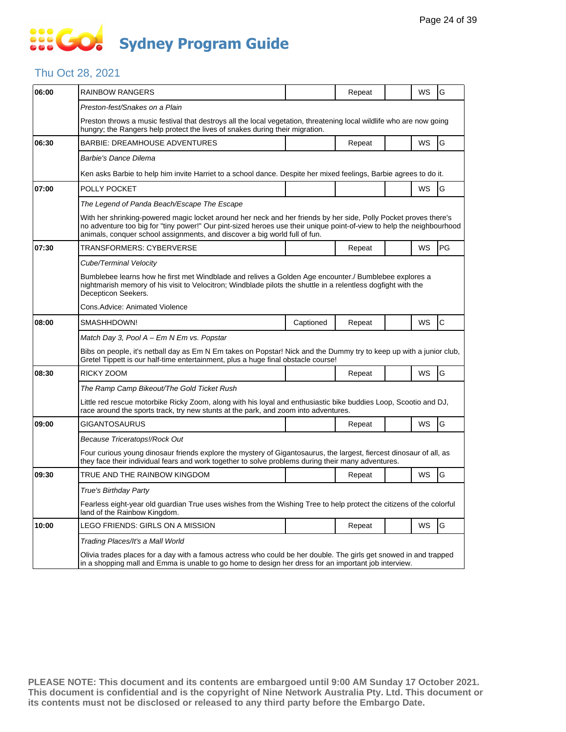### **SO GO Sydney Program Guide**

### Thu Oct 28, 2021

| 06:00 | <b>RAINBOW RANGERS</b>                                                                                                                                                                                                                                                                                                  |           | Repeat |  | WS | G            |  |  |
|-------|-------------------------------------------------------------------------------------------------------------------------------------------------------------------------------------------------------------------------------------------------------------------------------------------------------------------------|-----------|--------|--|----|--------------|--|--|
|       |                                                                                                                                                                                                                                                                                                                         |           |        |  |    |              |  |  |
|       | Preston-fest/Snakes on a Plain                                                                                                                                                                                                                                                                                          |           |        |  |    |              |  |  |
|       | Preston throws a music festival that destroys all the local vegetation, threatening local wildlife who are now going<br>hungry; the Rangers help protect the lives of snakes during their migration.                                                                                                                    |           |        |  |    |              |  |  |
| 06:30 | <b>BARBIE: DREAMHOUSE ADVENTURES</b>                                                                                                                                                                                                                                                                                    |           | Repeat |  | WS | G            |  |  |
|       | Barbie's Dance Dilema                                                                                                                                                                                                                                                                                                   |           |        |  |    |              |  |  |
|       | Ken asks Barbie to help him invite Harriet to a school dance. Despite her mixed feelings, Barbie agrees to do it.                                                                                                                                                                                                       |           |        |  |    |              |  |  |
| 07:00 | POLLY POCKET                                                                                                                                                                                                                                                                                                            |           |        |  | WS | G            |  |  |
|       | The Legend of Panda Beach/Escape The Escape                                                                                                                                                                                                                                                                             |           |        |  |    |              |  |  |
|       | With her shrinking-powered magic locket around her neck and her friends by her side, Polly Pocket proves there's<br>no adventure too big for "tiny power!" Our pint-sized heroes use their unique point-of-view to help the neighbourhood<br>animals, conquer school assignments, and discover a big world full of fun. |           |        |  |    |              |  |  |
| 07:30 | TRANSFORMERS: CYBERVERSE                                                                                                                                                                                                                                                                                                |           | Repeat |  | WS | PG           |  |  |
|       | Cube/Terminal Velocity                                                                                                                                                                                                                                                                                                  |           |        |  |    |              |  |  |
|       | Bumblebee learns how he first met Windblade and relives a Golden Age encounter./ Bumblebee explores a<br>nightmarish memory of his visit to Velocitron; Windblade pilots the shuttle in a relentless dogfight with the<br>Decepticon Seekers.                                                                           |           |        |  |    |              |  |  |
|       | Cons.Advice: Animated Violence                                                                                                                                                                                                                                                                                          |           |        |  |    |              |  |  |
| 08:00 | SMASHHDOWN!                                                                                                                                                                                                                                                                                                             | Captioned | Repeat |  | WS | $\mathsf{C}$ |  |  |
|       | Match Day 3, Pool A - Em N Em vs. Popstar                                                                                                                                                                                                                                                                               |           |        |  |    |              |  |  |
|       | Bibs on people, it's netball day as Em N Em takes on Popstar! Nick and the Dummy try to keep up with a junior club,<br>Gretel Tippett is our half-time entertainment, plus a huge final obstacle course!                                                                                                                |           |        |  |    |              |  |  |
| 08:30 | RICKY ZOOM                                                                                                                                                                                                                                                                                                              |           | Repeat |  | WS | G            |  |  |
|       | The Ramp Camp Bikeout/The Gold Ticket Rush                                                                                                                                                                                                                                                                              |           |        |  |    |              |  |  |
|       | Little red rescue motorbike Ricky Zoom, along with his loyal and enthusiastic bike buddies Loop, Scootio and DJ,<br>race around the sports track, try new stunts at the park, and zoom into adventures.                                                                                                                 |           |        |  |    |              |  |  |
| 09:00 | GIGANTOSAURUS                                                                                                                                                                                                                                                                                                           |           | Repeat |  | WS | G            |  |  |
|       | Because Triceratops!/Rock Out                                                                                                                                                                                                                                                                                           |           |        |  |    |              |  |  |
|       | Four curious young dinosaur friends explore the mystery of Gigantosaurus, the largest, fiercest dinosaur of all, as<br>they face their individual fears and work together to solve problems during their many adventures.                                                                                               |           |        |  |    |              |  |  |
| 09:30 | TRUE AND THE RAINBOW KINGDOM                                                                                                                                                                                                                                                                                            |           | Repeat |  | WS | G            |  |  |
|       | True's Birthday Party                                                                                                                                                                                                                                                                                                   |           |        |  |    |              |  |  |
|       | Fearless eight-year old quardian True uses wishes from the Wishing Tree to help protect the citizens of the colorful<br>land of the Rainbow Kingdom.                                                                                                                                                                    |           |        |  |    |              |  |  |
| 10:00 | LEGO FRIENDS: GIRLS ON A MISSION                                                                                                                                                                                                                                                                                        |           | Repeat |  | WS | G            |  |  |
|       | Trading Places/It's a Mall World                                                                                                                                                                                                                                                                                        |           |        |  |    |              |  |  |
|       | Olivia trades places for a day with a famous actress who could be her double. The girls get snowed in and trapped<br>in a shopping mall and Emma is unable to go home to design her dress for an important job interview.                                                                                               |           |        |  |    |              |  |  |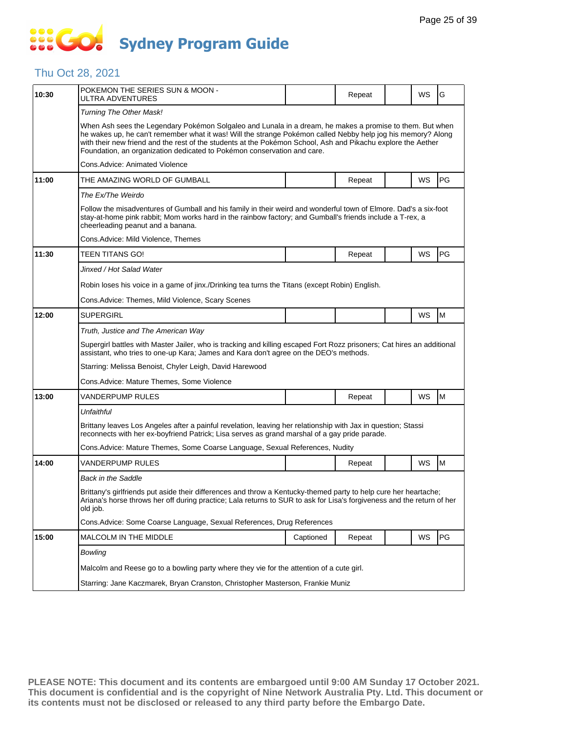## **SOCOL Sydney Program Guide**

### Thu Oct 28, 2021

| 10:30 | POKEMON THE SERIES SUN & MOON -<br>ULTRA ADVENTURES                                                                                                                                                                                                                                                                                                                                                                 |           | Repeat |  | WS | G  |  |  |
|-------|---------------------------------------------------------------------------------------------------------------------------------------------------------------------------------------------------------------------------------------------------------------------------------------------------------------------------------------------------------------------------------------------------------------------|-----------|--------|--|----|----|--|--|
|       | Turning The Other Mask!                                                                                                                                                                                                                                                                                                                                                                                             |           |        |  |    |    |  |  |
|       | When Ash sees the Legendary Pokémon Solgaleo and Lunala in a dream, he makes a promise to them. But when<br>he wakes up, he can't remember what it was! Will the strange Pokémon called Nebby help jog his memory? Along<br>with their new friend and the rest of the students at the Pokémon School, Ash and Pikachu explore the Aether<br>Foundation, an organization dedicated to Pokémon conservation and care. |           |        |  |    |    |  |  |
|       | Cons.Advice: Animated Violence                                                                                                                                                                                                                                                                                                                                                                                      |           |        |  |    |    |  |  |
| 11:00 | THE AMAZING WORLD OF GUMBALL                                                                                                                                                                                                                                                                                                                                                                                        |           | Repeat |  | WS | PG |  |  |
|       | The Ex/The Weirdo                                                                                                                                                                                                                                                                                                                                                                                                   |           |        |  |    |    |  |  |
|       | Follow the misadventures of Gumball and his family in their weird and wonderful town of Elmore. Dad's a six-foot<br>stay-at-home pink rabbit; Mom works hard in the rainbow factory; and Gumball's friends include a T-rex, a<br>cheerleading peanut and a banana.                                                                                                                                                  |           |        |  |    |    |  |  |
|       | Cons.Advice: Mild Violence, Themes                                                                                                                                                                                                                                                                                                                                                                                  |           |        |  |    |    |  |  |
| 11:30 | TEEN TITANS GO!                                                                                                                                                                                                                                                                                                                                                                                                     |           | Repeat |  | WS | PG |  |  |
|       | Jinxed / Hot Salad Water                                                                                                                                                                                                                                                                                                                                                                                            |           |        |  |    |    |  |  |
|       | Robin loses his voice in a game of jinx./Drinking tea turns the Titans (except Robin) English.                                                                                                                                                                                                                                                                                                                      |           |        |  |    |    |  |  |
|       | Cons.Advice: Themes, Mild Violence, Scary Scenes                                                                                                                                                                                                                                                                                                                                                                    |           |        |  |    |    |  |  |
| 12:00 | <b>SUPERGIRL</b>                                                                                                                                                                                                                                                                                                                                                                                                    |           |        |  | WS | M  |  |  |
|       | Truth, Justice and The American Way                                                                                                                                                                                                                                                                                                                                                                                 |           |        |  |    |    |  |  |
|       | Supergirl battles with Master Jailer, who is tracking and killing escaped Fort Rozz prisoners; Cat hires an additional<br>assistant, who tries to one-up Kara; James and Kara don't agree on the DEO's methods.                                                                                                                                                                                                     |           |        |  |    |    |  |  |
|       | Starring: Melissa Benoist, Chyler Leigh, David Harewood                                                                                                                                                                                                                                                                                                                                                             |           |        |  |    |    |  |  |
|       | Cons.Advice: Mature Themes, Some Violence                                                                                                                                                                                                                                                                                                                                                                           |           |        |  |    |    |  |  |
| 13:00 | VANDERPUMP RULES                                                                                                                                                                                                                                                                                                                                                                                                    |           | Repeat |  | WS | M  |  |  |
|       | Unfaithful                                                                                                                                                                                                                                                                                                                                                                                                          |           |        |  |    |    |  |  |
|       | Brittany leaves Los Angeles after a painful revelation, leaving her relationship with Jax in question; Stassi<br>reconnects with her ex-boyfriend Patrick; Lisa serves as grand marshal of a gay pride parade.                                                                                                                                                                                                      |           |        |  |    |    |  |  |
|       | Cons. Advice: Mature Themes, Some Coarse Language, Sexual References, Nudity                                                                                                                                                                                                                                                                                                                                        |           |        |  |    |    |  |  |
| 14:00 | VANDERPUMP RULES                                                                                                                                                                                                                                                                                                                                                                                                    |           | Repeat |  | WS | M  |  |  |
|       | Back in the Saddle                                                                                                                                                                                                                                                                                                                                                                                                  |           |        |  |    |    |  |  |
|       | Brittany's girlfriends put aside their differences and throw a Kentucky-themed party to help cure her heartache;<br>Ariana's horse throws her off during practice; Lala returns to SUR to ask for Lisa's forgiveness and the return of her<br>old job.                                                                                                                                                              |           |        |  |    |    |  |  |
|       | Cons. Advice: Some Coarse Language, Sexual References, Drug References                                                                                                                                                                                                                                                                                                                                              |           |        |  |    |    |  |  |
| 15:00 | MALCOLM IN THE MIDDLE                                                                                                                                                                                                                                                                                                                                                                                               | Captioned | Repeat |  | WS | PG |  |  |
|       | Bowling                                                                                                                                                                                                                                                                                                                                                                                                             |           |        |  |    |    |  |  |
|       | Malcolm and Reese go to a bowling party where they vie for the attention of a cute girl.                                                                                                                                                                                                                                                                                                                            |           |        |  |    |    |  |  |
|       | Starring: Jane Kaczmarek, Bryan Cranston, Christopher Masterson, Frankie Muniz                                                                                                                                                                                                                                                                                                                                      |           |        |  |    |    |  |  |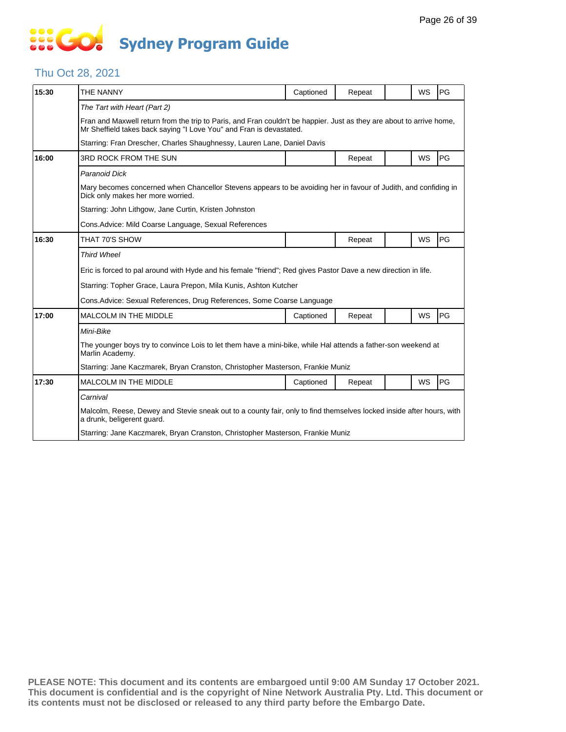## **SO GO Sydney Program Guide**

### Thu Oct 28, 2021

| 15:30 | THE NANNY                                                                                                                                                                                   | Captioned                                                                      | Repeat |  | WS        | PG |  |  |  |  |
|-------|---------------------------------------------------------------------------------------------------------------------------------------------------------------------------------------------|--------------------------------------------------------------------------------|--------|--|-----------|----|--|--|--|--|
|       | The Tart with Heart (Part 2)                                                                                                                                                                |                                                                                |        |  |           |    |  |  |  |  |
|       | Fran and Maxwell return from the trip to Paris, and Fran couldn't be happier. Just as they are about to arrive home,<br>Mr Sheffield takes back saying "I Love You" and Fran is devastated. |                                                                                |        |  |           |    |  |  |  |  |
|       | Starring: Fran Drescher, Charles Shaughnessy, Lauren Lane, Daniel Davis                                                                                                                     |                                                                                |        |  |           |    |  |  |  |  |
| 16:00 | 3RD ROCK FROM THE SUN                                                                                                                                                                       |                                                                                | Repeat |  | <b>WS</b> | PG |  |  |  |  |
|       | <b>Paranoid Dick</b>                                                                                                                                                                        |                                                                                |        |  |           |    |  |  |  |  |
|       | Mary becomes concerned when Chancellor Stevens appears to be avoiding her in favour of Judith, and confiding in<br>Dick only makes her more worried.                                        |                                                                                |        |  |           |    |  |  |  |  |
|       | Starring: John Lithgow, Jane Curtin, Kristen Johnston                                                                                                                                       |                                                                                |        |  |           |    |  |  |  |  |
|       | Cons. Advice: Mild Coarse Language, Sexual References                                                                                                                                       |                                                                                |        |  |           |    |  |  |  |  |
| 16:30 | THAT 70'S SHOW                                                                                                                                                                              |                                                                                | Repeat |  | WS        | PG |  |  |  |  |
|       | <b>Third Wheel</b>                                                                                                                                                                          |                                                                                |        |  |           |    |  |  |  |  |
|       | Eric is forced to pal around with Hyde and his female "friend"; Red gives Pastor Dave a new direction in life.                                                                              |                                                                                |        |  |           |    |  |  |  |  |
|       | Starring: Topher Grace, Laura Prepon, Mila Kunis, Ashton Kutcher                                                                                                                            |                                                                                |        |  |           |    |  |  |  |  |
|       | Cons. Advice: Sexual References, Drug References, Some Coarse Language                                                                                                                      |                                                                                |        |  |           |    |  |  |  |  |
| 17:00 | MALCOLM IN THE MIDDLE                                                                                                                                                                       | Captioned                                                                      | Repeat |  | WS        | PG |  |  |  |  |
|       | Mini-Bike                                                                                                                                                                                   |                                                                                |        |  |           |    |  |  |  |  |
|       | The younger boys try to convince Lois to let them have a mini-bike, while Hal attends a father-son weekend at<br>Marlin Academy.                                                            |                                                                                |        |  |           |    |  |  |  |  |
|       | Starring: Jane Kaczmarek, Bryan Cranston, Christopher Masterson, Frankie Muniz                                                                                                              |                                                                                |        |  |           |    |  |  |  |  |
| 17:30 | <b>MALCOLM IN THE MIDDLE</b>                                                                                                                                                                | Captioned                                                                      | Repeat |  | WS        | PG |  |  |  |  |
|       | Carnival                                                                                                                                                                                    |                                                                                |        |  |           |    |  |  |  |  |
|       | Malcolm, Reese, Dewey and Stevie sneak out to a county fair, only to find themselves locked inside after hours, with<br>a drunk, beligerent quard.                                          |                                                                                |        |  |           |    |  |  |  |  |
|       |                                                                                                                                                                                             | Starring: Jane Kaczmarek, Bryan Cranston, Christopher Masterson, Frankie Muniz |        |  |           |    |  |  |  |  |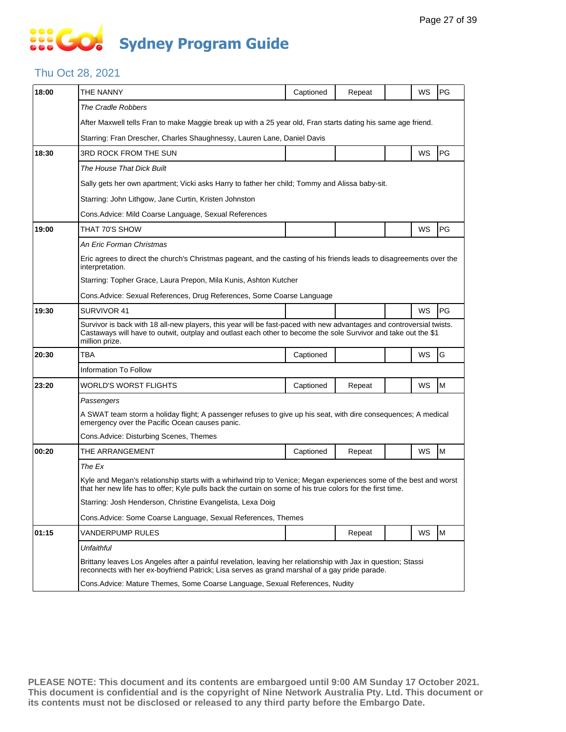## **SEC Sydney Program Guide**

#### Thu Oct 28, 2021

| 18:00 | THE NANNY                                                                                                                                                                                                                                                | Captioned                                                                                                                                                                                                                        | Repeat |  | WS | PG |  |  |  |
|-------|----------------------------------------------------------------------------------------------------------------------------------------------------------------------------------------------------------------------------------------------------------|----------------------------------------------------------------------------------------------------------------------------------------------------------------------------------------------------------------------------------|--------|--|----|----|--|--|--|
|       | The Cradle Robbers                                                                                                                                                                                                                                       |                                                                                                                                                                                                                                  |        |  |    |    |  |  |  |
|       | After Maxwell tells Fran to make Maggie break up with a 25 year old, Fran starts dating his same age friend.                                                                                                                                             |                                                                                                                                                                                                                                  |        |  |    |    |  |  |  |
|       | Starring: Fran Drescher, Charles Shaughnessy, Lauren Lane, Daniel Davis                                                                                                                                                                                  |                                                                                                                                                                                                                                  |        |  |    |    |  |  |  |
| 18:30 | <b>3RD ROCK FROM THE SUN</b>                                                                                                                                                                                                                             |                                                                                                                                                                                                                                  |        |  | WS | PG |  |  |  |
|       | The House That Dick Built                                                                                                                                                                                                                                |                                                                                                                                                                                                                                  |        |  |    |    |  |  |  |
|       | Sally gets her own apartment; Vicki asks Harry to father her child; Tommy and Alissa baby-sit.                                                                                                                                                           |                                                                                                                                                                                                                                  |        |  |    |    |  |  |  |
|       | Starring: John Lithgow, Jane Curtin, Kristen Johnston                                                                                                                                                                                                    |                                                                                                                                                                                                                                  |        |  |    |    |  |  |  |
|       | Cons. Advice: Mild Coarse Language, Sexual References                                                                                                                                                                                                    |                                                                                                                                                                                                                                  |        |  |    |    |  |  |  |
| 19:00 | THAT 70'S SHOW                                                                                                                                                                                                                                           |                                                                                                                                                                                                                                  |        |  | WS | PG |  |  |  |
|       | An Eric Forman Christmas                                                                                                                                                                                                                                 |                                                                                                                                                                                                                                  |        |  |    |    |  |  |  |
|       | Eric agrees to direct the church's Christmas pageant, and the casting of his friends leads to disagreements over the<br>interpretation.                                                                                                                  |                                                                                                                                                                                                                                  |        |  |    |    |  |  |  |
|       | Starring: Topher Grace, Laura Prepon, Mila Kunis, Ashton Kutcher                                                                                                                                                                                         |                                                                                                                                                                                                                                  |        |  |    |    |  |  |  |
|       | Cons. Advice: Sexual References, Drug References, Some Coarse Language                                                                                                                                                                                   |                                                                                                                                                                                                                                  |        |  |    |    |  |  |  |
| 19:30 | SURVIVOR 41                                                                                                                                                                                                                                              |                                                                                                                                                                                                                                  |        |  | WS | PG |  |  |  |
|       | Survivor is back with 18 all-new players, this year will be fast-paced with new advantages and controversial twists.<br>Castaways will have to outwit, outplay and outlast each other to become the sole Survivor and take out the \$1<br>million prize. |                                                                                                                                                                                                                                  |        |  |    |    |  |  |  |
| 20:30 | TBA                                                                                                                                                                                                                                                      | Captioned                                                                                                                                                                                                                        |        |  | WS | G  |  |  |  |
|       | Information To Follow                                                                                                                                                                                                                                    |                                                                                                                                                                                                                                  |        |  |    |    |  |  |  |
| 23:20 | WORLD'S WORST FLIGHTS                                                                                                                                                                                                                                    | Captioned                                                                                                                                                                                                                        | Repeat |  | WS | M  |  |  |  |
|       | Passengers                                                                                                                                                                                                                                               |                                                                                                                                                                                                                                  |        |  |    |    |  |  |  |
|       | A SWAT team storm a holiday flight; A passenger refuses to give up his seat, with dire consequences; A medical<br>emergency over the Pacific Ocean causes panic.                                                                                         |                                                                                                                                                                                                                                  |        |  |    |    |  |  |  |
|       | Cons.Advice: Disturbing Scenes, Themes                                                                                                                                                                                                                   |                                                                                                                                                                                                                                  |        |  |    |    |  |  |  |
| 00:20 | THE ARRANGEMENT                                                                                                                                                                                                                                          | Captioned                                                                                                                                                                                                                        | Repeat |  | WS | M  |  |  |  |
|       | The Ex                                                                                                                                                                                                                                                   |                                                                                                                                                                                                                                  |        |  |    |    |  |  |  |
|       |                                                                                                                                                                                                                                                          | Kyle and Megan's relationship starts with a whirlwind trip to Venice; Megan experiences some of the best and worst<br>that her new life has to offer; Kyle pulls back the curtain on some of his true colors for the first time. |        |  |    |    |  |  |  |
|       | Starring: Josh Henderson, Christine Evangelista, Lexa Doig                                                                                                                                                                                               |                                                                                                                                                                                                                                  |        |  |    |    |  |  |  |
|       | Cons. Advice: Some Coarse Language, Sexual References, Themes                                                                                                                                                                                            |                                                                                                                                                                                                                                  |        |  |    |    |  |  |  |
| 01:15 | VANDERPUMP RULES                                                                                                                                                                                                                                         |                                                                                                                                                                                                                                  | Repeat |  | WS | M  |  |  |  |
|       | Unfaithful                                                                                                                                                                                                                                               |                                                                                                                                                                                                                                  |        |  |    |    |  |  |  |
|       | Brittany leaves Los Angeles after a painful revelation, leaving her relationship with Jax in question; Stassi<br>reconnects with her ex-boyfriend Patrick; Lisa serves as grand marshal of a gay pride parade.                                           |                                                                                                                                                                                                                                  |        |  |    |    |  |  |  |
|       | Cons. Advice: Mature Themes, Some Coarse Language, Sexual References, Nudity                                                                                                                                                                             |                                                                                                                                                                                                                                  |        |  |    |    |  |  |  |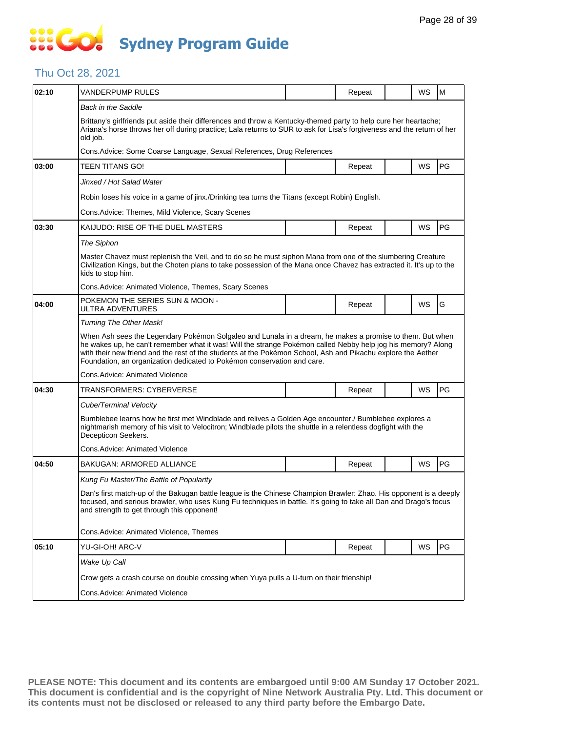### **SEC Sydney Program Guide**

### Thu Oct 28, 2021

| 02:10 | VANDERPUMP RULES                                                                                                                                                                                                                                                                                                                                                                                                    |  | Repeat                                                                                   |  | <b>WS</b> | M         |  |  |  |  |
|-------|---------------------------------------------------------------------------------------------------------------------------------------------------------------------------------------------------------------------------------------------------------------------------------------------------------------------------------------------------------------------------------------------------------------------|--|------------------------------------------------------------------------------------------|--|-----------|-----------|--|--|--|--|
|       | <b>Back in the Saddle</b>                                                                                                                                                                                                                                                                                                                                                                                           |  |                                                                                          |  |           |           |  |  |  |  |
|       | Brittany's girlfriends put aside their differences and throw a Kentucky-themed party to help cure her heartache;<br>Ariana's horse throws her off during practice; Lala returns to SUR to ask for Lisa's forgiveness and the return of her<br>old job.                                                                                                                                                              |  |                                                                                          |  |           |           |  |  |  |  |
|       | Cons. Advice: Some Coarse Language, Sexual References, Drug References                                                                                                                                                                                                                                                                                                                                              |  |                                                                                          |  |           |           |  |  |  |  |
| 03:00 | TEEN TITANS GO!                                                                                                                                                                                                                                                                                                                                                                                                     |  | Repeat                                                                                   |  | <b>WS</b> | <b>PG</b> |  |  |  |  |
|       | Jinxed / Hot Salad Water                                                                                                                                                                                                                                                                                                                                                                                            |  |                                                                                          |  |           |           |  |  |  |  |
|       | Robin loses his voice in a game of jinx./Drinking tea turns the Titans (except Robin) English.                                                                                                                                                                                                                                                                                                                      |  |                                                                                          |  |           |           |  |  |  |  |
|       | Cons. Advice: Themes, Mild Violence, Scary Scenes                                                                                                                                                                                                                                                                                                                                                                   |  |                                                                                          |  |           |           |  |  |  |  |
| 03:30 | KAIJUDO: RISE OF THE DUEL MASTERS                                                                                                                                                                                                                                                                                                                                                                                   |  | Repeat                                                                                   |  | WS        | <b>PG</b> |  |  |  |  |
|       | The Siphon                                                                                                                                                                                                                                                                                                                                                                                                          |  |                                                                                          |  |           |           |  |  |  |  |
|       | Master Chavez must replenish the Veil, and to do so he must siphon Mana from one of the slumbering Creature<br>Civilization Kings, but the Choten plans to take possession of the Mana once Chavez has extracted it. It's up to the<br>kids to stop him.                                                                                                                                                            |  |                                                                                          |  |           |           |  |  |  |  |
|       | Cons.Advice: Animated Violence, Themes, Scary Scenes                                                                                                                                                                                                                                                                                                                                                                |  |                                                                                          |  |           |           |  |  |  |  |
| 04:00 | POKEMON THE SERIES SUN & MOON -<br>ULTRA ADVENTURES                                                                                                                                                                                                                                                                                                                                                                 |  | Repeat                                                                                   |  | WS        | G         |  |  |  |  |
|       | Turning The Other Mask!                                                                                                                                                                                                                                                                                                                                                                                             |  |                                                                                          |  |           |           |  |  |  |  |
|       | When Ash sees the Legendary Pokémon Solgaleo and Lunala in a dream, he makes a promise to them. But when<br>he wakes up, he can't remember what it was! Will the strange Pokémon called Nebby help jog his memory? Along<br>with their new friend and the rest of the students at the Pokémon School, Ash and Pikachu explore the Aether<br>Foundation, an organization dedicated to Pokémon conservation and care. |  |                                                                                          |  |           |           |  |  |  |  |
|       | Cons.Advice: Animated Violence                                                                                                                                                                                                                                                                                                                                                                                      |  |                                                                                          |  |           |           |  |  |  |  |
| 04:30 | TRANSFORMERS: CYBERVERSE                                                                                                                                                                                                                                                                                                                                                                                            |  | Repeat                                                                                   |  | <b>WS</b> | <b>PG</b> |  |  |  |  |
|       | Cube/Terminal Velocity                                                                                                                                                                                                                                                                                                                                                                                              |  |                                                                                          |  |           |           |  |  |  |  |
|       | Bumblebee learns how he first met Windblade and relives a Golden Age encounter./ Bumblebee explores a<br>nightmarish memory of his visit to Velocitron; Windblade pilots the shuttle in a relentless dogfight with the<br>Decepticon Seekers.                                                                                                                                                                       |  |                                                                                          |  |           |           |  |  |  |  |
|       | Cons.Advice: Animated Violence                                                                                                                                                                                                                                                                                                                                                                                      |  |                                                                                          |  |           |           |  |  |  |  |
| 04:50 | BAKUGAN: ARMORED ALLIANCE                                                                                                                                                                                                                                                                                                                                                                                           |  | Repeat                                                                                   |  | WS        | PG        |  |  |  |  |
|       | Kung Fu Master/The Battle of Popularity                                                                                                                                                                                                                                                                                                                                                                             |  |                                                                                          |  |           |           |  |  |  |  |
|       | Dan's first match-up of the Bakugan battle league is the Chinese Champion Brawler: Zhao. His opponent is a deeply<br>focused, and serious brawler, who uses Kung Fu techniques in battle. It's going to take all Dan and Drago's focus<br>and strength to get through this opponent!                                                                                                                                |  |                                                                                          |  |           |           |  |  |  |  |
|       | Cons.Advice: Animated Violence, Themes                                                                                                                                                                                                                                                                                                                                                                              |  |                                                                                          |  |           |           |  |  |  |  |
| 05:10 | YU-GI-OH! ARC-V                                                                                                                                                                                                                                                                                                                                                                                                     |  | Repeat                                                                                   |  | WS        | PG        |  |  |  |  |
|       | Wake Up Call                                                                                                                                                                                                                                                                                                                                                                                                        |  |                                                                                          |  |           |           |  |  |  |  |
|       |                                                                                                                                                                                                                                                                                                                                                                                                                     |  | Crow gets a crash course on double crossing when Yuya pulls a U-turn on their frienship! |  |           |           |  |  |  |  |
|       |                                                                                                                                                                                                                                                                                                                                                                                                                     |  |                                                                                          |  |           |           |  |  |  |  |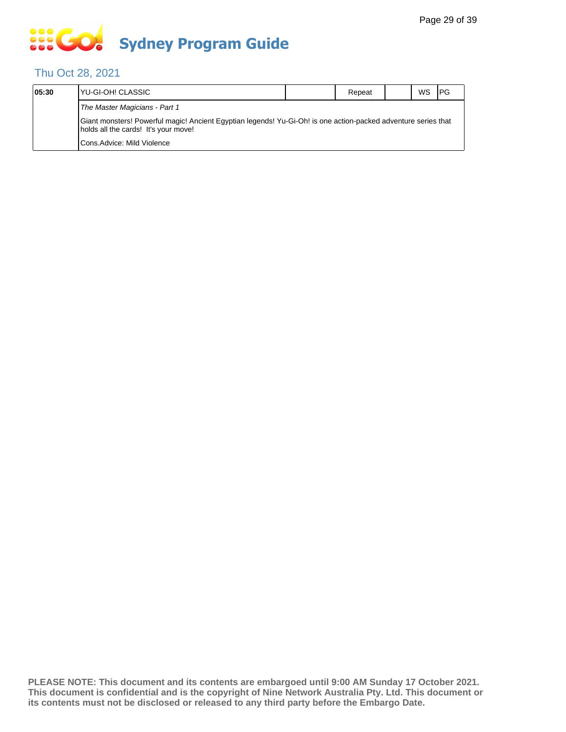## **SOS GO Sydney Program Guide**

### Thu Oct 28, 2021

| 05:30 | IYU-GI-OH! CLASSIC                                                                                                                                     | Repeat | WS | PG |
|-------|--------------------------------------------------------------------------------------------------------------------------------------------------------|--------|----|----|
|       | The Master Magicians - Part 1                                                                                                                          |        |    |    |
|       | Giant monsters! Powerful magic! Ancient Egyptian legends! Yu-Gi-Oh! is one action-packed adventure series that<br>holds all the cards! It's your move! |        |    |    |
|       | <b>I</b> Cons.Advice: Mild Violence                                                                                                                    |        |    |    |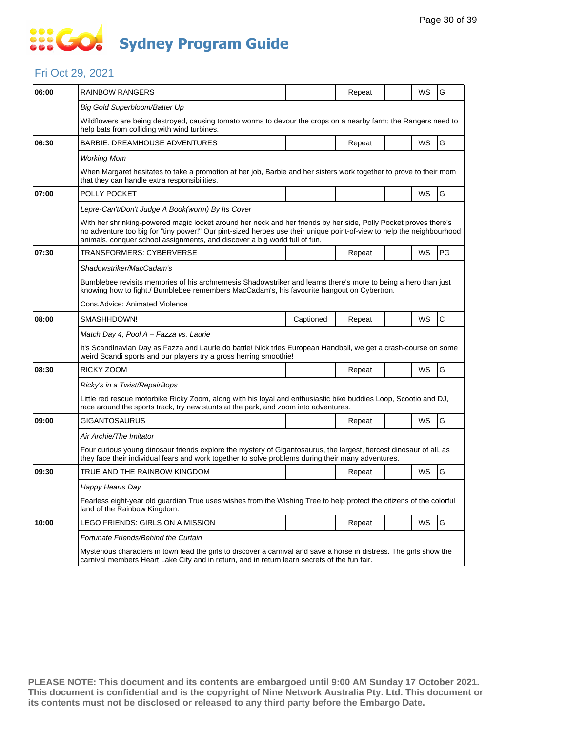### **SSEG Sydney Program Guide**

#### Fri Oct 29, 2021

| 06:00 | RAINBOW RANGERS                                                                                                                                                                                                                                                                                                         |           | Repeat |  | WS        | G            |  |  |  |
|-------|-------------------------------------------------------------------------------------------------------------------------------------------------------------------------------------------------------------------------------------------------------------------------------------------------------------------------|-----------|--------|--|-----------|--------------|--|--|--|
|       | Big Gold Superbloom/Batter Up                                                                                                                                                                                                                                                                                           |           |        |  |           |              |  |  |  |
|       | Wildflowers are being destroyed, causing tomato worms to devour the crops on a nearby farm; the Rangers need to<br>help bats from colliding with wind turbines.                                                                                                                                                         |           |        |  |           |              |  |  |  |
| 06:30 | BARBIE: DREAMHOUSE ADVENTURES                                                                                                                                                                                                                                                                                           |           | Repeat |  | <b>WS</b> | G            |  |  |  |
|       | <b>Working Mom</b>                                                                                                                                                                                                                                                                                                      |           |        |  |           |              |  |  |  |
|       | When Margaret hesitates to take a promotion at her job, Barbie and her sisters work together to prove to their mom<br>that they can handle extra responsibilities.                                                                                                                                                      |           |        |  |           |              |  |  |  |
| 07:00 | POLLY POCKET                                                                                                                                                                                                                                                                                                            |           |        |  | WS        | G            |  |  |  |
|       | Lepre-Can't/Don't Judge A Book(worm) By Its Cover                                                                                                                                                                                                                                                                       |           |        |  |           |              |  |  |  |
|       | With her shrinking-powered magic locket around her neck and her friends by her side, Polly Pocket proves there's<br>no adventure too big for "tiny power!" Our pint-sized heroes use their unique point-of-view to help the neighbourhood<br>animals, conquer school assignments, and discover a big world full of fun. |           |        |  |           |              |  |  |  |
| 07:30 | TRANSFORMERS: CYBERVERSE                                                                                                                                                                                                                                                                                                |           | Repeat |  | WS        | PG           |  |  |  |
|       | Shadowstriker/MacCadam's                                                                                                                                                                                                                                                                                                |           |        |  |           |              |  |  |  |
|       | Bumblebee revisits memories of his archnemesis Shadowstriker and learns there's more to being a hero than just<br>knowing how to fight./ Bumblebee remembers MacCadam's, his favourite hangout on Cybertron.                                                                                                            |           |        |  |           |              |  |  |  |
|       | Cons.Advice: Animated Violence                                                                                                                                                                                                                                                                                          |           |        |  |           |              |  |  |  |
| 08:00 | SMASHHDOWN!                                                                                                                                                                                                                                                                                                             | Captioned | Repeat |  | WS        | $\mathsf{C}$ |  |  |  |
|       | Match Day 4, Pool A – Fazza vs. Laurie                                                                                                                                                                                                                                                                                  |           |        |  |           |              |  |  |  |
|       | It's Scandinavian Day as Fazza and Laurie do battle! Nick tries European Handball, we get a crash-course on some<br>weird Scandi sports and our players try a gross herring smoothie!                                                                                                                                   |           |        |  |           |              |  |  |  |
| 08:30 | RICKY ZOOM                                                                                                                                                                                                                                                                                                              |           | Repeat |  | WS        | G            |  |  |  |
|       | Ricky's in a Twist/RepairBops                                                                                                                                                                                                                                                                                           |           |        |  |           |              |  |  |  |
|       | Little red rescue motorbike Ricky Zoom, along with his loyal and enthusiastic bike buddies Loop, Scootio and DJ,<br>race around the sports track, try new stunts at the park, and zoom into adventures.                                                                                                                 |           |        |  |           |              |  |  |  |
| 09:00 | GIGANTOSAURUS                                                                                                                                                                                                                                                                                                           |           | Repeat |  | WS        | G            |  |  |  |
|       | Air Archie/The Imitator                                                                                                                                                                                                                                                                                                 |           |        |  |           |              |  |  |  |
|       | Four curious young dinosaur friends explore the mystery of Gigantosaurus, the largest, fiercest dinosaur of all, as<br>they face their individual fears and work together to solve problems during their many adventures.                                                                                               |           |        |  |           |              |  |  |  |
| 09:30 | TRUE AND THE RAINBOW KINGDOM                                                                                                                                                                                                                                                                                            |           | Repeat |  | WS        | G            |  |  |  |
|       | Happy Hearts Day                                                                                                                                                                                                                                                                                                        |           |        |  |           |              |  |  |  |
|       | Fearless eight-year old guardian True uses wishes from the Wishing Tree to help protect the citizens of the colorful<br>land of the Rainbow Kingdom.                                                                                                                                                                    |           |        |  |           |              |  |  |  |
| 10:00 | LEGO FRIENDS: GIRLS ON A MISSION                                                                                                                                                                                                                                                                                        |           | Repeat |  | WS        | G            |  |  |  |
|       | Fortunate Friends/Behind the Curtain                                                                                                                                                                                                                                                                                    |           |        |  |           |              |  |  |  |
|       | Mysterious characters in town lead the girls to discover a carnival and save a horse in distress. The girls show the<br>carnival members Heart Lake City and in return, and in return learn secrets of the fun fair.                                                                                                    |           |        |  |           |              |  |  |  |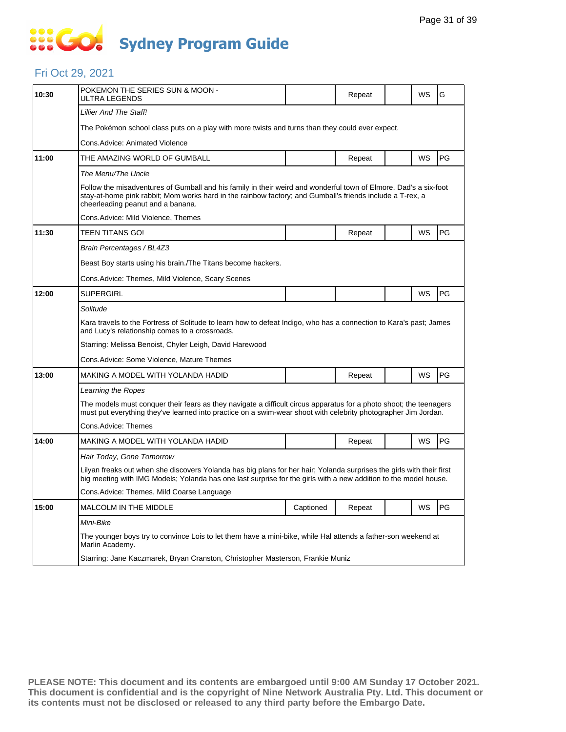## **... Go Sydney Program Guide**

#### Fri Oct 29, 2021

| 10:30 | POKEMON THE SERIES SUN & MOON -<br>ULTRA LEGENDS                                                                                                                                                                                                                   |           | Repeat |  | WS        | G  |  |  |  |
|-------|--------------------------------------------------------------------------------------------------------------------------------------------------------------------------------------------------------------------------------------------------------------------|-----------|--------|--|-----------|----|--|--|--|
|       | Lillier And The Staff!                                                                                                                                                                                                                                             |           |        |  |           |    |  |  |  |
|       | The Pokémon school class puts on a play with more twists and turns than they could ever expect.                                                                                                                                                                    |           |        |  |           |    |  |  |  |
|       | Cons.Advice: Animated Violence                                                                                                                                                                                                                                     |           |        |  |           |    |  |  |  |
| 11:00 | THE AMAZING WORLD OF GUMBALL                                                                                                                                                                                                                                       |           | Repeat |  | <b>WS</b> | PG |  |  |  |
|       | The Menu/The Uncle                                                                                                                                                                                                                                                 |           |        |  |           |    |  |  |  |
|       | Follow the misadventures of Gumball and his family in their weird and wonderful town of Elmore. Dad's a six-foot<br>stay-at-home pink rabbit; Mom works hard in the rainbow factory; and Gumball's friends include a T-rex, a<br>cheerleading peanut and a banana. |           |        |  |           |    |  |  |  |
|       | Cons.Advice: Mild Violence, Themes                                                                                                                                                                                                                                 |           |        |  |           |    |  |  |  |
| 11:30 | TEEN TITANS GO!                                                                                                                                                                                                                                                    |           | Repeat |  | WS        | PG |  |  |  |
|       | Brain Percentages / BL4Z3                                                                                                                                                                                                                                          |           |        |  |           |    |  |  |  |
|       | Beast Boy starts using his brain. The Titans become hackers.                                                                                                                                                                                                       |           |        |  |           |    |  |  |  |
|       | Cons. Advice: Themes, Mild Violence, Scary Scenes                                                                                                                                                                                                                  |           |        |  |           |    |  |  |  |
| 12:00 | <b>SUPERGIRL</b>                                                                                                                                                                                                                                                   |           |        |  | WS        | PG |  |  |  |
|       | Solitude                                                                                                                                                                                                                                                           |           |        |  |           |    |  |  |  |
|       | Kara travels to the Fortress of Solitude to learn how to defeat Indigo, who has a connection to Kara's past; James<br>and Lucy's relationship comes to a crossroads.                                                                                               |           |        |  |           |    |  |  |  |
|       | Starring: Melissa Benoist, Chyler Leigh, David Harewood                                                                                                                                                                                                            |           |        |  |           |    |  |  |  |
|       | Cons.Advice: Some Violence, Mature Themes                                                                                                                                                                                                                          |           |        |  |           |    |  |  |  |
| 13:00 | MAKING A MODEL WITH YOLANDA HADID                                                                                                                                                                                                                                  |           | Repeat |  | WS        | PG |  |  |  |
|       | Learning the Ropes                                                                                                                                                                                                                                                 |           |        |  |           |    |  |  |  |
|       | The models must conquer their fears as they navigate a difficult circus apparatus for a photo shoot; the teenagers<br>must put everything they've learned into practice on a swim-wear shoot with celebrity photographer Jim Jordan.                               |           |        |  |           |    |  |  |  |
|       | Cons.Advice: Themes                                                                                                                                                                                                                                                |           |        |  |           |    |  |  |  |
| 14:00 | MAKING A MODEL WITH YOLANDA HADID                                                                                                                                                                                                                                  |           | Repeat |  | WS        | PG |  |  |  |
|       | Hair Today, Gone Tomorrow                                                                                                                                                                                                                                          |           |        |  |           |    |  |  |  |
|       | Lilyan freaks out when she discovers Yolanda has big plans for her hair; Yolanda surprises the girls with their first<br>big meeting with IMG Models; Yolanda has one last surprise for the girls with a new addition to the model house.                          |           |        |  |           |    |  |  |  |
|       |                                                                                                                                                                                                                                                                    |           |        |  |           |    |  |  |  |
|       | Cons.Advice: Themes, Mild Coarse Language                                                                                                                                                                                                                          |           |        |  |           |    |  |  |  |
| 15:00 | MALCOLM IN THE MIDDLE                                                                                                                                                                                                                                              | Captioned | Repeat |  | WS        | PG |  |  |  |
|       | Mini-Bike                                                                                                                                                                                                                                                          |           |        |  |           |    |  |  |  |
|       | The younger boys try to convince Lois to let them have a mini-bike, while Hal attends a father-son weekend at<br>Marlin Academy.                                                                                                                                   |           |        |  |           |    |  |  |  |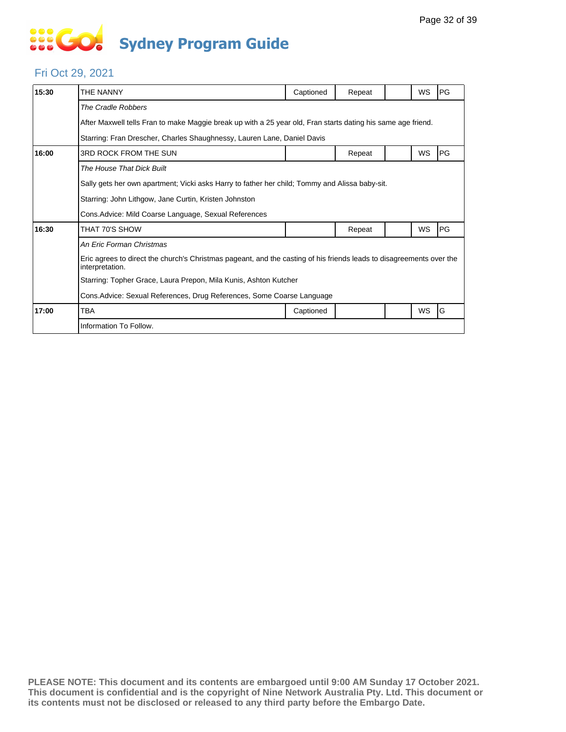# **... Go Sydney Program Guide**

#### Fri Oct 29, 2021

| 15:30 | THE NANNY                                                                                                                               | Captioned | Repeat |  | WS        | PG |  |  |  |
|-------|-----------------------------------------------------------------------------------------------------------------------------------------|-----------|--------|--|-----------|----|--|--|--|
|       | The Cradle Robbers                                                                                                                      |           |        |  |           |    |  |  |  |
|       | After Maxwell tells Fran to make Maggie break up with a 25 year old, Fran starts dating his same age friend.                            |           |        |  |           |    |  |  |  |
|       | Starring: Fran Drescher, Charles Shaughnessy, Lauren Lane, Daniel Davis                                                                 |           |        |  |           |    |  |  |  |
| 16:00 | 3RD ROCK FROM THE SUN                                                                                                                   |           | Repeat |  | WS        | PG |  |  |  |
|       | The House That Dick Built                                                                                                               |           |        |  |           |    |  |  |  |
|       | Sally gets her own apartment; Vicki asks Harry to father her child; Tommy and Alissa baby-sit.                                          |           |        |  |           |    |  |  |  |
|       | Starring: John Lithgow, Jane Curtin, Kristen Johnston                                                                                   |           |        |  |           |    |  |  |  |
|       | Cons. Advice: Mild Coarse Language, Sexual References                                                                                   |           |        |  |           |    |  |  |  |
| 16:30 | THAT 70'S SHOW                                                                                                                          |           | Repeat |  | WS        | PG |  |  |  |
|       | An Eric Forman Christmas                                                                                                                |           |        |  |           |    |  |  |  |
|       | Eric agrees to direct the church's Christmas pageant, and the casting of his friends leads to disagreements over the<br>interpretation. |           |        |  |           |    |  |  |  |
|       | Starring: Topher Grace, Laura Prepon, Mila Kunis, Ashton Kutcher                                                                        |           |        |  |           |    |  |  |  |
|       | Cons. Advice: Sexual References, Drug References, Some Coarse Language                                                                  |           |        |  |           |    |  |  |  |
| 17:00 | TBA                                                                                                                                     | Captioned |        |  | <b>WS</b> | G  |  |  |  |
|       | Information To Follow.                                                                                                                  |           |        |  |           |    |  |  |  |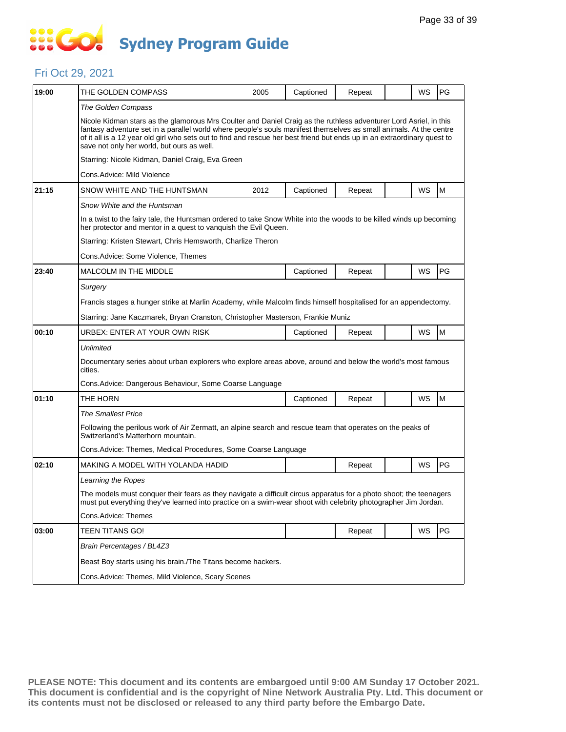## **SECT Sydney Program Guide**

#### Fri Oct 29, 2021

| 19:00 | THE GOLDEN COMPASS                                                                                                                                                                                                                                                                                                                                                                                                | 2005 | Captioned | Repeat |  | WS | PG        |  |  |
|-------|-------------------------------------------------------------------------------------------------------------------------------------------------------------------------------------------------------------------------------------------------------------------------------------------------------------------------------------------------------------------------------------------------------------------|------|-----------|--------|--|----|-----------|--|--|
|       | The Golden Compass                                                                                                                                                                                                                                                                                                                                                                                                |      |           |        |  |    |           |  |  |
|       | Nicole Kidman stars as the glamorous Mrs Coulter and Daniel Craig as the ruthless adventurer Lord Asriel, in this<br>fantasy adventure set in a parallel world where people's souls manifest themselves as small animals. At the centre<br>of it all is a 12 year old girl who sets out to find and rescue her best friend but ends up in an extraordinary quest to<br>save not only her world, but ours as well. |      |           |        |  |    |           |  |  |
|       | Starring: Nicole Kidman, Daniel Craig, Eva Green                                                                                                                                                                                                                                                                                                                                                                  |      |           |        |  |    |           |  |  |
|       | Cons.Advice: Mild Violence                                                                                                                                                                                                                                                                                                                                                                                        |      |           |        |  |    |           |  |  |
| 21:15 | SNOW WHITE AND THE HUNTSMAN                                                                                                                                                                                                                                                                                                                                                                                       | 2012 | Captioned | Repeat |  | WS | M         |  |  |
|       | Snow White and the Huntsman                                                                                                                                                                                                                                                                                                                                                                                       |      |           |        |  |    |           |  |  |
|       | In a twist to the fairy tale, the Huntsman ordered to take Snow White into the woods to be killed winds up becoming<br>her protector and mentor in a quest to vanquish the Evil Queen.                                                                                                                                                                                                                            |      |           |        |  |    |           |  |  |
|       | Starring: Kristen Stewart, Chris Hemsworth, Charlize Theron                                                                                                                                                                                                                                                                                                                                                       |      |           |        |  |    |           |  |  |
|       | Cons.Advice: Some Violence, Themes                                                                                                                                                                                                                                                                                                                                                                                |      |           |        |  |    |           |  |  |
| 23:40 | <b>MALCOLM IN THE MIDDLE</b>                                                                                                                                                                                                                                                                                                                                                                                      |      | Captioned | Repeat |  | WS | PG        |  |  |
|       | Surgery                                                                                                                                                                                                                                                                                                                                                                                                           |      |           |        |  |    |           |  |  |
|       | Francis stages a hunger strike at Marlin Academy, while Malcolm finds himself hospitalised for an appendectomy.                                                                                                                                                                                                                                                                                                   |      |           |        |  |    |           |  |  |
|       | Starring: Jane Kaczmarek, Bryan Cranston, Christopher Masterson, Frankie Muniz                                                                                                                                                                                                                                                                                                                                    |      |           |        |  |    |           |  |  |
| 00:10 | URBEX: ENTER AT YOUR OWN RISK                                                                                                                                                                                                                                                                                                                                                                                     |      | Captioned | Repeat |  | WS | M         |  |  |
|       | Unlimited                                                                                                                                                                                                                                                                                                                                                                                                         |      |           |        |  |    |           |  |  |
|       | Documentary series about urban explorers who explore areas above, around and below the world's most famous<br>cities.                                                                                                                                                                                                                                                                                             |      |           |        |  |    |           |  |  |
|       | Cons. Advice: Dangerous Behaviour, Some Coarse Language                                                                                                                                                                                                                                                                                                                                                           |      |           |        |  |    |           |  |  |
| 01:10 | THE HORN                                                                                                                                                                                                                                                                                                                                                                                                          |      | Captioned | Repeat |  | WS | M         |  |  |
|       | <b>The Smallest Price</b>                                                                                                                                                                                                                                                                                                                                                                                         |      |           |        |  |    |           |  |  |
|       | Following the perilous work of Air Zermatt, an alpine search and rescue team that operates on the peaks of<br>Switzerland's Matterhorn mountain.                                                                                                                                                                                                                                                                  |      |           |        |  |    |           |  |  |
|       | Cons. Advice: Themes, Medical Procedures, Some Coarse Language                                                                                                                                                                                                                                                                                                                                                    |      |           |        |  |    |           |  |  |
| 02:10 | MAKING A MODEL WITH YOLANDA HADID                                                                                                                                                                                                                                                                                                                                                                                 |      |           | Repeat |  | WS | <b>PG</b> |  |  |
|       | Learning the Ropes                                                                                                                                                                                                                                                                                                                                                                                                |      |           |        |  |    |           |  |  |
|       | The models must conquer their fears as they navigate a difficult circus apparatus for a photo shoot; the teenagers<br>must put everything they've learned into practice on a swim-wear shoot with celebrity photographer Jim Jordan.                                                                                                                                                                              |      |           |        |  |    |           |  |  |
|       | Cons.Advice: Themes                                                                                                                                                                                                                                                                                                                                                                                               |      |           |        |  |    |           |  |  |
| 03:00 | <b>TEEN TITANS GO!</b>                                                                                                                                                                                                                                                                                                                                                                                            |      |           | Repeat |  | WS | PG        |  |  |
|       | Brain Percentages / BL4Z3                                                                                                                                                                                                                                                                                                                                                                                         |      |           |        |  |    |           |  |  |
|       | Beast Boy starts using his brain./The Titans become hackers.                                                                                                                                                                                                                                                                                                                                                      |      |           |        |  |    |           |  |  |
|       | Cons.Advice: Themes, Mild Violence, Scary Scenes                                                                                                                                                                                                                                                                                                                                                                  |      |           |        |  |    |           |  |  |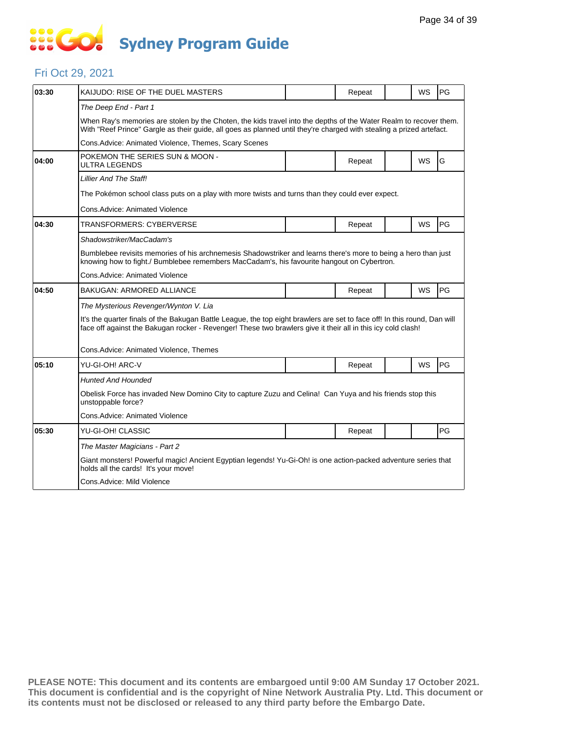# **SECT Sydney Program Guide**

#### Fri Oct 29, 2021

| 03:30 | KAIJUDO: RISE OF THE DUEL MASTERS                                                                                                                                                                                                         |  | Repeat |  | WS        | PG        |  |  |  |
|-------|-------------------------------------------------------------------------------------------------------------------------------------------------------------------------------------------------------------------------------------------|--|--------|--|-----------|-----------|--|--|--|
|       | The Deep End - Part 1                                                                                                                                                                                                                     |  |        |  |           |           |  |  |  |
|       | When Ray's memories are stolen by the Choten, the kids travel into the depths of the Water Realm to recover them.<br>With "Reef Prince" Gargle as their guide, all goes as planned until they're charged with stealing a prized artefact. |  |        |  |           |           |  |  |  |
|       | Cons.Advice: Animated Violence, Themes, Scary Scenes                                                                                                                                                                                      |  |        |  |           |           |  |  |  |
| 04:00 | POKEMON THE SERIES SUN & MOON -<br>ULTRA LEGENDS                                                                                                                                                                                          |  | Repeat |  | <b>WS</b> | G         |  |  |  |
|       | <b>Lillier And The Staff!</b>                                                                                                                                                                                                             |  |        |  |           |           |  |  |  |
|       | The Pokémon school class puts on a play with more twists and turns than they could ever expect.                                                                                                                                           |  |        |  |           |           |  |  |  |
|       | Cons.Advice: Animated Violence                                                                                                                                                                                                            |  |        |  |           |           |  |  |  |
| 04:30 | TRANSFORMERS: CYBERVERSE                                                                                                                                                                                                                  |  | Repeat |  | <b>WS</b> | <b>PG</b> |  |  |  |
|       | Shadowstriker/MacCadam's                                                                                                                                                                                                                  |  |        |  |           |           |  |  |  |
|       | Bumblebee revisits memories of his archnemesis Shadowstriker and learns there's more to being a hero than just<br>knowing how to fight./ Bumblebee remembers MacCadam's, his favourite hangout on Cybertron.                              |  |        |  |           |           |  |  |  |
|       | Cons.Advice: Animated Violence                                                                                                                                                                                                            |  |        |  |           |           |  |  |  |
| 04:50 | BAKUGAN: ARMORED ALLIANCE                                                                                                                                                                                                                 |  | Repeat |  | <b>WS</b> | PG        |  |  |  |
|       | The Mysterious Revenger/Wynton V. Lia                                                                                                                                                                                                     |  |        |  |           |           |  |  |  |
|       | It's the quarter finals of the Bakugan Battle League, the top eight brawlers are set to face off! In this round, Dan will<br>face off against the Bakugan rocker - Revenger! These two brawlers give it their all in this icy cold clash! |  |        |  |           |           |  |  |  |
|       | Cons.Advice: Animated Violence, Themes                                                                                                                                                                                                    |  |        |  |           |           |  |  |  |
| 05:10 | YU-GI-OH! ARC-V                                                                                                                                                                                                                           |  | Repeat |  | WS        | PG        |  |  |  |
|       | Hunted And Hounded                                                                                                                                                                                                                        |  |        |  |           |           |  |  |  |
|       | Obelisk Force has invaded New Domino City to capture Zuzu and Celina! Can Yuya and his friends stop this<br>unstoppable force?                                                                                                            |  |        |  |           |           |  |  |  |
|       | Cons.Advice: Animated Violence                                                                                                                                                                                                            |  |        |  |           |           |  |  |  |
| 05:30 | YU-GI-OH! CLASSIC                                                                                                                                                                                                                         |  | Repeat |  |           | PG        |  |  |  |
|       | The Master Magicians - Part 2                                                                                                                                                                                                             |  |        |  |           |           |  |  |  |
|       | Giant monsters! Powerful magic! Ancient Egyptian legends! Yu-Gi-Oh! is one action-packed adventure series that<br>holds all the cards! It's your move!                                                                                    |  |        |  |           |           |  |  |  |
|       | Cons.Advice: Mild Violence                                                                                                                                                                                                                |  |        |  |           |           |  |  |  |
|       |                                                                                                                                                                                                                                           |  |        |  |           |           |  |  |  |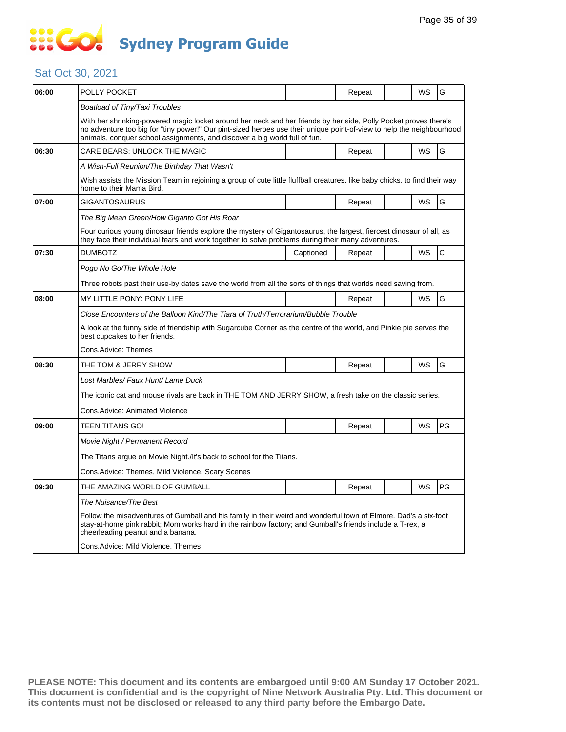## **SOCO Sydney Program Guide**

#### Sat Oct 30, 2021

|                                                                                                                                                                                                                                           |                                                                                                                                |                                                                                                                                                    |                                                                                                        |                                                                                                    | G                                                                                                                                                                                                                                                                                                                                                                                                                                                                                  |  |  |
|-------------------------------------------------------------------------------------------------------------------------------------------------------------------------------------------------------------------------------------------|--------------------------------------------------------------------------------------------------------------------------------|----------------------------------------------------------------------------------------------------------------------------------------------------|--------------------------------------------------------------------------------------------------------|----------------------------------------------------------------------------------------------------|------------------------------------------------------------------------------------------------------------------------------------------------------------------------------------------------------------------------------------------------------------------------------------------------------------------------------------------------------------------------------------------------------------------------------------------------------------------------------------|--|--|
|                                                                                                                                                                                                                                           |                                                                                                                                |                                                                                                                                                    |                                                                                                        |                                                                                                    |                                                                                                                                                                                                                                                                                                                                                                                                                                                                                    |  |  |
| With her shrinking-powered magic locket around her neck and her friends by her side. Polly Pocket proves there's<br>no adventure too big for "tiny power!" Our pint-sized heroes use their unique point-of-view to help the neighbourhood |                                                                                                                                |                                                                                                                                                    |                                                                                                        |                                                                                                    |                                                                                                                                                                                                                                                                                                                                                                                                                                                                                    |  |  |
|                                                                                                                                                                                                                                           |                                                                                                                                |                                                                                                                                                    |                                                                                                        |                                                                                                    | G                                                                                                                                                                                                                                                                                                                                                                                                                                                                                  |  |  |
|                                                                                                                                                                                                                                           |                                                                                                                                |                                                                                                                                                    |                                                                                                        |                                                                                                    |                                                                                                                                                                                                                                                                                                                                                                                                                                                                                    |  |  |
| Wish assists the Mission Team in rejoining a group of cute little fluffball creatures, like baby chicks, to find their way<br>home to their Mama Bird.                                                                                    |                                                                                                                                |                                                                                                                                                    |                                                                                                        |                                                                                                    |                                                                                                                                                                                                                                                                                                                                                                                                                                                                                    |  |  |
| GIGANTOSAURUS                                                                                                                                                                                                                             |                                                                                                                                | Repeat                                                                                                                                             |                                                                                                        | WS                                                                                                 | G                                                                                                                                                                                                                                                                                                                                                                                                                                                                                  |  |  |
| The Big Mean Green/How Giganto Got His Roar                                                                                                                                                                                               |                                                                                                                                |                                                                                                                                                    |                                                                                                        |                                                                                                    |                                                                                                                                                                                                                                                                                                                                                                                                                                                                                    |  |  |
|                                                                                                                                                                                                                                           |                                                                                                                                |                                                                                                                                                    |                                                                                                        |                                                                                                    |                                                                                                                                                                                                                                                                                                                                                                                                                                                                                    |  |  |
| <b>DUMBOTZ</b>                                                                                                                                                                                                                            | Captioned                                                                                                                      | Repeat                                                                                                                                             |                                                                                                        | WS                                                                                                 | $\mathsf{C}$                                                                                                                                                                                                                                                                                                                                                                                                                                                                       |  |  |
| Pogo No Go/The Whole Hole                                                                                                                                                                                                                 |                                                                                                                                |                                                                                                                                                    |                                                                                                        |                                                                                                    |                                                                                                                                                                                                                                                                                                                                                                                                                                                                                    |  |  |
|                                                                                                                                                                                                                                           |                                                                                                                                |                                                                                                                                                    |                                                                                                        |                                                                                                    |                                                                                                                                                                                                                                                                                                                                                                                                                                                                                    |  |  |
| MY LITTLE PONY: PONY LIFE                                                                                                                                                                                                                 |                                                                                                                                | Repeat                                                                                                                                             |                                                                                                        | WS                                                                                                 | G                                                                                                                                                                                                                                                                                                                                                                                                                                                                                  |  |  |
|                                                                                                                                                                                                                                           |                                                                                                                                |                                                                                                                                                    |                                                                                                        |                                                                                                    |                                                                                                                                                                                                                                                                                                                                                                                                                                                                                    |  |  |
| A look at the funny side of friendship with Sugarcube Corner as the centre of the world, and Pinkie pie serves the<br>best cupcakes to her friends.                                                                                       |                                                                                                                                |                                                                                                                                                    |                                                                                                        |                                                                                                    |                                                                                                                                                                                                                                                                                                                                                                                                                                                                                    |  |  |
| Cons.Advice: Themes                                                                                                                                                                                                                       |                                                                                                                                |                                                                                                                                                    |                                                                                                        |                                                                                                    |                                                                                                                                                                                                                                                                                                                                                                                                                                                                                    |  |  |
| THE TOM & JERRY SHOW                                                                                                                                                                                                                      |                                                                                                                                | Repeat                                                                                                                                             |                                                                                                        | WS                                                                                                 | G                                                                                                                                                                                                                                                                                                                                                                                                                                                                                  |  |  |
| Lost Marbles/ Faux Hunt/ Lame Duck                                                                                                                                                                                                        |                                                                                                                                |                                                                                                                                                    |                                                                                                        |                                                                                                    |                                                                                                                                                                                                                                                                                                                                                                                                                                                                                    |  |  |
| The iconic cat and mouse rivals are back in THE TOM AND JERRY SHOW, a fresh take on the classic series.                                                                                                                                   |                                                                                                                                |                                                                                                                                                    |                                                                                                        |                                                                                                    |                                                                                                                                                                                                                                                                                                                                                                                                                                                                                    |  |  |
| Cons.Advice: Animated Violence                                                                                                                                                                                                            |                                                                                                                                |                                                                                                                                                    |                                                                                                        |                                                                                                    |                                                                                                                                                                                                                                                                                                                                                                                                                                                                                    |  |  |
| TEEN TITANS GO!                                                                                                                                                                                                                           |                                                                                                                                | Repeat                                                                                                                                             |                                                                                                        | WS                                                                                                 | <b>PG</b>                                                                                                                                                                                                                                                                                                                                                                                                                                                                          |  |  |
| Movie Night / Permanent Record                                                                                                                                                                                                            |                                                                                                                                |                                                                                                                                                    |                                                                                                        |                                                                                                    |                                                                                                                                                                                                                                                                                                                                                                                                                                                                                    |  |  |
|                                                                                                                                                                                                                                           |                                                                                                                                |                                                                                                                                                    |                                                                                                        |                                                                                                    |                                                                                                                                                                                                                                                                                                                                                                                                                                                                                    |  |  |
| Cons.Advice: Themes, Mild Violence, Scary Scenes                                                                                                                                                                                          |                                                                                                                                |                                                                                                                                                    |                                                                                                        |                                                                                                    |                                                                                                                                                                                                                                                                                                                                                                                                                                                                                    |  |  |
| THE AMAZING WORLD OF GUMBALL                                                                                                                                                                                                              |                                                                                                                                | Repeat                                                                                                                                             |                                                                                                        | WS                                                                                                 | PG                                                                                                                                                                                                                                                                                                                                                                                                                                                                                 |  |  |
| The Nuisance/The Best                                                                                                                                                                                                                     |                                                                                                                                |                                                                                                                                                    |                                                                                                        |                                                                                                    |                                                                                                                                                                                                                                                                                                                                                                                                                                                                                    |  |  |
| cheerleading peanut and a banana.                                                                                                                                                                                                         |                                                                                                                                |                                                                                                                                                    |                                                                                                        |                                                                                                    |                                                                                                                                                                                                                                                                                                                                                                                                                                                                                    |  |  |
| Cons.Advice: Mild Violence, Themes                                                                                                                                                                                                        |                                                                                                                                |                                                                                                                                                    |                                                                                                        |                                                                                                    |                                                                                                                                                                                                                                                                                                                                                                                                                                                                                    |  |  |
|                                                                                                                                                                                                                                           | POLLY POCKET<br>Boatload of Tiny/Taxi Troubles<br>CARE BEARS: UNLOCK THE MAGIC<br>A Wish-Full Reunion/The Birthday That Wasn't | animals, conquer school assignments, and discover a big world full of fun.<br>The Titans argue on Movie Night./It's back to school for the Titans. | Repeat<br>Repeat<br>Close Encounters of the Balloon Kind/The Tiara of Truth/Terrorarium/Bubble Trouble | they face their individual fears and work together to solve problems during their many adventures. | WS<br>WS<br>Four curious young dinosaur friends explore the mystery of Gigantosaurus, the largest, fiercest dinosaur of all, as<br>Three robots past their use-by dates save the world from all the sorts of things that worlds need saving from.<br>Follow the misadventures of Gumball and his family in their weird and wonderful town of Elmore. Dad's a six-foot<br>stay-at-home pink rabbit; Mom works hard in the rainbow factory; and Gumball's friends include a T-rex, a |  |  |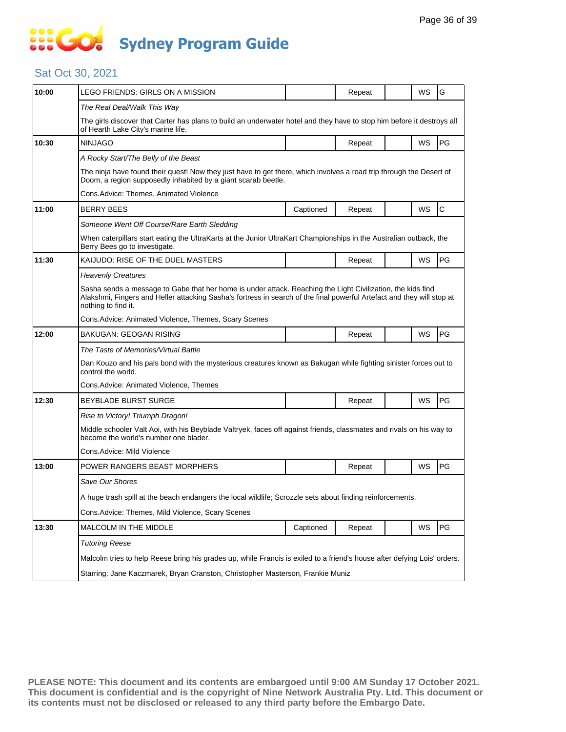## **SOCOCO Sydney Program Guide**

#### Sat Oct 30, 2021

| 10:00 | LEGO FRIENDS: GIRLS ON A MISSION                                                                                                                                                                                                                             |           | Repeat |  | WS | G            |  |  |  |
|-------|--------------------------------------------------------------------------------------------------------------------------------------------------------------------------------------------------------------------------------------------------------------|-----------|--------|--|----|--------------|--|--|--|
|       | The Real Deal/Walk This Way                                                                                                                                                                                                                                  |           |        |  |    |              |  |  |  |
|       | The girls discover that Carter has plans to build an underwater hotel and they have to stop him before it destroys all<br>of Hearth Lake City's marine life.                                                                                                 |           |        |  |    |              |  |  |  |
| 10:30 | <b>NINJAGO</b>                                                                                                                                                                                                                                               |           | Repeat |  | WS | PG           |  |  |  |
|       | A Rocky Start/The Belly of the Beast                                                                                                                                                                                                                         |           |        |  |    |              |  |  |  |
|       | The ninja have found their quest! Now they just have to get there, which involves a road trip through the Desert of<br>Doom, a region supposedly inhabited by a giant scarab beetle.                                                                         |           |        |  |    |              |  |  |  |
|       | Cons.Advice: Themes, Animated Violence                                                                                                                                                                                                                       |           |        |  |    |              |  |  |  |
| 11:00 | <b>BERRY BEES</b>                                                                                                                                                                                                                                            | Captioned | Repeat |  | WS | $\mathsf{C}$ |  |  |  |
|       | Someone Went Off Course/Rare Earth Sledding                                                                                                                                                                                                                  |           |        |  |    |              |  |  |  |
|       | When caterpillars start eating the UltraKarts at the Junior UltraKart Championships in the Australian outback, the<br>Berry Bees go to investigate.                                                                                                          |           |        |  |    |              |  |  |  |
| 11:30 | KAIJUDO: RISE OF THE DUEL MASTERS                                                                                                                                                                                                                            |           | Repeat |  | WS | PG           |  |  |  |
|       | <b>Heavenly Creatures</b>                                                                                                                                                                                                                                    |           |        |  |    |              |  |  |  |
|       | Sasha sends a message to Gabe that her home is under attack. Reaching the Light Civilization, the kids find<br>Alakshmi, Fingers and Heller attacking Sasha's fortress in search of the final powerful Artefact and they will stop at<br>nothing to find it. |           |        |  |    |              |  |  |  |
|       | Cons.Advice: Animated Violence, Themes, Scary Scenes                                                                                                                                                                                                         |           |        |  |    |              |  |  |  |
| 12:00 | BAKUGAN: GEOGAN RISING                                                                                                                                                                                                                                       |           | Repeat |  | WS | PG           |  |  |  |
|       | The Taste of Memories/Virtual Battle                                                                                                                                                                                                                         |           |        |  |    |              |  |  |  |
|       | Dan Kouzo and his pals bond with the mysterious creatures known as Bakugan while fighting sinister forces out to<br>control the world.                                                                                                                       |           |        |  |    |              |  |  |  |
|       | Cons.Advice: Animated Violence, Themes                                                                                                                                                                                                                       |           |        |  |    |              |  |  |  |
| 12:30 | <b>BEYBLADE BURST SURGE</b>                                                                                                                                                                                                                                  |           | Repeat |  | WS | PG           |  |  |  |
|       | Rise to Victory! Triumph Dragon!                                                                                                                                                                                                                             |           |        |  |    |              |  |  |  |
|       | Middle schooler Valt Aoi, with his Beyblade Valtryek, faces off against friends, classmates and rivals on his way to<br>become the world's number one blader.                                                                                                |           |        |  |    |              |  |  |  |
|       | Cons.Advice: Mild Violence                                                                                                                                                                                                                                   |           |        |  |    |              |  |  |  |
| 13:00 | POWER RANGERS BEAST MORPHERS                                                                                                                                                                                                                                 |           | Repeat |  | WS | PG           |  |  |  |
|       | Save Our Shores                                                                                                                                                                                                                                              |           |        |  |    |              |  |  |  |
|       | A huge trash spill at the beach endangers the local wildlife; Scrozzle sets about finding reinforcements                                                                                                                                                     |           |        |  |    |              |  |  |  |
|       | Cons. Advice: Themes, Mild Violence, Scary Scenes                                                                                                                                                                                                            |           |        |  |    |              |  |  |  |
| 13:30 | MALCOLM IN THE MIDDLE                                                                                                                                                                                                                                        | Captioned | Repeat |  | WS | PG           |  |  |  |
|       | <b>Tutoring Reese</b>                                                                                                                                                                                                                                        |           |        |  |    |              |  |  |  |
|       | Malcolm tries to help Reese bring his grades up, while Francis is exiled to a friend's house after defying Lois' orders.                                                                                                                                     |           |        |  |    |              |  |  |  |
|       | Starring: Jane Kaczmarek, Bryan Cranston, Christopher Masterson, Frankie Muniz                                                                                                                                                                               |           |        |  |    |              |  |  |  |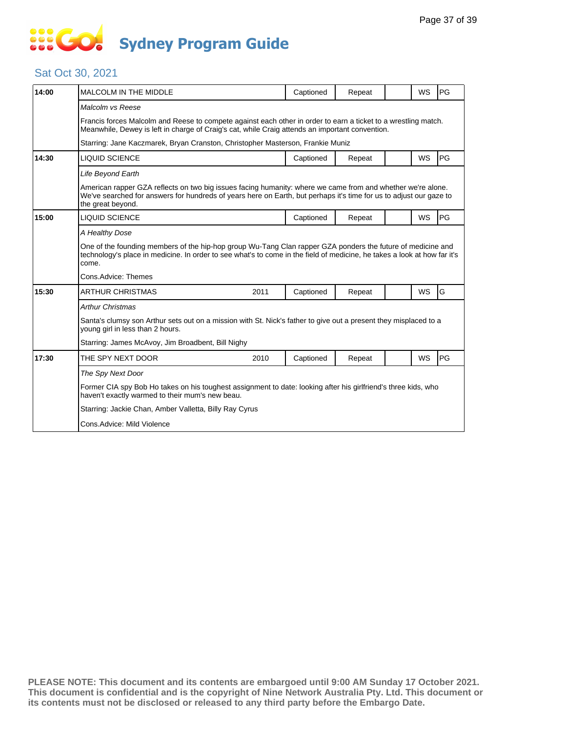## **SOCOL Sydney Program Guide**

#### Sat Oct 30, 2021

| 14:00 | <b>MALCOLM IN THE MIDDLE</b>                                                                                                                                                                                                                           |      | Captioned | Repeat |  | <b>WS</b> | PG |  |
|-------|--------------------------------------------------------------------------------------------------------------------------------------------------------------------------------------------------------------------------------------------------------|------|-----------|--------|--|-----------|----|--|
|       | Malcolm vs Reese                                                                                                                                                                                                                                       |      |           |        |  |           |    |  |
|       | Francis forces Malcolm and Reese to compete against each other in order to earn a ticket to a wrestling match.<br>Meanwhile, Dewey is left in charge of Craig's cat, while Craig attends an important convention.                                      |      |           |        |  |           |    |  |
|       | Starring: Jane Kaczmarek, Bryan Cranston, Christopher Masterson, Frankie Muniz                                                                                                                                                                         |      |           |        |  |           |    |  |
| 14:30 | <b>LIQUID SCIENCE</b>                                                                                                                                                                                                                                  |      | Captioned | Repeat |  | <b>WS</b> | PG |  |
|       | Life Beyond Earth                                                                                                                                                                                                                                      |      |           |        |  |           |    |  |
|       | American rapper GZA reflects on two big issues facing humanity: where we came from and whether we're alone.<br>We've searched for answers for hundreds of years here on Earth, but perhaps it's time for us to adjust our gaze to<br>the great beyond. |      |           |        |  |           |    |  |
| 15:00 | <b>LIQUID SCIENCE</b>                                                                                                                                                                                                                                  |      | Captioned | Repeat |  | <b>WS</b> | PG |  |
|       | A Healthy Dose                                                                                                                                                                                                                                         |      |           |        |  |           |    |  |
|       | One of the founding members of the hip-hop group Wu-Tang Clan rapper GZA ponders the future of medicine and<br>technology's place in medicine. In order to see what's to come in the field of medicine, he takes a look at how far it's<br>come.       |      |           |        |  |           |    |  |
|       | Cons.Advice: Themes                                                                                                                                                                                                                                    |      |           |        |  |           |    |  |
| 15:30 | <b>ARTHUR CHRISTMAS</b>                                                                                                                                                                                                                                |      |           |        |  |           |    |  |
|       |                                                                                                                                                                                                                                                        | 2011 | Captioned | Repeat |  | <b>WS</b> | G  |  |
|       | <b>Arthur Christmas</b>                                                                                                                                                                                                                                |      |           |        |  |           |    |  |
|       | Santa's clumsy son Arthur sets out on a mission with St. Nick's father to give out a present they misplaced to a<br>young girl in less than 2 hours.                                                                                                   |      |           |        |  |           |    |  |
|       | Starring: James McAvoy, Jim Broadbent, Bill Nighy                                                                                                                                                                                                      |      |           |        |  |           |    |  |
| 17:30 | THE SPY NEXT DOOR                                                                                                                                                                                                                                      | 2010 | Captioned | Repeat |  | WS        | PG |  |
|       | The Spy Next Door                                                                                                                                                                                                                                      |      |           |        |  |           |    |  |
|       | Former CIA spy Bob Ho takes on his toughest assignment to date: looking after his girlfriend's three kids, who<br>haven't exactly warmed to their mum's new beau.                                                                                      |      |           |        |  |           |    |  |
|       | Starring: Jackie Chan, Amber Valletta, Billy Ray Cyrus                                                                                                                                                                                                 |      |           |        |  |           |    |  |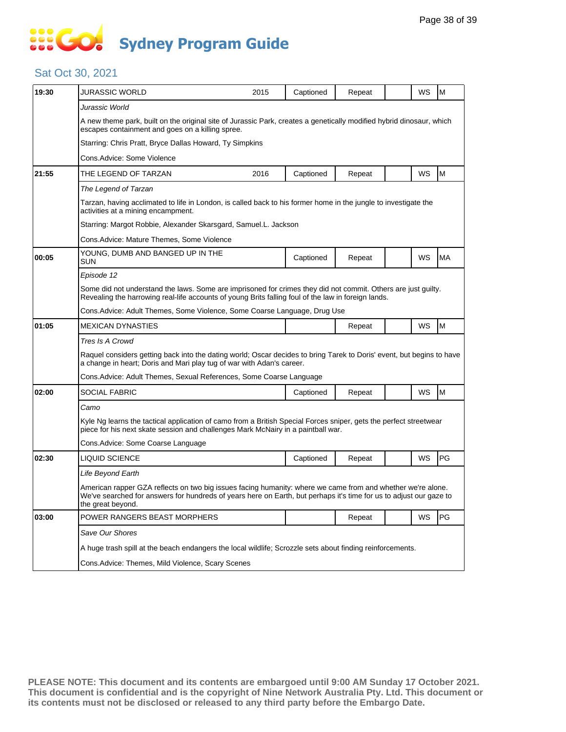# **... Go Sydney Program Guide**

#### Sat Oct 30, 2021

| 19:30 | <b>JURASSIC WORLD</b>                                                                                                                                                                                                                                  | 2015 | Captioned | Repeat |  | WS | M  |  |
|-------|--------------------------------------------------------------------------------------------------------------------------------------------------------------------------------------------------------------------------------------------------------|------|-----------|--------|--|----|----|--|
|       | Jurassic World                                                                                                                                                                                                                                         |      |           |        |  |    |    |  |
|       | A new theme park, built on the original site of Jurassic Park, creates a genetically modified hybrid dinosaur, which<br>escapes containment and goes on a killing spree.                                                                               |      |           |        |  |    |    |  |
|       | Starring: Chris Pratt, Bryce Dallas Howard, Ty Simpkins                                                                                                                                                                                                |      |           |        |  |    |    |  |
|       | Cons.Advice: Some Violence                                                                                                                                                                                                                             |      |           |        |  |    |    |  |
| 21:55 | THE LEGEND OF TARZAN                                                                                                                                                                                                                                   | 2016 | Captioned | Repeat |  | WS | M  |  |
|       | The Legend of Tarzan                                                                                                                                                                                                                                   |      |           |        |  |    |    |  |
|       | Tarzan, having acclimated to life in London, is called back to his former home in the jungle to investigate the<br>activities at a mining encampment.                                                                                                  |      |           |        |  |    |    |  |
|       | Starring: Margot Robbie, Alexander Skarsgard, Samuel.L. Jackson                                                                                                                                                                                        |      |           |        |  |    |    |  |
|       | Cons.Advice: Mature Themes, Some Violence                                                                                                                                                                                                              |      |           |        |  |    |    |  |
| 00:05 | YOUNG, DUMB AND BANGED UP IN THE<br>SUN                                                                                                                                                                                                                |      | Captioned | Repeat |  | WS | MA |  |
|       | Episode 12                                                                                                                                                                                                                                             |      |           |        |  |    |    |  |
|       | Some did not understand the laws. Some are imprisoned for crimes they did not commit. Others are just guilty.<br>Revealing the harrowing real-life accounts of young Brits falling foul of the law in foreign lands.                                   |      |           |        |  |    |    |  |
|       | Cons. Advice: Adult Themes, Some Violence, Some Coarse Language, Drug Use                                                                                                                                                                              |      |           |        |  |    |    |  |
| 01:05 | <b>MEXICAN DYNASTIES</b>                                                                                                                                                                                                                               |      |           | Repeat |  | WS | M  |  |
|       | Tres Is A Crowd                                                                                                                                                                                                                                        |      |           |        |  |    |    |  |
|       | Raquel considers getting back into the dating world; Oscar decides to bring Tarek to Doris' event, but begins to have<br>a change in heart; Doris and Mari play tug of war with Adan's career.                                                         |      |           |        |  |    |    |  |
|       | Cons. Advice: Adult Themes, Sexual References, Some Coarse Language                                                                                                                                                                                    |      |           |        |  |    |    |  |
| 02:00 | SOCIAL FABRIC                                                                                                                                                                                                                                          |      | Captioned | Repeat |  | WS | M  |  |
|       | Camo                                                                                                                                                                                                                                                   |      |           |        |  |    |    |  |
|       | Kyle Ng learns the tactical application of camo from a British Special Forces sniper, gets the perfect streetwear<br>piece for his next skate session and challenges Mark McNairy in a paintball war.                                                  |      |           |        |  |    |    |  |
|       | Cons. Advice: Some Coarse Language                                                                                                                                                                                                                     |      |           |        |  |    |    |  |
| 02:30 | <b>LIQUID SCIENCE</b>                                                                                                                                                                                                                                  |      | Captioned | Repeat |  | WS | PG |  |
|       | Life Beyond Earth                                                                                                                                                                                                                                      |      |           |        |  |    |    |  |
|       | American rapper GZA reflects on two big issues facing humanity: where we came from and whether we're alone.<br>We've searched for answers for hundreds of years here on Earth, but perhaps it's time for us to adjust our gaze to<br>the great beyond. |      |           |        |  |    |    |  |
| 03:00 | POWER RANGERS BEAST MORPHERS                                                                                                                                                                                                                           |      |           | Repeat |  | WS | PG |  |
|       | Save Our Shores                                                                                                                                                                                                                                        |      |           |        |  |    |    |  |
|       | A huge trash spill at the beach endangers the local wildlife; Scrozzle sets about finding reinforcements.                                                                                                                                              |      |           |        |  |    |    |  |
|       | Cons.Advice: Themes, Mild Violence, Scary Scenes                                                                                                                                                                                                       |      |           |        |  |    |    |  |